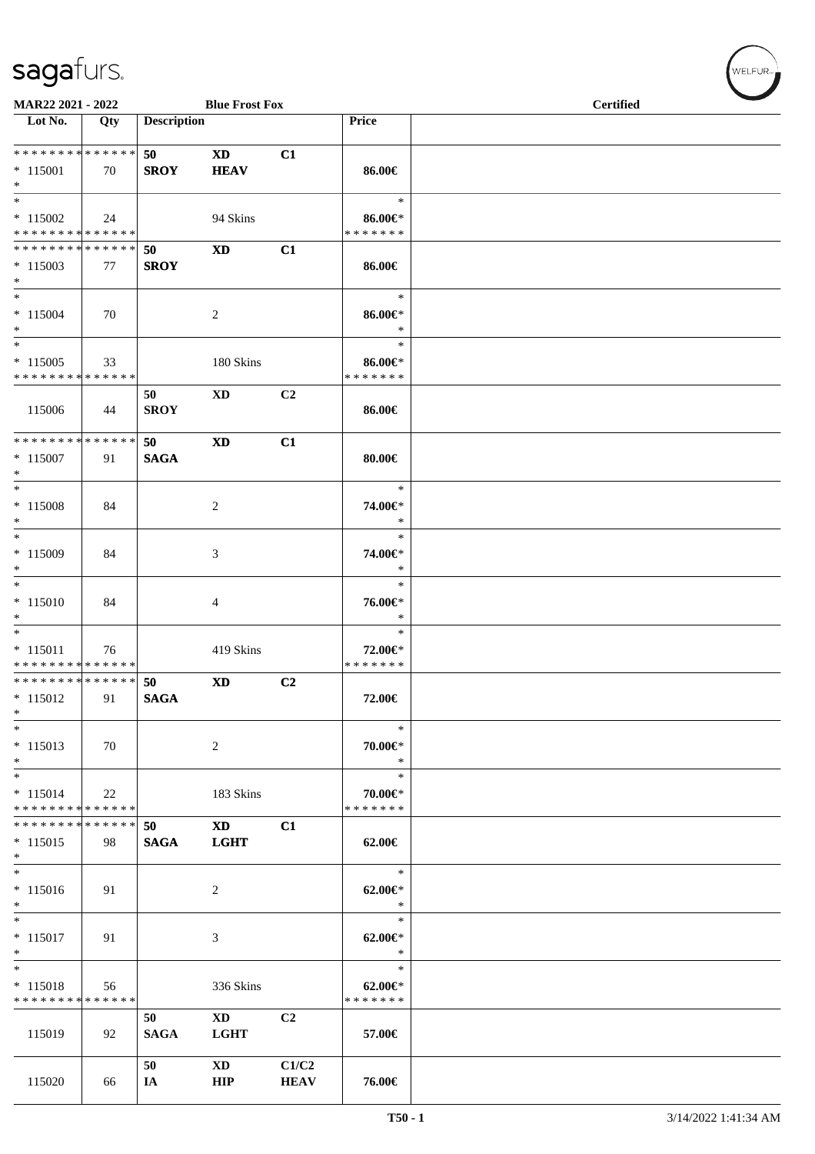| <b>MAR22 2021 - 2022</b><br><b>Blue Frost Fox</b>                                        |     |                    |                        |                |                          | <b>Certified</b> |  |  |  |
|------------------------------------------------------------------------------------------|-----|--------------------|------------------------|----------------|--------------------------|------------------|--|--|--|
| Lot No.                                                                                  |     | <b>Description</b> |                        |                | Price                    |                  |  |  |  |
|                                                                                          | Qty |                    |                        |                |                          |                  |  |  |  |
| * * * * * * * * <mark>* * * * * * *</mark>                                               |     | 50                 | <b>XD</b>              | C1             |                          |                  |  |  |  |
| $* 115001$                                                                               | 70  | <b>SROY</b>        | <b>HEAV</b>            |                | 86.00€                   |                  |  |  |  |
| $*$                                                                                      |     |                    |                        |                |                          |                  |  |  |  |
| $_{*}$                                                                                   |     |                    |                        |                | $\ast$                   |                  |  |  |  |
| $* 115002$                                                                               | 24  |                    | 94 Skins               |                | $86.00 \in$              |                  |  |  |  |
| * * * * * * * * <mark>* * * * * * *</mark>                                               |     |                    |                        |                | * * * * * * *            |                  |  |  |  |
| * * * * * * * * * * * * * * *                                                            |     | 50                 | $\mathbf{X}\mathbf{D}$ | C1             |                          |                  |  |  |  |
| $*115003$                                                                                | 77  | <b>SROY</b>        |                        |                | 86.00€                   |                  |  |  |  |
| $*$                                                                                      |     |                    |                        |                |                          |                  |  |  |  |
|                                                                                          |     |                    |                        |                | $\ast$                   |                  |  |  |  |
| $* 115004$                                                                               | 70  |                    |                        |                | $86.00 \in$              |                  |  |  |  |
| $*$                                                                                      |     |                    | 2                      |                | $\ast$                   |                  |  |  |  |
| $*$                                                                                      |     |                    |                        |                | $\ast$                   |                  |  |  |  |
| $* 115005$                                                                               |     |                    |                        |                |                          |                  |  |  |  |
| * * * * * * * * * * * * * *                                                              | 33  |                    | 180 Skins              |                | 86.00€*<br>* * * * * * * |                  |  |  |  |
|                                                                                          |     |                    |                        |                |                          |                  |  |  |  |
|                                                                                          |     | 50                 | <b>XD</b>              | C2             |                          |                  |  |  |  |
| 115006                                                                                   | 44  | <b>SROY</b>        |                        |                | 86.00€                   |                  |  |  |  |
| * * * * * * * * <mark>* * * * * *</mark>                                                 |     |                    |                        |                |                          |                  |  |  |  |
|                                                                                          |     | 50                 | <b>XD</b>              | C1             |                          |                  |  |  |  |
| $* 115007$                                                                               | 91  | <b>SAGA</b>        |                        |                | 80.00€                   |                  |  |  |  |
| $*$<br>$*$                                                                               |     |                    |                        |                |                          |                  |  |  |  |
|                                                                                          |     |                    |                        |                | $\ast$                   |                  |  |  |  |
| $* 115008$                                                                               | 84  |                    | 2                      |                | 74.00€*                  |                  |  |  |  |
| $*$                                                                                      |     |                    |                        |                | $\ast$                   |                  |  |  |  |
| $*$                                                                                      |     |                    |                        |                | $\ast$                   |                  |  |  |  |
| $*115009$                                                                                | 84  |                    | 3                      |                | 74.00€*                  |                  |  |  |  |
| $*$                                                                                      |     |                    |                        |                | $\ast$                   |                  |  |  |  |
|                                                                                          |     |                    |                        |                | $\ast$                   |                  |  |  |  |
| $* 115010$                                                                               | 84  |                    | 4                      |                | 76.00€*                  |                  |  |  |  |
| $*$                                                                                      |     |                    |                        |                | $\ast$                   |                  |  |  |  |
|                                                                                          |     |                    |                        |                | $\ast$                   |                  |  |  |  |
| $* 115011$                                                                               | 76  |                    | 419 Skins              |                | 72.00€*                  |                  |  |  |  |
| * * * * * * * * <mark>* * * * * * *</mark><br>* * * * * * * * <mark>* * * * * * *</mark> |     |                    |                        |                | * * * * * * *            |                  |  |  |  |
|                                                                                          |     | 50                 | <b>XD</b>              | C2             |                          |                  |  |  |  |
| $* 115012$<br>$\ast$                                                                     | 91  | <b>SAGA</b>        |                        |                | 72.00€                   |                  |  |  |  |
| $*$                                                                                      |     |                    |                        |                | $\ast$                   |                  |  |  |  |
|                                                                                          |     |                    |                        |                |                          |                  |  |  |  |
| $* 115013$                                                                               | 70  |                    | 2                      |                | 70.00€*<br>$\ast$        |                  |  |  |  |
| $*$<br>$*$                                                                               |     |                    |                        |                | $\ast$                   |                  |  |  |  |
|                                                                                          |     |                    |                        |                |                          |                  |  |  |  |
| $* 115014$<br>* * * * * * * * <mark>* * * * * * *</mark>                                 | 22  |                    | 183 Skins              |                | 70.00€*<br>* * * * * * * |                  |  |  |  |
| * * * * * * * * <mark>* * * * * *</mark>                                                 |     |                    |                        |                |                          |                  |  |  |  |
|                                                                                          |     | 50                 | <b>XD</b>              | C1             |                          |                  |  |  |  |
| $*115015$<br>$*$                                                                         | 98  | <b>SAGA</b>        | <b>LGHT</b>            |                | 62.00€                   |                  |  |  |  |
| $\overline{\ast}$                                                                        |     |                    |                        |                | $\ast$                   |                  |  |  |  |
|                                                                                          |     |                    |                        |                |                          |                  |  |  |  |
| $* 115016$                                                                               | 91  |                    | 2                      |                | $62.00 \in$ *            |                  |  |  |  |
| $*$<br>$*$                                                                               |     |                    |                        |                | $\ast$                   |                  |  |  |  |
|                                                                                          |     |                    |                        |                | $\ast$                   |                  |  |  |  |
| $* 115017$                                                                               | 91  |                    | 3                      |                | $62.00 \in$ *            |                  |  |  |  |
| $*$<br>$*$                                                                               |     |                    |                        |                | $\ast$                   |                  |  |  |  |
|                                                                                          |     |                    |                        |                | $\ast$                   |                  |  |  |  |
| $* 115018$                                                                               | 56  |                    | 336 Skins              |                | $62.00 \in$              |                  |  |  |  |
| * * * * * * * * * * * * * *                                                              |     |                    |                        |                | * * * * * * *            |                  |  |  |  |
|                                                                                          |     | 50                 | $\mathbf{X}\mathbf{D}$ | C <sub>2</sub> |                          |                  |  |  |  |
| 115019                                                                                   | 92  | <b>SAGA</b>        | <b>LGHT</b>            |                | 57.00€                   |                  |  |  |  |
|                                                                                          |     |                    |                        |                |                          |                  |  |  |  |
|                                                                                          |     | 50                 | $\mathbf{X}\mathbf{D}$ | C1/C2          |                          |                  |  |  |  |
| 115020                                                                                   | 66  | IA                 | <b>HIP</b>             | <b>HEAV</b>    | 76.00€                   |                  |  |  |  |

WELFUR<sub><sup>N</sub></sub></sub></sup>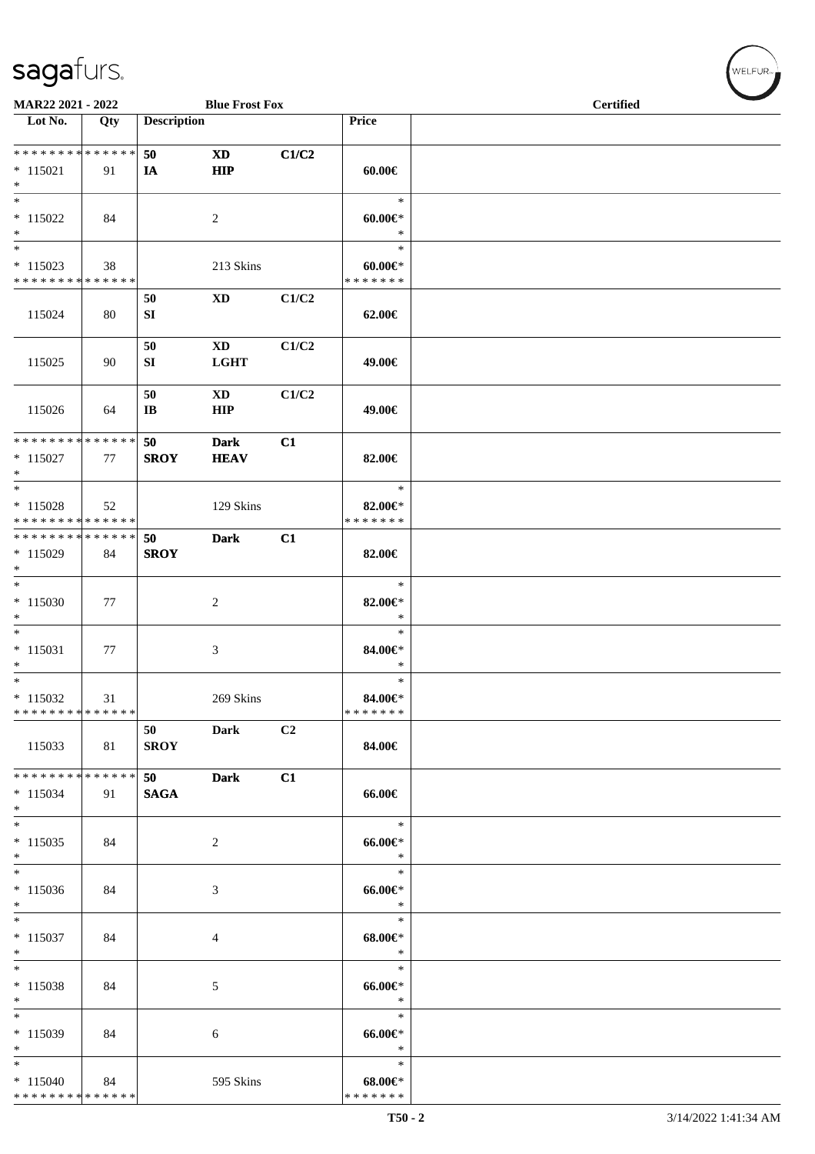| MAR22 2021 - 2022                                                     |     |                              | <b>Blue Frost Fox</b>         |                |                                        | <b>Certified</b> |
|-----------------------------------------------------------------------|-----|------------------------------|-------------------------------|----------------|----------------------------------------|------------------|
| Lot No.                                                               | Qty | <b>Description</b>           |                               |                | Price                                  |                  |
| ******** <mark>******</mark><br>$*$ 115021<br>$*$                     | 91  | 50<br>IA                     | <b>XD</b><br><b>HIP</b>       | C1/C2          | $60.00 \in$                            |                  |
| $\ast$<br>$* 115022$<br>$*$                                           | 84  |                              | 2                             |                | $\ast$<br>$60.00 \in$<br>$\ast$        |                  |
| $*$<br>$*115023$<br>* * * * * * * * * * * * * *                       | 38  |                              | 213 Skins                     |                | $\ast$<br>$60.00 \in$<br>* * * * * * * |                  |
| 115024                                                                | 80  | 50<br>SI                     | XD                            | C1/C2          | 62.00€                                 |                  |
| 115025                                                                | 90  | 50<br>SI                     | <b>XD</b><br><b>LGHT</b>      | C1/C2          | 49.00€                                 |                  |
| 115026                                                                | 64  | 50<br>$\mathbf{I}\mathbf{B}$ | $\mathbf{X}\mathbf{D}$<br>HIP | C1/C2          | 49.00€                                 |                  |
| * * * * * * * * * * * * * * *<br>$* 115027$<br>$*$                    | 77  | 50<br><b>SROY</b>            | <b>Dark</b><br><b>HEAV</b>    | C1             | 82.00€                                 |                  |
| $\overline{\phantom{0}}$<br>$* 115028$<br>* * * * * * * * * * * * * * | 52  |                              | 129 Skins                     |                | $\ast$<br>82.00€*<br>* * * * * * *     |                  |
| * * * * * * * * * * * * * * *<br>* 115029<br>$*$                      | 84  | 50<br><b>SROY</b>            | <b>Dark</b>                   | C1             | 82.00€                                 |                  |
| $*115030$<br>$*$                                                      | 77  |                              | 2                             |                | $\ast$<br>82.00€*<br>$\ast$            |                  |
| $* 115031$<br>$*$                                                     | 77  |                              | 3                             |                | $\ast$<br>84.00€*<br>$\ast$            |                  |
| $*$<br>$* 115032$<br>* * * * * * * * * * * * * *                      | 31  |                              | 269 Skins                     |                | $\ast$<br>84.00€*<br>*******           |                  |
| 115033                                                                | 81  | 50<br><b>SROY</b>            | <b>Dark</b>                   | C <sub>2</sub> | 84.00€                                 |                  |
| ******** <mark>******</mark><br>$* 115034$<br>$*$                     | 91  | 50<br><b>SAGA</b>            | <b>Dark</b>                   | C1             | 66.00€                                 |                  |
| $*$<br>$* 115035$<br>$*$                                              | 84  |                              | $\overline{c}$                |                | $\ast$<br>66.00€*<br>$\ast$            |                  |
| $*$<br>$* 115036$<br>$*$                                              | 84  |                              | 3                             |                | $\ast$<br>$66.00 \text{E}$<br>$\ast$   |                  |
| $*$<br>$* 115037$<br>$*$                                              | 84  |                              | 4                             |                | $\ast$<br>$68.00 \in$<br>$\ast$        |                  |
| $\ast$<br>$* 115038$<br>$*$                                           | 84  |                              | 5                             |                | $\ast$<br>$66.00 \in$<br>$\ast$        |                  |
| $\overline{\phantom{0}}$<br>$*115039$<br>$*$                          | 84  |                              | 6                             |                | $\ast$<br>$66.00 \in$<br>$\ast$        |                  |
| $*$<br>$*115040$<br>******** <mark>******</mark>                      | 84  |                              | 595 Skins                     |                | $\ast$<br>$68.00 \in$<br>* * * * * * * |                  |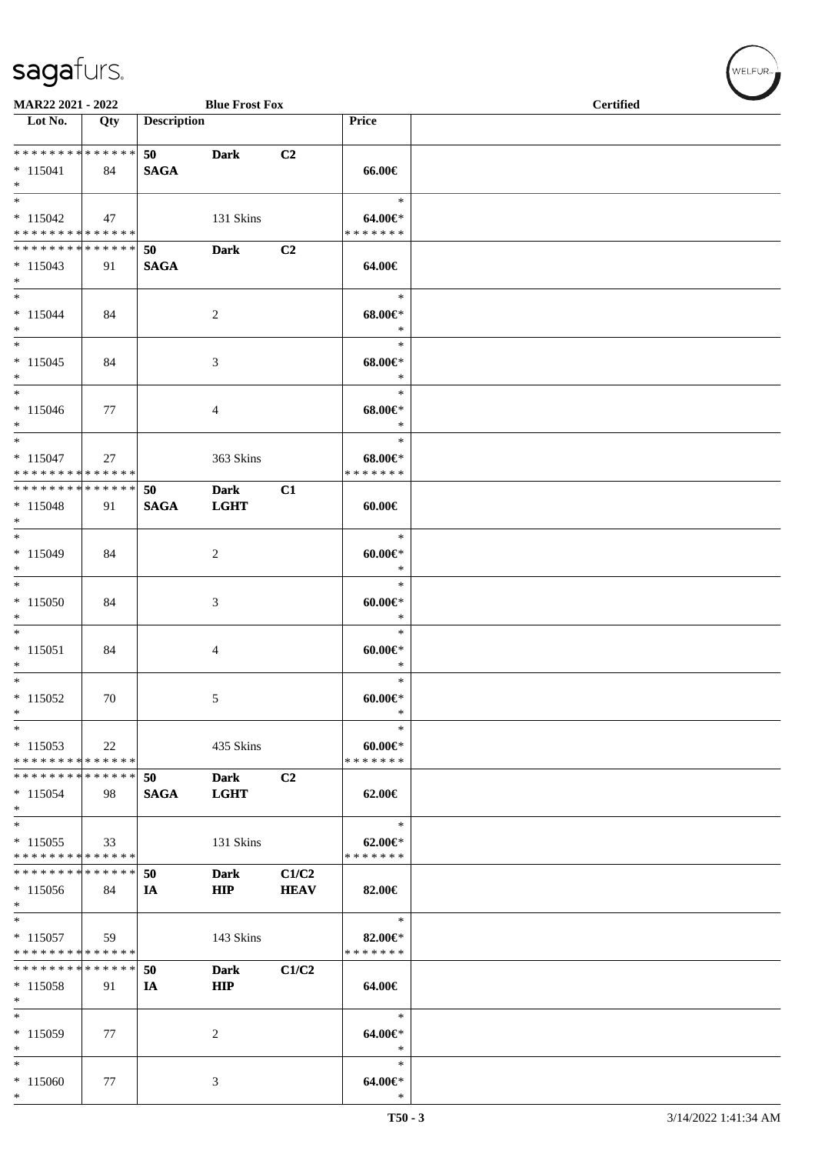\*

| MAR22 2021 - 2022                                                       |     |                    | <b>Blue Frost Fox</b>      |                      |                                          | <b>Certified</b> |
|-------------------------------------------------------------------------|-----|--------------------|----------------------------|----------------------|------------------------------------------|------------------|
| Lot No.                                                                 | Qty | <b>Description</b> |                            |                      | Price                                    |                  |
| ******** <mark>******</mark><br>$* 115041$<br>$*$                       | 84  | 50<br><b>SAGA</b>  | <b>Dark</b>                | C2                   | 66.00€                                   |                  |
| $\overline{\phantom{0}}$<br>$* 115042$<br>* * * * * * * * * * * * * * * | 47  |                    | 131 Skins                  |                      | $\ast$<br>64.00€*<br>* * * * * * *       |                  |
| * * * * * * * * * * * * * * *<br>$* 115043$<br>$*$                      | 91  | 50<br><b>SAGA</b>  | <b>Dark</b>                | C2                   | 64.00€                                   |                  |
| $*$<br>$* 115044$<br>$*$                                                | 84  |                    | 2                          |                      | $\ast$<br>$68.00 \in$<br>$\ast$          |                  |
| $*$<br>$* 115045$<br>$*$                                                | 84  |                    | 3                          |                      | $\ast$<br>$68.00 \in$<br>$\ast$          |                  |
| $\ast$<br>$* 115046$<br>$*$                                             | 77  |                    | 4                          |                      | $\ast$<br>$68.00 \in$<br>$\ast$          |                  |
| $*$<br>$* 115047$<br>* * * * * * * * * * * * * *                        | 27  |                    | 363 Skins                  |                      | $\ast$<br>$68.00 \in$ *<br>* * * * * * * |                  |
| ******** <mark>******</mark><br>$* 115048$<br>$*$                       | 91  | 50<br><b>SAGA</b>  | <b>Dark</b><br><b>LGHT</b> | C1                   | $60.00 \in$                              |                  |
| $*$<br>$* 115049$<br>$\ast$                                             | 84  |                    | 2                          |                      | $\ast$<br>$60.00 \in$<br>$\ast$          |                  |
| $*115050$<br>$*$                                                        | 84  |                    | 3                          |                      | $\ast$<br>$60.00 \in$ *<br>$\ast$        |                  |
| $*$<br>$* 115051$<br>$*$                                                | 84  |                    | 4                          |                      | $\ast$<br>$60.00 \in$<br>$\ast$          |                  |
| $*$<br>$* 115052$<br>$\ast$                                             | 70  |                    | 5                          |                      | $\ast$<br>$60.00 \in$<br>$\ast$          |                  |
| $\ast$<br>$*115053$<br>* * * * * * * * * * * * * *                      | 22  |                    | 435 Skins                  |                      | $\ast$<br>$60.00 \in$ *<br>* * * * * * * |                  |
| * * * * * * * * * * * * * *<br>* 115054<br>$*$                          | 98  | 50<br><b>SAGA</b>  | <b>Dark</b><br><b>LGHT</b> | C <sub>2</sub>       | 62.00€                                   |                  |
| $*$<br>$*115055$<br>* * * * * * * * * * * * * *                         | 33  |                    | 131 Skins                  |                      | $\ast$<br>$62.00 \in$<br>* * * * * * *   |                  |
| * * * * * * * * * * * * * *<br>$*115056$<br>$*$                         | 84  | 50<br>IA           | <b>Dark</b><br><b>HIP</b>  | C1/C2<br><b>HEAV</b> | 82.00€                                   |                  |
| $*$<br>$* 115057$<br>* * * * * * * * * * * * * *                        | 59  |                    | 143 Skins                  |                      | $\ast$<br>82.00€*<br>* * * * * * *       |                  |
| * * * * * * * * * * * * * *<br>$* 115058$<br>$*$                        | 91  | 50<br>IA           | <b>Dark</b><br><b>HIP</b>  | C1/C2                | 64.00€                                   |                  |
| $*$<br>$*115059$<br>$\ast$                                              | 77  |                    | 2                          |                      | $\ast$<br>64.00€*<br>$\ast$              |                  |
| $*$<br>$*115060$<br>$*$                                                 | 77  |                    | 3                          |                      | $\ast$<br>64.00€*<br>$\ast$              |                  |

 $(\forall ELFUR_{\text{max}})$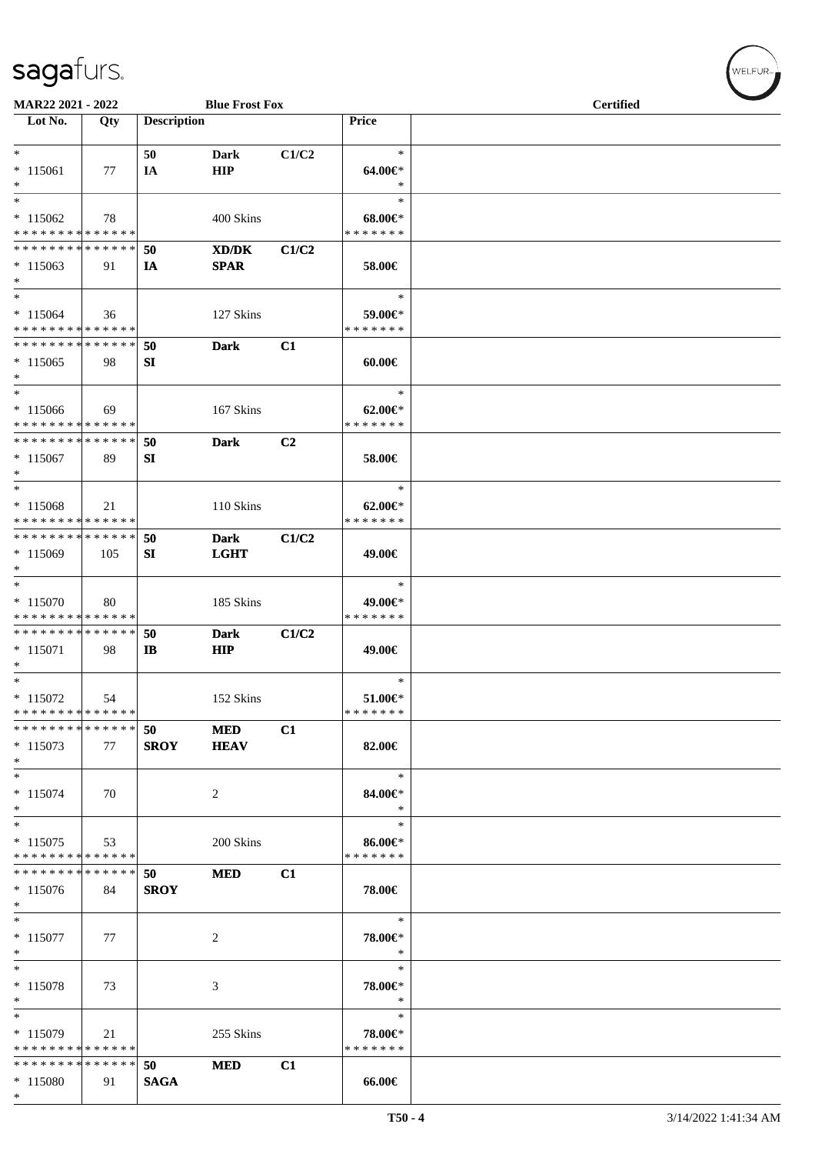| <b>MAR22 2021 - 2022</b>                                          |     |                    | <b>Blue Frost Fox</b>      |                |                                          | <b>Certified</b> |  |
|-------------------------------------------------------------------|-----|--------------------|----------------------------|----------------|------------------------------------------|------------------|--|
| Lot No.                                                           | Qty | <b>Description</b> |                            |                | <b>Price</b>                             |                  |  |
| $*$<br>$* 115061$<br>$*$                                          | 77  | 50<br>IA           | Dark<br>HIP                | C1/C2          | $\ast$<br>$64.00 \in$<br>$\ast$          |                  |  |
| $*$<br>$*115062$<br>* * * * * * * * <mark>* * * * * * *</mark>    | 78  |                    | 400 Skins                  |                | $\ast$<br>$68.00 \in$<br>* * * * * * *   |                  |  |
| * * * * * * * * <mark>* * * * * *</mark><br>$*115063$<br>$*$      | 91  | 50<br>IA           | XD/DK<br><b>SPAR</b>       | C1/C2          | 58.00€                                   |                  |  |
| $*$<br>$* 115064$<br>* * * * * * * * * * * * * *                  | 36  |                    | 127 Skins                  |                | $\ast$<br>59.00€*<br>* * * * * * *       |                  |  |
| * * * * * * * * * * * * * *<br>$*115065$<br>$\ast$                | 98  | 50<br>SI           | <b>Dark</b>                | C1             | $60.00 \in$                              |                  |  |
| $*$<br>$*115066$<br>* * * * * * * * * * * * * *                   | 69  |                    | 167 Skins                  |                | $\ast$<br>$62.00 \in$ *<br>* * * * * * * |                  |  |
| * * * * * * * * <mark>* * * * * * *</mark><br>$*115067$<br>$\ast$ | 89  | 50<br>SI           | <b>Dark</b>                | C <sub>2</sub> | 58.00€                                   |                  |  |
| $*$<br>* 115068<br>* * * * * * * * <mark>* * * * * * *</mark>     | 21  |                    | 110 Skins                  |                | $\ast$<br>$62.00 \in$<br>* * * * * * *   |                  |  |
| * * * * * * * * * * * * * * *<br>$*115069$<br>$*$                 | 105 | 50<br>SI           | <b>Dark</b><br><b>LGHT</b> | C1/C2          | 49.00€                                   |                  |  |
| $*$<br>$* 115070$<br>* * * * * * * * * * * * * *                  | 80  |                    | 185 Skins                  |                | $\ast$<br>49.00€*<br>* * * * * * *       |                  |  |
| * * * * * * * * * * * * * *<br>$* 115071$<br>$*$                  | 98  | 50<br>IB.          | <b>Dark</b><br><b>HIP</b>  | C1/C2          | 49.00€                                   |                  |  |
| $*$<br>$* 115072$<br>* * * * * * * * * * * * * *                  | 54  |                    | 152 Skins                  |                | $\ast$<br>$51.00 \in$<br>*******         |                  |  |
| * * * * * * * * * * * * * * *<br>$*115073$<br>*                   | 77  | 50<br><b>SROY</b>  | <b>MED</b><br><b>HEAV</b>  | C1             | 82.00€                                   |                  |  |
| $*$<br>$* 115074$<br>$*$                                          | 70  |                    | 2                          |                | $\ast$<br>84.00€*<br>$\ast$              |                  |  |
| $*$<br>$*115075$<br>* * * * * * * * * * * * * *                   | 53  |                    | 200 Skins                  |                | $\ast$<br>86.00€*<br>* * * * * * *       |                  |  |
| * * * * * * * * * * * * * * *<br>$*115076$<br>$*$                 | 84  | 50<br><b>SROY</b>  | <b>MED</b>                 | C1             | 78.00€                                   |                  |  |
| $\overline{\phantom{0}}$<br>$* 115077$<br>$*$                     | 77  |                    | 2                          |                | $\ast$<br>78.00€*<br>$\ast$              |                  |  |
| $\ast$<br>$* 115078$<br>$*$                                       | 73  |                    | 3                          |                | $\ast$<br>78.00€*<br>$\ast$              |                  |  |
| $*$<br>$*115079$<br>* * * * * * * * * * * * * *                   | 21  |                    | 255 Skins                  |                | $\ast$<br>78.00€*<br>* * * * * * *       |                  |  |
| * * * * * * * * * * * * * *<br>$*115080$<br>$*$                   | 91  | 50<br><b>SAGA</b>  | <b>MED</b>                 | C1             | 66.00€                                   |                  |  |

 $w$ ELFUR-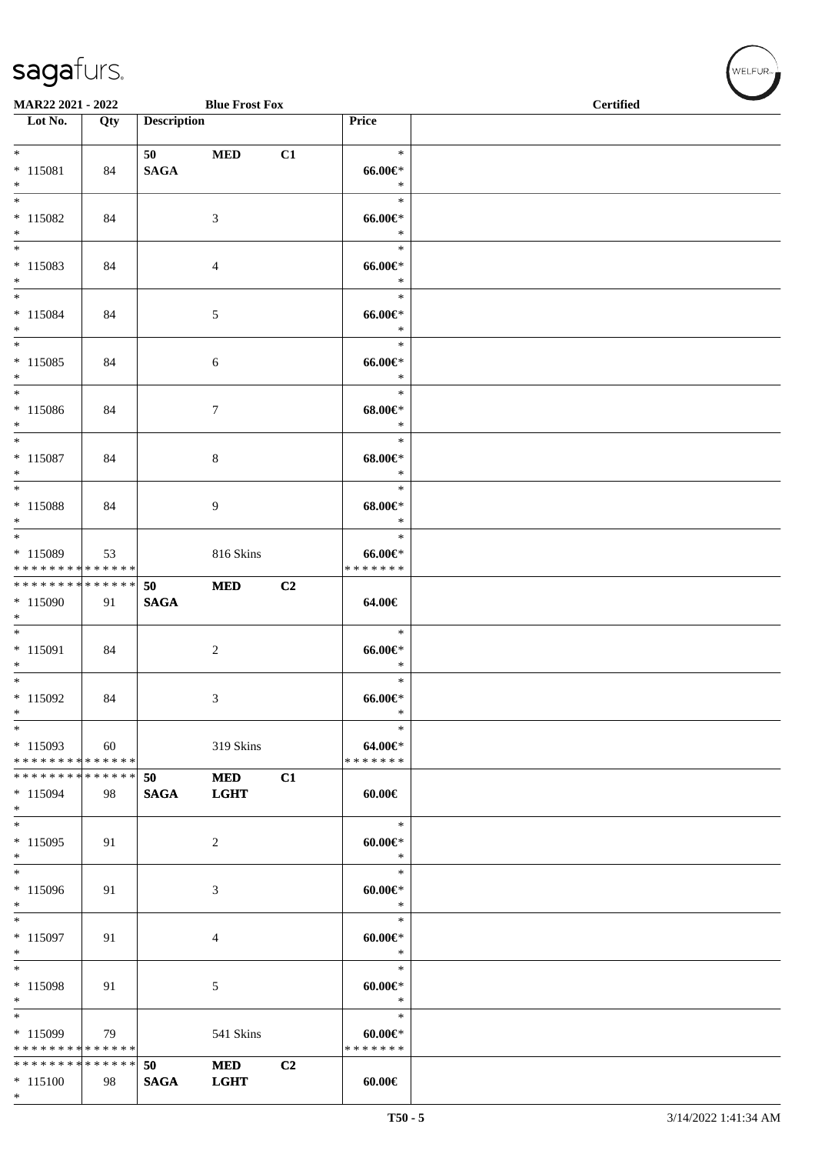\*

| MAR22 2021 - 2022                                    |     |                    | <b>Blue Frost Fox</b>     |                |                                           | <b>Certified</b> |  |
|------------------------------------------------------|-----|--------------------|---------------------------|----------------|-------------------------------------------|------------------|--|
| Lot No.                                              | Qty | <b>Description</b> |                           |                | Price                                     |                  |  |
| $*$<br>$* 115081$<br>$*$                             | 84  | 50<br><b>SAGA</b>  | $\bf MED$                 | C1             | $\ast$<br>$66.00 \in$<br>$\ast$           |                  |  |
| $* 115082$<br>$*$<br>$\overline{\phantom{0}}$        | 84  |                    | 3                         |                | $\ast$<br>$66.00 \in$<br>$\ast$           |                  |  |
| $* 115083$<br>$*$<br>$*$                             | 84  |                    | 4                         |                | $\ast$<br>$66.00 \in$<br>$\ast$<br>$\ast$ |                  |  |
| $* 115084$<br>$*$<br>$*$                             | 84  |                    | 5                         |                | $66.00 \text{E}^*$<br>$\ast$<br>$\ast$    |                  |  |
| $* 115085$<br>$*$<br>$\ast$                          | 84  |                    | 6                         |                | $66.00 \in$<br>$\ast$                     |                  |  |
| $* 115086$<br>$*$                                    | 84  |                    | $\tau$                    |                | $\ast$<br>$68.00 \in$<br>$\ast$           |                  |  |
| $* 115087$<br>$*$                                    | 84  |                    | 8                         |                | $\ast$<br>$68.00 \in$ *<br>$\ast$         |                  |  |
| $*$<br>$*$ 115088<br>$\ast$                          | 84  |                    | 9                         |                | $\ast$<br>$68.00 \in$<br>$\ast$           |                  |  |
| * 115089<br>* * * * * * * * * * * * * *              | 53  |                    | 816 Skins                 |                | $\ast$<br>$66.00 \in$<br>* * * * * * *    |                  |  |
| ******** <mark>******</mark><br>$*115090$<br>$*$     | 91  | 50<br><b>SAGA</b>  | <b>MED</b>                | C <sub>2</sub> | 64.00€                                    |                  |  |
| $*$<br>$* 115091$<br>$*$<br>$*$                      | 84  |                    | $\overline{c}$            |                | $\ast$<br>$66.00 \in$<br>$\ast$           |                  |  |
| $*115092$<br>$*$                                     | 84  |                    | 3                         |                | $\ast$<br>$66.00 \in$<br>$\ast$           |                  |  |
| $*$<br>$*115093$<br>* * * * * * * * * * * * * * *    | 60  |                    | 319 Skins                 |                | $\ast$<br>64.00€*<br>* * * * * * *        |                  |  |
| * * * * * * * * * * * * * * *<br>$* 115094$<br>$*$   | 98  | 50<br><b>SAGA</b>  | <b>MED</b><br><b>LGHT</b> | C1             | $60.00 \in$                               |                  |  |
| $*$<br>$*115095$<br>$*$                              | 91  |                    | 2                         |                | $\ast$<br>$60.00 \in$<br>$\ast$           |                  |  |
| $*115096$<br>$*$                                     | 91  |                    | 3                         |                | $\ast$<br>$60.00 \in$<br>$\ast$           |                  |  |
| $*$<br>$* 115097$<br>$*$                             | 91  |                    | 4                         |                | $\ast$<br>$60.00 \in$<br>$\ast$           |                  |  |
| $*$<br>* 115098<br>$*$                               | 91  |                    | 5                         |                | $\ast$<br>$60.00 \in$<br>$\ast$           |                  |  |
| $\ast$<br>$*115099$<br>* * * * * * * * * * * * * * * | 79  |                    | 541 Skins                 |                | $\ast$<br>$60.00 \in$ *<br>* * * * * * *  |                  |  |
| * * * * * * * * * * * * * * *<br>$* 115100$          | 98  | 50<br><b>SAGA</b>  | <b>MED</b><br><b>LGHT</b> | C <sub>2</sub> | 60.00€                                    |                  |  |

 $w$ ELFUR<sub><sup>n</sub></sub></sub></sup>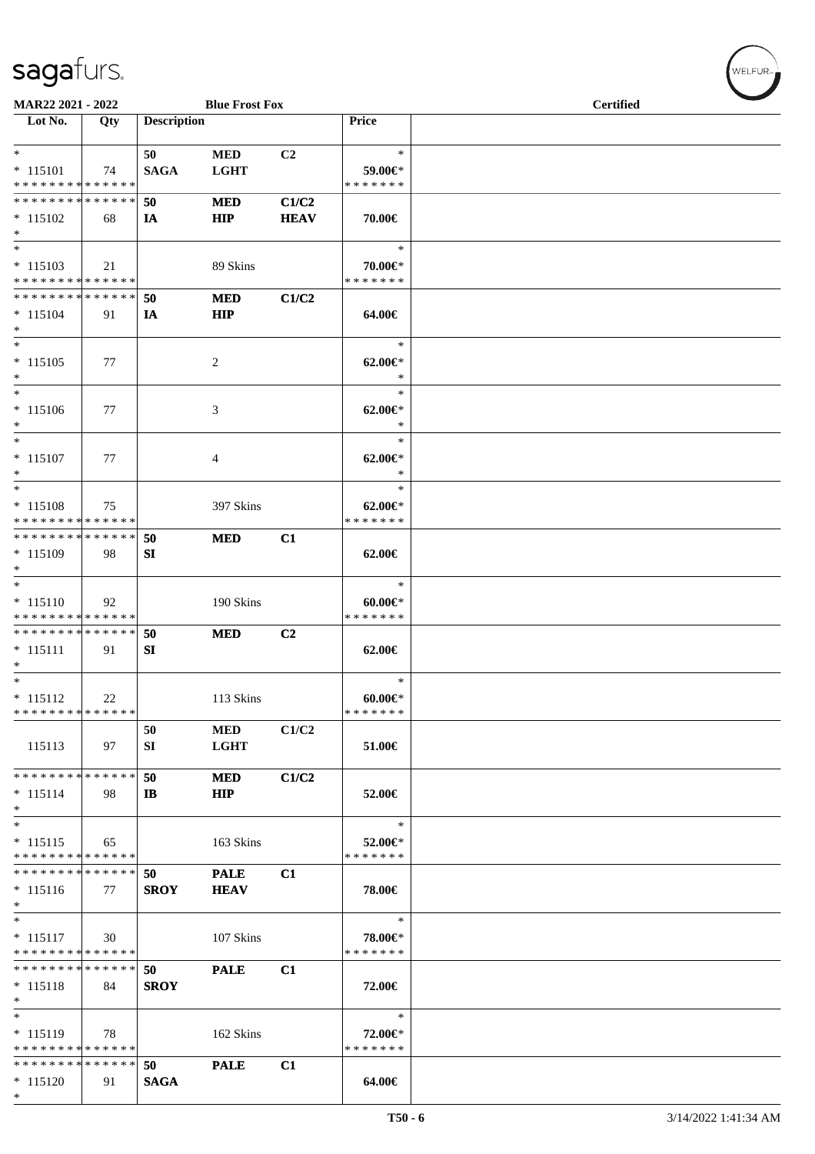| MAR22 2021 - 2022                         |     |                    | <b>Blue Frost Fox</b> |                |                          | <b>Certified</b> |
|-------------------------------------------|-----|--------------------|-----------------------|----------------|--------------------------|------------------|
| Lot No.                                   | Qty | <b>Description</b> |                       |                | <b>Price</b>             |                  |
|                                           |     |                    |                       |                |                          |                  |
| $*$                                       |     | 50                 | <b>MED</b>            | C2             | $\ast$                   |                  |
|                                           |     |                    |                       |                |                          |                  |
| $* 115101$<br>* * * * * * * * * * * * * * | 74  | <b>SAGA</b>        | <b>LGHT</b>           |                | 59.00€*<br>* * * * * * * |                  |
|                                           |     |                    |                       |                |                          |                  |
| * * * * * * * * * * * * * * *             |     | 50                 | <b>MED</b>            | C1/C2          |                          |                  |
| $* 115102$                                | 68  | IA                 | <b>HIP</b>            | <b>HEAV</b>    | 70.00€                   |                  |
| $*$                                       |     |                    |                       |                |                          |                  |
| $\overline{\ast}$                         |     |                    |                       |                | $\ast$                   |                  |
| $* 115103$                                | 21  |                    | 89 Skins              |                | 70.00€*                  |                  |
| * * * * * * * * * * * * * *               |     |                    |                       |                | * * * * * * *            |                  |
| * * * * * * * * * * * * * *               |     | 50                 | <b>MED</b>            | C1/C2          |                          |                  |
| $* 115104$                                | 91  | IA                 | HIP                   |                | 64.00€                   |                  |
| $*$                                       |     |                    |                       |                |                          |                  |
| $*$                                       |     |                    |                       |                | $\ast$                   |                  |
|                                           |     |                    |                       |                |                          |                  |
| $* 115105$                                | 77  |                    | 2                     |                | $62.00 \in$              |                  |
| $*$                                       |     |                    |                       |                | $\ast$                   |                  |
| $*$                                       |     |                    |                       |                | $\ast$                   |                  |
| $* 115106$                                | 77  |                    | 3                     |                | $62.00 \in$ *            |                  |
| $*$                                       |     |                    |                       |                | $\ast$                   |                  |
| $\overline{\ast}$                         |     |                    |                       |                | $\ast$                   |                  |
| $* 115107$                                | 77  |                    | 4                     |                | $62.00 \in$ *            |                  |
| $*$                                       |     |                    |                       |                | $\ast$                   |                  |
| $*$                                       |     |                    |                       |                | $\ast$                   |                  |
|                                           |     |                    |                       |                |                          |                  |
| $* 115108$                                | 75  |                    | 397 Skins             |                | $62.00 \in$              |                  |
| * * * * * * * * * * * * * *               |     |                    |                       |                | * * * * * * *            |                  |
| * * * * * * * * * * * * * * *             |     | 50                 | <b>MED</b>            | C1             |                          |                  |
| * 115109                                  | 98  | SI                 |                       |                | 62.00€                   |                  |
| $*$                                       |     |                    |                       |                |                          |                  |
| $\overline{\ast}$                         |     |                    |                       |                | $\ast$                   |                  |
| $* 115110$                                | 92  |                    | 190 Skins             |                | $60.00 \in$              |                  |
| * * * * * * * * * * * * * *               |     |                    |                       |                | * * * * * * *            |                  |
| * * * * * * * * * * * * * *               |     | 50                 | <b>MED</b>            | C <sub>2</sub> |                          |                  |
| $* 115111$                                | 91  | SI                 |                       |                | 62.00€                   |                  |
| $\ast$                                    |     |                    |                       |                |                          |                  |
| $*$                                       |     |                    |                       |                |                          |                  |
|                                           |     |                    |                       |                | $\ast$                   |                  |
| $* 115112$                                | 22  |                    | 113 Skins             |                | $60.00 \in$              |                  |
| * * * * * * * * * * * * * *               |     |                    |                       |                | * * * * * * *            |                  |
|                                           |     | 50                 | <b>MED</b>            | C1/C2          |                          |                  |
| 115113                                    | 97  | SI                 | <b>LGHT</b>           |                | 51.00€                   |                  |
|                                           |     |                    |                       |                |                          |                  |
| * * * * * * * * * * * * * *               |     | 50                 | <b>MED</b>            | C1/C2          |                          |                  |
| $* 115114$                                | 98  | IB                 | <b>HIP</b>            |                | 52.00€                   |                  |
| $*$                                       |     |                    |                       |                |                          |                  |
| $*$                                       |     |                    |                       |                | $\ast$                   |                  |
|                                           |     |                    |                       |                |                          |                  |
| $* 115115$                                | 65  |                    | 163 Skins             |                | 52.00€*                  |                  |
| * * * * * * * * * * * * * *               |     |                    |                       |                | * * * * * * *            |                  |
| * * * * * * * * * * * * * *               |     | 50                 | <b>PALE</b>           | C1             |                          |                  |
| $* 115116$                                | 77  | <b>SROY</b>        | <b>HEAV</b>           |                | 78.00€                   |                  |
| $*$                                       |     |                    |                       |                |                          |                  |
| $*$                                       |     |                    |                       |                | $\ast$                   |                  |
| $* 115117$                                | 30  |                    | 107 Skins             |                | 78.00€*                  |                  |
| * * * * * * * * * * * * * *               |     |                    |                       |                | * * * * * * *            |                  |
| * * * * * * * * * * * * * *               |     | 50                 |                       |                |                          |                  |
|                                           |     |                    | <b>PALE</b>           | C1             |                          |                  |
| $* 115118$                                | 84  | <b>SROY</b>        |                       |                | 72.00€                   |                  |
| $*$                                       |     |                    |                       |                |                          |                  |
| $\ast$                                    |     |                    |                       |                | $\ast$                   |                  |
| $* 115119$                                | 78  |                    | 162 Skins             |                | 72.00€*                  |                  |
| * * * * * * * * * * * * * *               |     |                    |                       |                | * * * * * * *            |                  |
| * * * * * * * * * * * * * *               |     | 50                 | <b>PALE</b>           | C1             |                          |                  |
| $* 115120$                                | 91  | <b>SAGA</b>        |                       |                | 64.00€                   |                  |
| $*$                                       |     |                    |                       |                |                          |                  |
|                                           |     |                    |                       |                |                          |                  |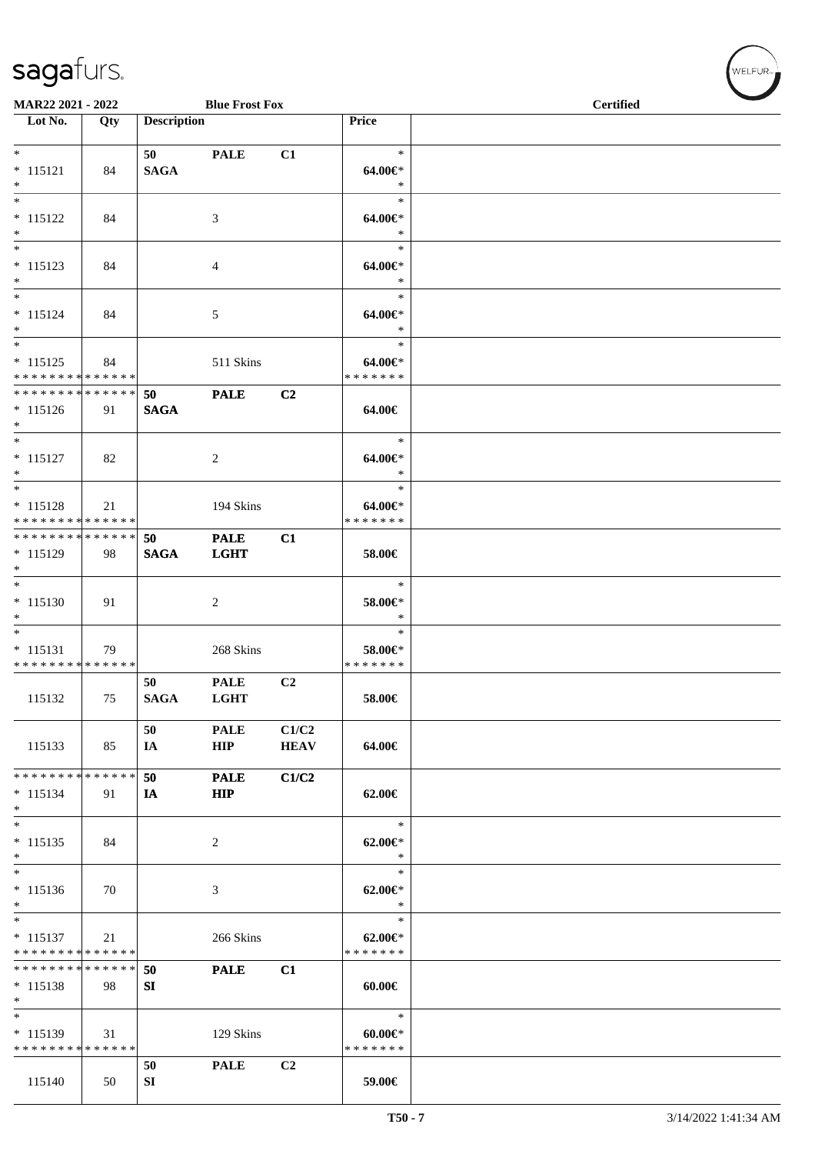|                                                                       | <b>Blue Frost Fox</b><br>MAR22 2021 - 2022 |                    |                            |                      |                                        | <b>Certified</b> |
|-----------------------------------------------------------------------|--------------------------------------------|--------------------|----------------------------|----------------------|----------------------------------------|------------------|
| $\overline{\phantom{1}}$ Lot No.                                      | Qty                                        | <b>Description</b> |                            |                      | Price                                  |                  |
| $*$<br>$* 115121$<br>$\ast$                                           | 84                                         | 50<br><b>SAGA</b>  | <b>PALE</b>                | C1                   | $\ast$<br>64.00€*<br>$\ast$            |                  |
| $\overline{\phantom{a}^*}$<br>$* 115122$<br>$*$                       | 84                                         |                    | 3                          |                      | $\ast$<br>64.00€*<br>$\ast$            |                  |
| $*$<br>$* 115123$<br>$\ast$                                           | 84                                         |                    | 4                          |                      | $\ast$<br>64.00€*<br>$\ast$            |                  |
| $\overline{\phantom{0}}$<br>$* 115124$<br>$*$                         | 84                                         |                    | 5                          |                      | $\ast$<br>64.00€*<br>$\ast$            |                  |
| $\overline{\phantom{0}}$<br>$* 115125$<br>* * * * * * * * * * * * * * | 84                                         |                    | 511 Skins                  |                      | $\ast$<br>64.00€*<br>* * * * * * *     |                  |
| * * * * * * * * * * * * * *<br>$* 115126$<br>$*$                      | 91                                         | 50<br><b>SAGA</b>  | <b>PALE</b>                | C2                   | 64.00€                                 |                  |
| $*$<br>$* 115127$<br>$*$                                              | 82                                         |                    | 2                          |                      | $\ast$<br>64.00€*<br>$\ast$            |                  |
| $\overline{\phantom{0}}$<br>$* 115128$<br>* * * * * * * * * * * * * * | 21                                         |                    | 194 Skins                  |                      | $\ast$<br>64.00€*<br>* * * * * * *     |                  |
| * * * * * * * * * * * * * *<br>* 115129<br>$\ast$                     | 98                                         | 50<br><b>SAGA</b>  | <b>PALE</b><br><b>LGHT</b> | C1                   | 58.00€                                 |                  |
| $* 115130$<br>$*$                                                     | 91                                         |                    | 2                          |                      | $\ast$<br>58.00€*<br>$\ast$            |                  |
| $\overline{\phantom{0}}$<br>$* 115131$<br>* * * * * * * * * * * * * * | 79                                         |                    | 268 Skins                  |                      | $\ast$<br>58.00€*<br>* * * * * * *     |                  |
| 115132                                                                | 75                                         | 50<br><b>SAGA</b>  | <b>PALE</b><br><b>LGHT</b> | C2                   | 58.00€                                 |                  |
| 115133                                                                | 85                                         | 50<br>IA           | <b>PALE</b><br>HIP         | C1/C2<br><b>HEAV</b> | 64.00€                                 |                  |
| * * * * * * * * * * * * * *<br>$* 115134$<br>$\ast$                   | 91                                         | 50<br>IA           | <b>PALE</b><br><b>HIP</b>  | C1/C2                | 62.00€                                 |                  |
| $*$<br>$* 115135$<br>$\ast$                                           | 84                                         |                    | 2                          |                      | $\ast$<br>$62.00 \in$ *<br>$\ast$      |                  |
| $\ast$<br>$* 115136$<br>$*$                                           | 70                                         |                    | 3                          |                      | $\ast$<br>$62.00 \in$ *<br>$\ast$      |                  |
| $\overline{\phantom{0}}$<br>$* 115137$<br>* * * * * * * * * * * * * * | 21                                         |                    | 266 Skins                  |                      | $\ast$<br>$62.00 \in$<br>* * * * * * * |                  |
| * * * * * * * * * * * * * *<br>$* 115138$<br>$*$                      | 98                                         | 50<br>SI           | <b>PALE</b>                | C1                   | $60.00 \in$                            |                  |
| $\ast$<br>$* 115139$<br>* * * * * * * * * * * * * *                   | 31                                         |                    | 129 Skins                  |                      | $\ast$<br>$60.00 \in$<br>* * * * * * * |                  |
| 115140                                                                | 50                                         | 50<br>SI           | <b>PALE</b>                | C <sub>2</sub>       | 59.00€                                 |                  |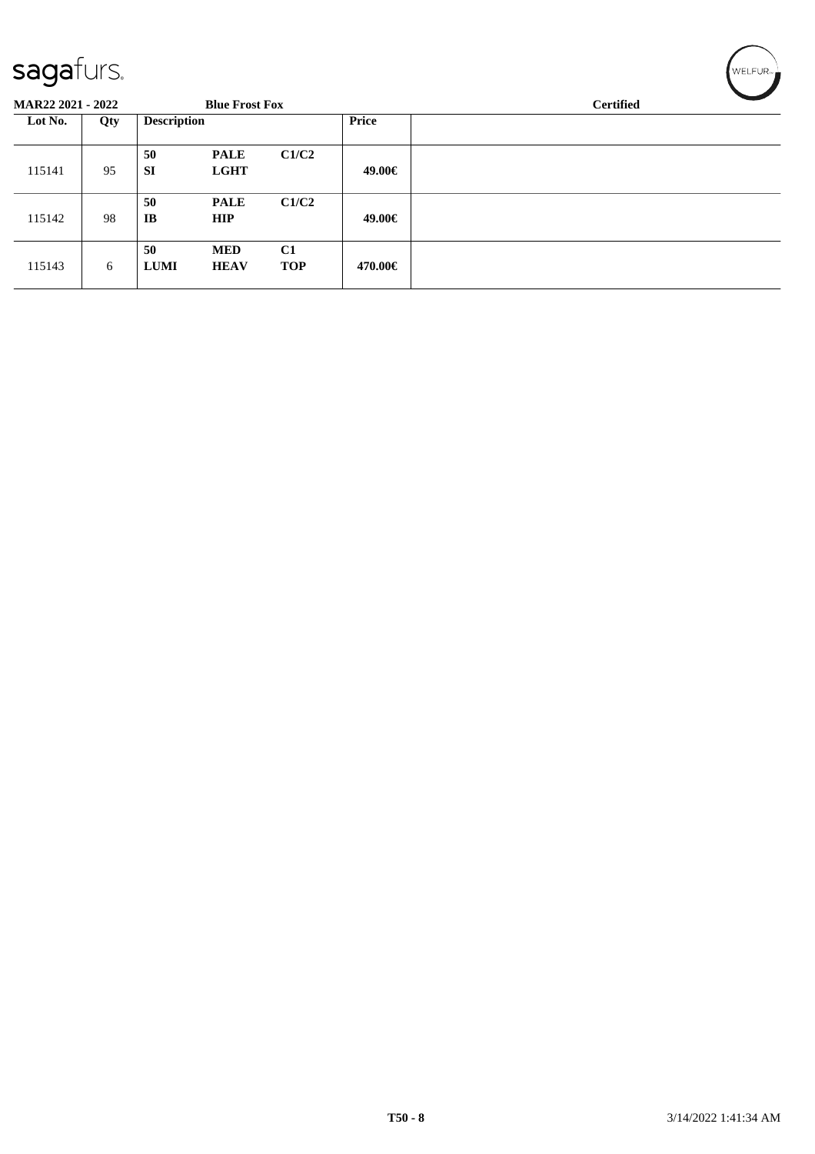| <b>MAR22 2021 - 2022</b> |     |                    | <b>Blue Frost Fox</b> |            |              | <b>Certified</b> |  |  |  |  |
|--------------------------|-----|--------------------|-----------------------|------------|--------------|------------------|--|--|--|--|
| Lot No.                  | Qty | <b>Description</b> |                       |            | <b>Price</b> |                  |  |  |  |  |
|                          |     | 50                 | <b>PALE</b>           | C1/C2      |              |                  |  |  |  |  |
| 115141                   | 95  | <b>SI</b>          | <b>LGHT</b>           |            | 49.00€       |                  |  |  |  |  |
|                          |     | 50                 | <b>PALE</b>           | C1/C2      |              |                  |  |  |  |  |
| 115142                   | 98  | IB                 | <b>HIP</b>            |            | 49.00€       |                  |  |  |  |  |
|                          |     | 50                 | <b>MED</b>            | C1         |              |                  |  |  |  |  |
| 115143                   | 6   | <b>LUMI</b>        | <b>HEAV</b>           | <b>TOP</b> | 470.00€      |                  |  |  |  |  |
|                          |     |                    |                       |            |              |                  |  |  |  |  |

 $w$ ELFUR<sub>m</sub>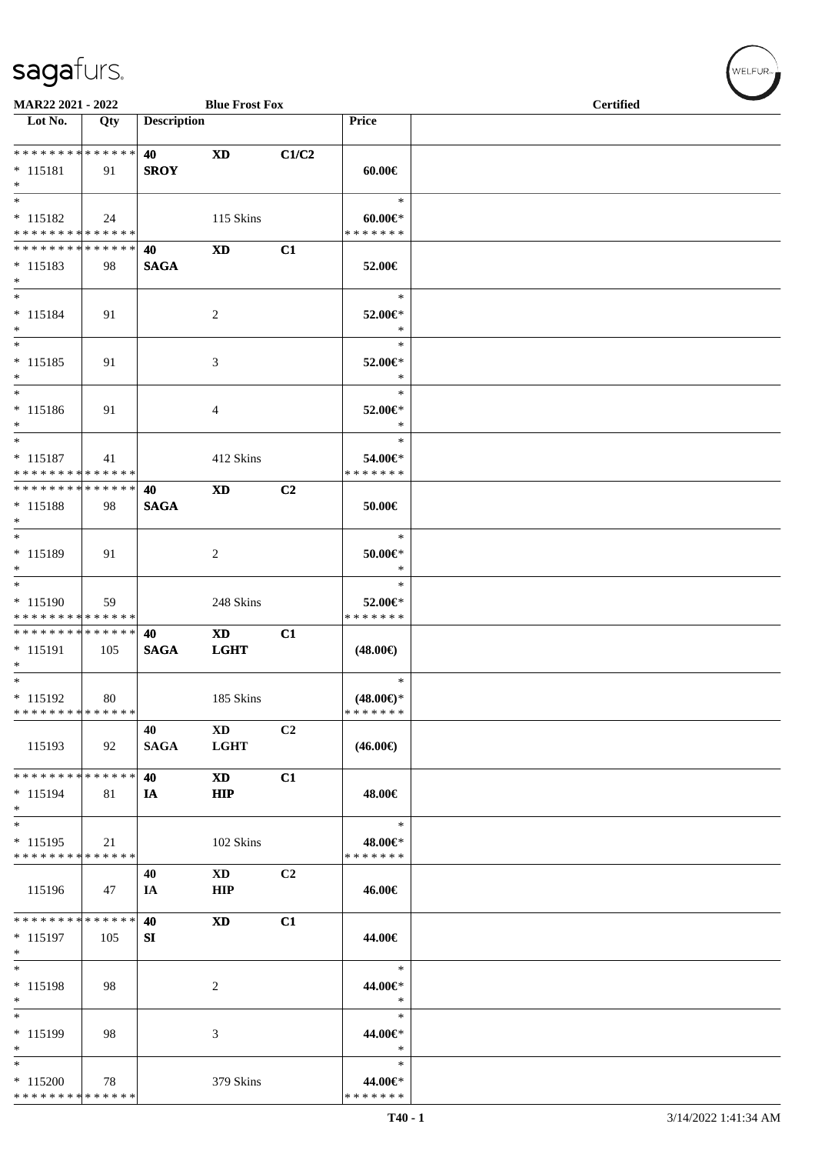| MAR22 2021 - 2022<br><b>Blue Frost Fox</b>                 |     |                    |                |       | <b>Certified</b>         |  |  |
|------------------------------------------------------------|-----|--------------------|----------------|-------|--------------------------|--|--|
| Lot No.                                                    | Qty | <b>Description</b> |                |       | <b>Price</b>             |  |  |
| **************                                             |     | 40                 | <b>XD</b>      | C1/C2 |                          |  |  |
| $* 115181$                                                 | 91  | <b>SROY</b>        |                |       | $60.00 \in$              |  |  |
| $*$<br>$\ast$                                              |     |                    |                |       | $\ast$                   |  |  |
| $* 115182$                                                 | 24  |                    | 115 Skins      |       | $60.00 \in$              |  |  |
| * * * * * * * * * * * * * *                                |     |                    |                |       | * * * * * * *            |  |  |
| * * * * * * * * * * * * * *                                |     | 40                 | <b>XD</b>      | C1    |                          |  |  |
| $* 115183$                                                 | 98  | <b>SAGA</b>        |                |       | 52.00€                   |  |  |
| $*$<br>$*$                                                 |     |                    |                |       |                          |  |  |
| $* 115184$                                                 | 91  |                    | $\overline{c}$ |       | $\ast$<br>52.00€*        |  |  |
| $*$                                                        |     |                    |                |       | $\ast$                   |  |  |
| $*$                                                        |     |                    |                |       | $\ast$                   |  |  |
| $* 115185$                                                 | 91  |                    | $\mathfrak{Z}$ |       | 52.00€*                  |  |  |
| $*$<br>$\ast$                                              |     |                    |                |       | $\ast$<br>$\ast$         |  |  |
| $* 115186$                                                 | 91  |                    | 4              |       | 52.00€*                  |  |  |
| $*$                                                        |     |                    |                |       | $\ast$                   |  |  |
| $\overline{\phantom{a}^*}$                                 |     |                    |                |       | $\ast$                   |  |  |
| $* 115187$                                                 | 41  |                    | 412 Skins      |       | 54.00€*                  |  |  |
| * * * * * * * * * * * * * *<br>* * * * * * * * * * * * * * |     |                    |                |       | * * * * * * *            |  |  |
| $* 115188$                                                 | 98  | 40<br><b>SAGA</b>  | <b>XD</b>      | C2    | $50.00 \in$              |  |  |
| $\ast$                                                     |     |                    |                |       |                          |  |  |
| $\overline{\phantom{0}}$                                   |     |                    |                |       | $\ast$                   |  |  |
| * 115189                                                   | 91  |                    | $\overline{c}$ |       | $50.00 \in$ *            |  |  |
| $\ast$<br>$\overline{\phantom{0}}$                         |     |                    |                |       | $\ast$<br>$\ast$         |  |  |
| * 115190                                                   | 59  |                    | 248 Skins      |       | 52.00€*                  |  |  |
| * * * * * * * * * * * * * *                                |     |                    |                |       | * * * * * * *            |  |  |
| **************                                             |     | 40                 | <b>XD</b>      | C1    |                          |  |  |
| $* 115191$                                                 | 105 | <b>SAGA</b>        | <b>LGHT</b>    |       | $(48.00\epsilon)$        |  |  |
| $\ast$<br>$\overline{\phantom{0}}$                         |     |                    |                |       | $\ast$                   |  |  |
| $* 115192$                                                 | 80  |                    | 185 Skins      |       | $(48.00\epsilon)$ *      |  |  |
| * * * * * * * * * * * * * *                                |     |                    |                |       | * * * * * * *            |  |  |
|                                                            |     | 40                 | <b>XD</b>      | C2    |                          |  |  |
| 115193                                                     | 92  | <b>SAGA</b>        | <b>LGHT</b>    |       | $(46.00\epsilon)$        |  |  |
| * * * * * * * * * * * * * *                                |     | 40                 | <b>XD</b>      | C1    |                          |  |  |
| $* 115194$                                                 | 81  | IA                 | <b>HIP</b>     |       | 48.00€                   |  |  |
| $\ast$                                                     |     |                    |                |       |                          |  |  |
| $_{\ast}$                                                  |     |                    |                |       | $\ast$                   |  |  |
| $* 115195$<br>* * * * * * * * * * * * * *                  | 21  |                    | 102 Skins      |       | 48.00€*<br>* * * * * * * |  |  |
|                                                            |     | 40                 | <b>XD</b>      | C2    |                          |  |  |
| 115196                                                     | 47  | IA                 | <b>HIP</b>     |       | 46.00€                   |  |  |
|                                                            |     |                    |                |       |                          |  |  |
| **************                                             |     | 40                 | <b>XD</b>      | C1    |                          |  |  |
| $* 115197$<br>$\ast$                                       | 105 | SI                 |                |       | 44.00€                   |  |  |
| $\ast$                                                     |     |                    |                |       | $\ast$                   |  |  |
| $* 115198$                                                 | 98  |                    | 2              |       | 44.00€*                  |  |  |
| $\ast$                                                     |     |                    |                |       | $\ast$                   |  |  |
| $\overline{\phantom{a}^*}$                                 |     |                    |                |       | $\ast$                   |  |  |
| * 115199<br>$\ast$                                         | 98  |                    | 3              |       | 44.00€*<br>$\ast$        |  |  |
| $\ast$                                                     |     |                    |                |       | $\ast$                   |  |  |
| $*115200$                                                  | 78  |                    | 379 Skins      |       | 44.00€*                  |  |  |
| * * * * * * * * * * * * * *                                |     |                    |                |       | * * * * * * *            |  |  |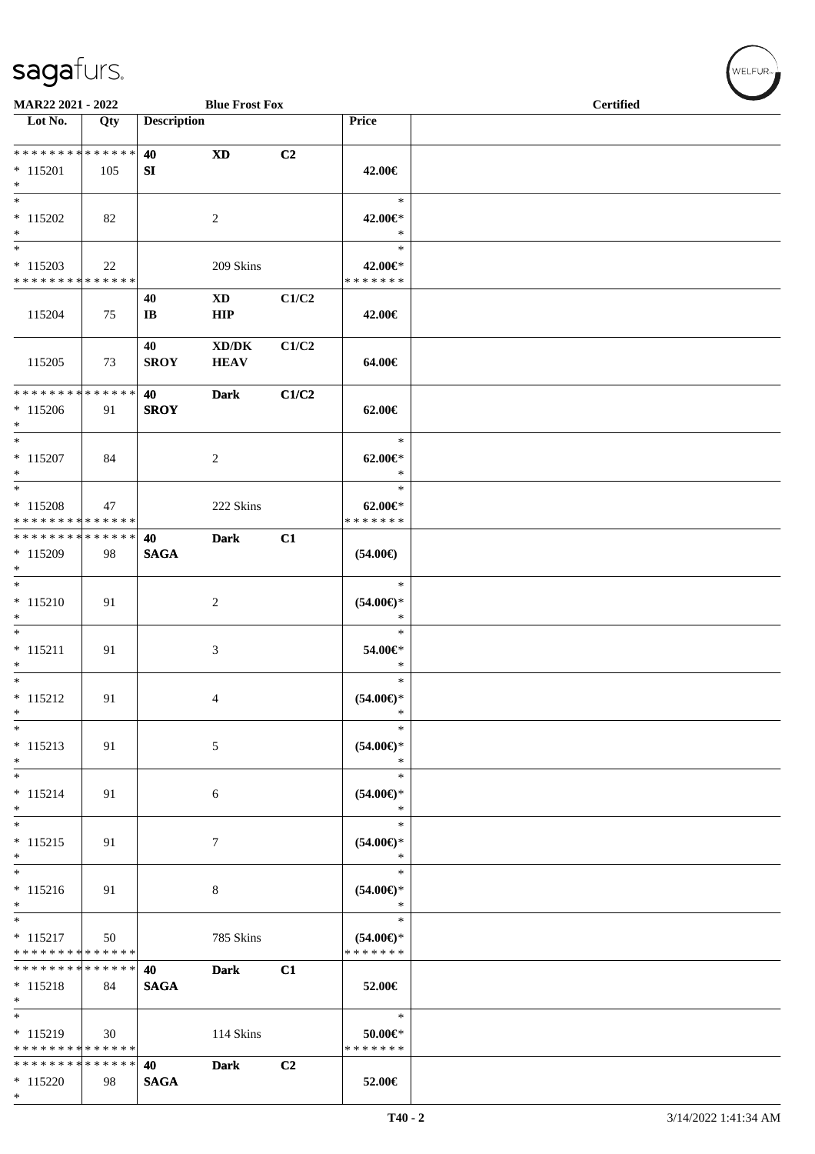\*

| MAR22 2021 - 2022                                                     |     |                              | <b>Blue Frost Fox</b>                              |                |                                          | <b>Certified</b> |  |
|-----------------------------------------------------------------------|-----|------------------------------|----------------------------------------------------|----------------|------------------------------------------|------------------|--|
| $\overline{\phantom{1}}$ Lot No.                                      | Qty | <b>Description</b>           |                                                    |                | Price                                    |                  |  |
| * * * * * * * * * * * * * * *<br>$* 115201$<br>$*$                    | 105 | 40<br>SI                     | <b>XD</b>                                          | C2             | 42.00€                                   |                  |  |
| $*$<br>$*115202$<br>$*$                                               | 82  |                              | $\overline{2}$                                     |                | $\ast$<br>42.00€*<br>$\ast$              |                  |  |
| $*$<br>$* 115203$<br>* * * * * * * * * * * * * *                      | 22  |                              | 209 Skins                                          |                | $\ast$<br>42.00€*<br>* * * * * * *       |                  |  |
| 115204                                                                | 75  | 40<br>$\mathbf{I}\mathbf{B}$ | $\mathbf{X}\mathbf{D}$<br><b>HIP</b>               | C1/C2          | 42.00€                                   |                  |  |
| 115205                                                                | 73  | 40<br><b>SROY</b>            | $\bold{X}\bold{D}/\bold{D}\bold{K}$<br><b>HEAV</b> | C1/C2          | 64.00€                                   |                  |  |
| * * * * * * * * * * * * * * *<br>$* 115206$<br>$*$                    | 91  | 40<br><b>SROY</b>            | <b>Dark</b>                                        | C1/C2          | 62.00€                                   |                  |  |
| $*$<br>$* 115207$<br>$*$                                              | 84  |                              | 2                                                  |                | $\ast$<br>$62.00 \in$<br>$\ast$          |                  |  |
| $*$<br>$* 115208$<br>* * * * * * * * * * * * * *                      | 47  |                              | 222 Skins                                          |                | $\ast$<br>$62.00 \in$<br>* * * * * * *   |                  |  |
| * * * * * * * * * * * * * * *<br>* 115209<br>$*$                      | 98  | 40<br><b>SAGA</b>            | <b>Dark</b>                                        | C1             | $(54.00\epsilon)$                        |                  |  |
| $* 115210$<br>$*$                                                     | 91  |                              | 2                                                  |                | $\ast$<br>$(54.00ε)$ *<br>$\ast$         |                  |  |
| $*$<br>$* 115211$<br>$*$                                              | 91  |                              | 3                                                  |                | $\ast$<br>54.00€*<br>$\ast$              |                  |  |
| $*$<br>$* 115212$<br>$\ast$                                           | 91  |                              | 4                                                  |                | $\ast$<br>$(54.00\epsilon)$ *<br>$\ast$  |                  |  |
| $*$<br>$* 115213$<br>$*$                                              | 91  |                              | 5                                                  |                | $\ast$<br>$(54.00\epsilon)$ *<br>$\ast$  |                  |  |
| $*$<br>$* 115214$<br>$*$                                              | 91  |                              | 6                                                  |                | $\ast$<br>$(54.00ε)$ *<br>$\ast$         |                  |  |
| $*$<br>$* 115215$<br>$\ast$                                           | 91  |                              | 7                                                  |                | $\ast$<br>$(54.00ε)$ *<br>$\ast$         |                  |  |
| $* 115216$<br>$*$                                                     | 91  |                              | 8                                                  |                | $\ast$<br>$(54.00ε)$ *<br>$\ast$         |                  |  |
| $\overline{\phantom{0}}$<br>$* 115217$<br>* * * * * * * * * * * * * * | 50  |                              | 785 Skins                                          |                | $\ast$<br>$(54.00ε)$ *<br>* * * * * * *  |                  |  |
| * * * * * * * * * * * * * *<br>$* 115218$<br>$*$                      | 84  | 40<br><b>SAGA</b>            | <b>Dark</b>                                        | C1             | 52.00€                                   |                  |  |
| $*115219$<br>* * * * * * * * * * * * * * *                            | 30  |                              | 114 Skins                                          |                | $\ast$<br>$50.00 \in$ *<br>* * * * * * * |                  |  |
| * * * * * * * * * * * * * * *<br>$* 115220$                           | 98  | 40<br><b>SAGA</b>            | <b>Dark</b>                                        | C <sub>2</sub> | 52.00€                                   |                  |  |

 $(\forall ELFUR_{\text{max}})$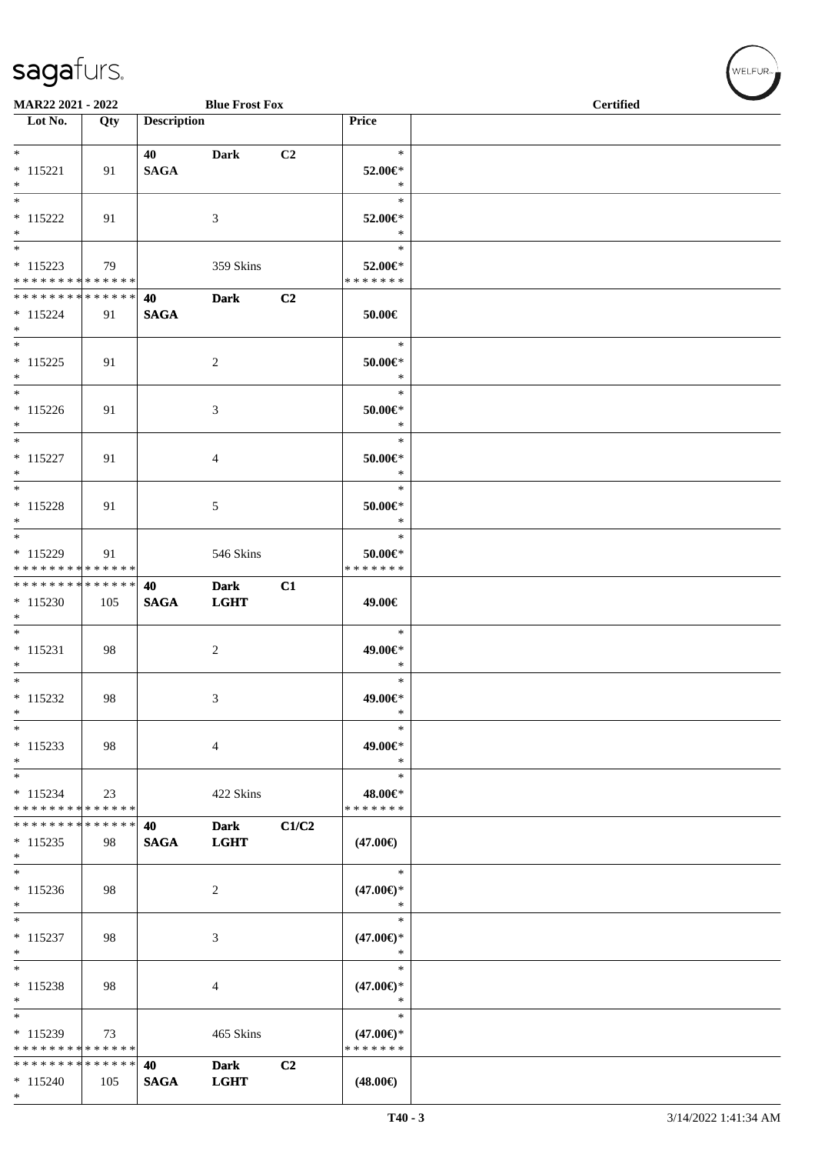\*

| MAR22 2021 - 2022                                  |     |                    | <b>Blue Frost Fox</b>      |       |                                                | <b>Certified</b> |  |
|----------------------------------------------------|-----|--------------------|----------------------------|-------|------------------------------------------------|------------------|--|
| $\overline{\phantom{1}}$ Lot No.                   | Qty | <b>Description</b> |                            |       | Price                                          |                  |  |
| $*$<br>$* 115221$<br>$*$                           | 91  | 40<br><b>SAGA</b>  | <b>Dark</b>                | C2    | $\ast$<br>52.00€*<br>$\ast$                    |                  |  |
| $\overline{\ast}$<br>$* 115222$<br>$*$             | 91  |                    | 3                          |       | $\ast$<br>52.00€*<br>$\ast$                    |                  |  |
| $*$<br>$* 115223$<br>* * * * * * * * * * * * * *   | 79  |                    | 359 Skins                  |       | $\ast$<br>52.00€*<br>* * * * * * *             |                  |  |
| * * * * * * * * * * * * * * *<br>$* 115224$<br>$*$ | 91  | 40<br><b>SAGA</b>  | <b>Dark</b>                | C2    | 50.00€                                         |                  |  |
| $*$<br>$* 115225$<br>$*$                           | 91  |                    | 2                          |       | $\ast$<br>$50.00 \in$<br>$\ast$                |                  |  |
| $*$<br>$* 115226$<br>$*$                           | 91  |                    | 3                          |       | $\ast$<br>50.00€*<br>$\ast$                    |                  |  |
| $*$<br>$* 115227$<br>$\ast$                        | 91  |                    | 4                          |       | $\ast$<br>$50.00 \in$ *<br>$\ast$              |                  |  |
| $*$<br>$* 115228$<br>$*$                           | 91  |                    | 5                          |       | $\ast$<br>$50.00 \in$ *<br>$\ast$              |                  |  |
| $*$<br>$* 115229$<br>* * * * * * * * * * * * * *   | 91  |                    | 546 Skins                  |       | $\ast$<br>$50.00 \in$ *<br>* * * * * * *       |                  |  |
| * * * * * * * * * * * * * *<br>$* 115230$<br>$*$   | 105 | 40<br><b>SAGA</b>  | <b>Dark</b><br><b>LGHT</b> | C1    | 49.00€                                         |                  |  |
| $*$<br>$* 115231$<br>$*$                           | 98  |                    | $\overline{c}$             |       | $\ast$<br>49.00€*<br>$\ast$                    |                  |  |
| $*$<br>$* 115232$<br>$*$                           | 98  |                    | $\mathfrak{Z}$             |       | $\ast$<br>49.00€*<br>$\ast$                    |                  |  |
| $*$<br>$* 115233$<br>$\ast$                        | 98  |                    | $\overline{4}$             |       | $\ast$<br>49.00€*<br>$\ast$                    |                  |  |
| $*$<br>$* 115234$<br>* * * * * * * * * * * * * *   | 23  |                    | 422 Skins                  |       | $\ast$<br>48.00€*<br>* * * * * * *             |                  |  |
| * * * * * * * * * * * * * *<br>$* 115235$<br>$*$   | 98  | 40<br><b>SAGA</b>  | <b>Dark</b><br><b>LGHT</b> | C1/C2 | $(47.00\epsilon)$                              |                  |  |
| $*$<br>$* 115236$<br>$*$                           | 98  |                    | $\overline{2}$             |       | $\ast$<br>$(47.00\epsilon)$ *<br>$\ast$        |                  |  |
| $*$<br>$* 115237$<br>$\ast$                        | 98  |                    | 3                          |       | $\ast$<br>$(47.00\epsilon)$ *<br>$\ast$        |                  |  |
| $*$<br>* 115238<br>$*$                             | 98  |                    | 4                          |       | $\ast$<br>$(47.00\epsilon)$ *<br>$\ast$        |                  |  |
| $*$<br>* 115239<br>* * * * * * * * * * * * * *     | 73  |                    | 465 Skins                  |       | $\ast$<br>$(47.00\epsilon)$ *<br>* * * * * * * |                  |  |
| * * * * * * * * * * * * * * *<br>$* 115240$        | 105 | 40<br><b>SAGA</b>  | <b>Dark</b><br><b>LGHT</b> | C2    | $(48.00\epsilon)$                              |                  |  |

 $(w$ ELFUR<sub>m</sub>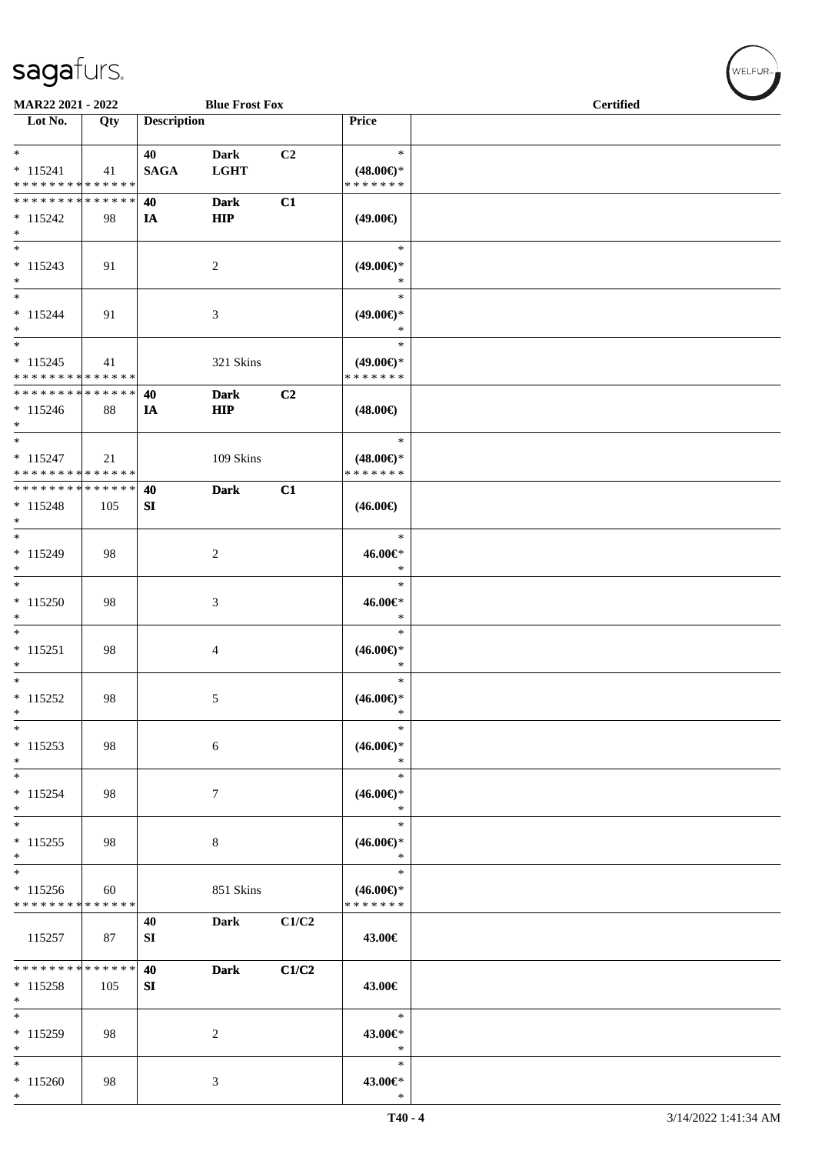\*

| MAR22 2021 - 2022             |     |                    | <b>Blue Frost Fox</b> |       |                               | <b>Certified</b> |
|-------------------------------|-----|--------------------|-----------------------|-------|-------------------------------|------------------|
| Lot No.                       | Qty | <b>Description</b> |                       |       | <b>Price</b>                  |                  |
|                               |     |                    |                       |       |                               |                  |
| $*$                           |     | 40                 | <b>Dark</b>           | C2    | $\ast$                        |                  |
| $* 115241$                    | 41  | <b>SAGA</b>        | <b>LGHT</b>           |       | $(48.00\epsilon)$ *           |                  |
| * * * * * * * * * * * * * *   |     |                    |                       |       | * * * * * * *                 |                  |
| * * * * * * * * * * * * * * * |     | 40                 | <b>Dark</b>           | C1    |                               |                  |
| $* 115242$                    | 98  | IA                 | <b>HIP</b>            |       | $(49.00\epsilon)$             |                  |
| $\ast$                        |     |                    |                       |       |                               |                  |
|                               |     |                    |                       |       | $\ast$                        |                  |
|                               |     |                    |                       |       |                               |                  |
| $* 115243$<br>$*$             | 91  |                    | 2                     |       | $(49.00\epsilon)$ *<br>$\ast$ |                  |
| $*$                           |     |                    |                       |       |                               |                  |
|                               |     |                    |                       |       | $\ast$                        |                  |
| $* 115244$                    | 91  |                    | 3                     |       | $(49.00\epsilon)$ *           |                  |
| $*$                           |     |                    |                       |       | $\ast$                        |                  |
| $*$                           |     |                    |                       |       | $\ast$                        |                  |
| $* 115245$                    | 41  |                    | 321 Skins             |       | $(49.00\epsilon)$ *           |                  |
| * * * * * * * * * * * * * *   |     |                    |                       |       | *******                       |                  |
| * * * * * * * * * * * * * * * |     | 40                 | <b>Dark</b>           | C2    |                               |                  |
| $* 115246$                    | 88  | IA                 | <b>HIP</b>            |       | $(48.00\epsilon)$             |                  |
| $*$                           |     |                    |                       |       |                               |                  |
| $*$                           |     |                    |                       |       | $\ast$                        |                  |
| $* 115247$                    | 21  |                    | 109 Skins             |       | $(48.00\epsilon)$ *           |                  |
| * * * * * * * * * * * * * *   |     |                    |                       |       | * * * * * * *                 |                  |
| * * * * * * * * * * * * * * * |     | 40                 | <b>Dark</b>           | C1    |                               |                  |
|                               |     |                    |                       |       |                               |                  |
| $* 115248$                    | 105 | SI                 |                       |       | $(46.00\epsilon)$             |                  |
| $\ast$                        |     |                    |                       |       |                               |                  |
|                               |     |                    |                       |       | $\ast$                        |                  |
| * 115249                      | 98  |                    | 2                     |       | 46.00€*                       |                  |
| $*$                           |     |                    |                       |       | $\ast$                        |                  |
| $*$                           |     |                    |                       |       | $\ast$                        |                  |
| $* 115250$                    | 98  |                    | 3                     |       | 46.00€*                       |                  |
| $*$                           |     |                    |                       |       | $\ast$                        |                  |
| $*$                           |     |                    |                       |       | $\ast$                        |                  |
| $* 115251$                    | 98  |                    | 4                     |       | $(46.00\epsilon)$ *           |                  |
| $*$                           |     |                    |                       |       | $\ast$                        |                  |
| $*$                           |     |                    |                       |       | $\ast$                        |                  |
| $* 115252$                    | 98  |                    | 5                     |       | $(46.00\epsilon)$ *           |                  |
| $\ast$                        |     |                    |                       |       | *                             |                  |
| $\ast$                        |     |                    |                       |       | $\ast$                        |                  |
|                               |     |                    |                       |       |                               |                  |
| $* 115253$                    | 98  |                    | 6                     |       | $(46.00\epsilon)$ *           |                  |
| $\ast$                        |     |                    |                       |       | $\ast$                        |                  |
| $*$                           |     |                    |                       |       | $\ast$                        |                  |
| $* 115254$                    | 98  |                    | $\tau$                |       | $(46.00\epsilon)$ *           |                  |
| $\ast$                        |     |                    |                       |       | $\ast$                        |                  |
| $\overline{\ast}$             |     |                    |                       |       | $\ast$                        |                  |
| $* 115255$                    | 98  |                    | 8                     |       | $(46.00\epsilon)$ *           |                  |
| $*$                           |     |                    |                       |       | $\ast$                        |                  |
| $\overline{\phantom{0}}$      |     |                    |                       |       | $\ast$                        |                  |
| $* 115256$                    | 60  |                    | 851 Skins             |       | $(46.00\epsilon)$ *           |                  |
| * * * * * * * * * * * * * *   |     |                    |                       |       | * * * * * * *                 |                  |
|                               |     | 40                 | <b>Dark</b>           | C1/C2 |                               |                  |
|                               | 87  |                    |                       |       | 43.00€                        |                  |
| 115257                        |     | SI                 |                       |       |                               |                  |
| * * * * * * * * * * * * * *   |     |                    |                       |       |                               |                  |
|                               |     | 40                 | <b>Dark</b>           | C1/C2 |                               |                  |
| $* 115258$                    | 105 | ${\bf S}{\bf I}$   |                       |       | 43.00€                        |                  |
| $*$                           |     |                    |                       |       |                               |                  |
| $*$                           |     |                    |                       |       | $\ast$                        |                  |
| * 115259                      | 98  |                    | 2                     |       | 43.00€*                       |                  |
| $*$                           |     |                    |                       |       | $\ast$                        |                  |
| $*$                           |     |                    |                       |       | $\ast$                        |                  |
| $* 115260$                    | 98  |                    | 3                     |       | 43.00€*                       |                  |
| $*$                           |     |                    |                       |       | $\ast$                        |                  |

 $(w$ ELFUR<sub><sup>n</sub></sub></sub></sup>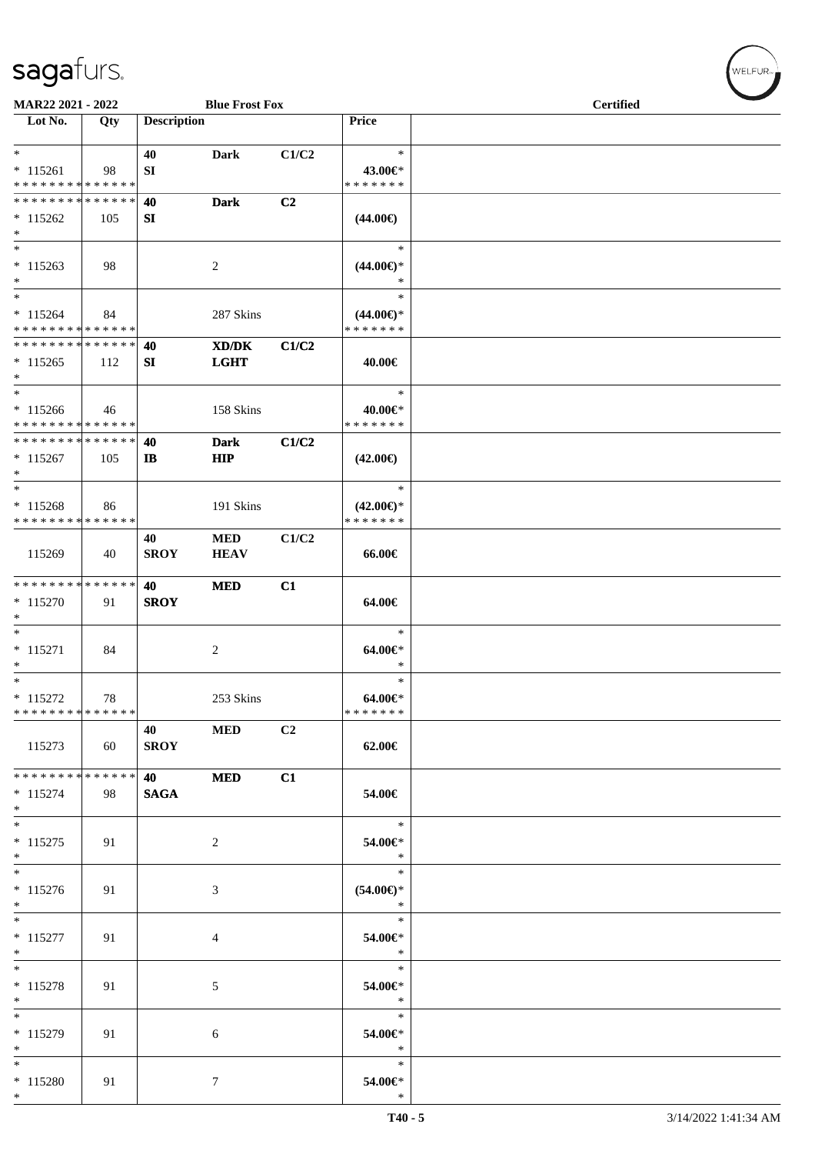| MAR22 2021 - 2022                         |     |                    | <b>Blue Frost Fox</b>                       |       |                                         | <b>Certified</b> |  |  |  |
|-------------------------------------------|-----|--------------------|---------------------------------------------|-------|-----------------------------------------|------------------|--|--|--|
| $\overline{\phantom{1}}$ Lot No.          | Qty | <b>Description</b> |                                             |       | Price                                   |                  |  |  |  |
| $*$<br>$* 115261$                         | 98  | 40<br>SI           | <b>Dark</b>                                 | C1/C2 | $\ast$<br>43.00€*                       |                  |  |  |  |
| * * * * * * * * * * * * * *               |     |                    |                                             |       | * * * * * * *                           |                  |  |  |  |
| * * * * * * * * * * * * * *               |     | 40                 | <b>Dark</b>                                 | C2    |                                         |                  |  |  |  |
| $*115262$                                 | 105 | SI                 |                                             |       | $(44.00\epsilon)$                       |                  |  |  |  |
| $*$                                       |     |                    |                                             |       |                                         |                  |  |  |  |
| $*$<br>$* 115263$<br>$*$                  | 98  |                    | 2                                           |       | $\ast$<br>$(44.00\epsilon)$ *<br>$\ast$ |                  |  |  |  |
| $\ast$                                    |     |                    |                                             |       | $\ast$                                  |                  |  |  |  |
| $* 115264$<br>* * * * * * * * * * * * * * | 84  |                    | 287 Skins                                   |       | $(44.00\epsilon)$ *<br>* * * * * * *    |                  |  |  |  |
| * * * * * * * * * * * * * *               |     | 40                 | $\mathbf{X}\mathbf{D}/\mathbf{D}\mathbf{K}$ | C1/C2 |                                         |                  |  |  |  |
| $*115265$<br>$*$                          | 112 | SI                 | <b>LGHT</b>                                 |       | 40.00€                                  |                  |  |  |  |
| $*$                                       |     |                    |                                             |       | $\ast$                                  |                  |  |  |  |
| $* 115266$                                | 46  |                    | 158 Skins                                   |       | 40.00€*                                 |                  |  |  |  |
| * * * * * * * * * * * * * *               |     |                    |                                             |       | * * * * * * *                           |                  |  |  |  |
| * * * * * * * * * * * * * *               |     | 40                 | <b>Dark</b>                                 | C1/C2 |                                         |                  |  |  |  |
| $*115267$<br>$*$                          | 105 | $\mathbf{I}$       | HIP                                         |       | $(42.00\epsilon)$                       |                  |  |  |  |
| $\ast$                                    |     |                    |                                             |       | $\ast$                                  |                  |  |  |  |
| $* 115268$<br>* * * * * * * * * * * * * * | 86  |                    | 191 Skins                                   |       | $(42.00\epsilon)$ *<br>* * * * * * *    |                  |  |  |  |
|                                           |     | 40                 | <b>MED</b>                                  | C1/C2 |                                         |                  |  |  |  |
| 115269                                    | 40  | <b>SROY</b>        | <b>HEAV</b>                                 |       | 66.00€                                  |                  |  |  |  |
| * * * * * * * * * * * * * *               |     | 40                 | <b>MED</b>                                  | C1    |                                         |                  |  |  |  |
| $* 115270$                                | 91  | <b>SROY</b>        |                                             |       | 64.00€                                  |                  |  |  |  |
| $*$                                       |     |                    |                                             |       |                                         |                  |  |  |  |
| $*$                                       |     |                    |                                             |       | $\ast$                                  |                  |  |  |  |
| $* 115271$                                | 84  |                    | $\overline{c}$                              |       | 64.00€*                                 |                  |  |  |  |
| $*$                                       |     |                    |                                             |       | $\ast$                                  |                  |  |  |  |
| $*$                                       |     |                    |                                             |       | $\ast$                                  |                  |  |  |  |
| $* 115272$                                | 78  |                    | 253 Skins                                   |       | 64.00€*                                 |                  |  |  |  |
| * * * * * * * * * * * * * *               |     |                    |                                             |       | * * * * * * *                           |                  |  |  |  |
| 115273                                    | 60  | 40<br><b>SROY</b>  | <b>MED</b>                                  | C2    | 62.00€                                  |                  |  |  |  |
| * * * * * * * * * * * * * *               |     | 40                 | <b>MED</b>                                  | C1    |                                         |                  |  |  |  |
| $* 115274$<br>$*$                         | 98  | <b>SAGA</b>        |                                             |       | 54.00€                                  |                  |  |  |  |
| $*$                                       |     |                    |                                             |       | $\ast$                                  |                  |  |  |  |
| $* 115275$<br>$*$                         | 91  |                    | 2                                           |       | 54.00€*<br>$\ast$                       |                  |  |  |  |
| $*$                                       |     |                    |                                             |       | $\ast$                                  |                  |  |  |  |
| $* 115276$<br>$*$                         | 91  |                    | 3                                           |       | $(54.00ε)$ *<br>$\ast$                  |                  |  |  |  |
| $*$                                       |     |                    |                                             |       | $\ast$                                  |                  |  |  |  |
| $* 115277$<br>$*$                         | 91  |                    | $\overline{4}$                              |       | 54.00€*<br>$\ast$                       |                  |  |  |  |
| $*$                                       |     |                    |                                             |       | $\ast$                                  |                  |  |  |  |
| $* 115278$                                | 91  |                    | 5                                           |       | 54.00€*                                 |                  |  |  |  |
| $*$                                       |     |                    |                                             |       | $\ast$                                  |                  |  |  |  |
| $*$                                       |     |                    |                                             |       | $\ast$                                  |                  |  |  |  |
| $* 115279$<br>$*$                         | 91  |                    | 6                                           |       | 54.00€*<br>$\ast$                       |                  |  |  |  |
| $*$                                       |     |                    |                                             |       | $\ast$                                  |                  |  |  |  |
| * 115280<br>$*$                           | 91  |                    | $\tau$                                      |       | 54.00€*<br>$\ast$                       |                  |  |  |  |

 $w$ elfur<sub>m</sub>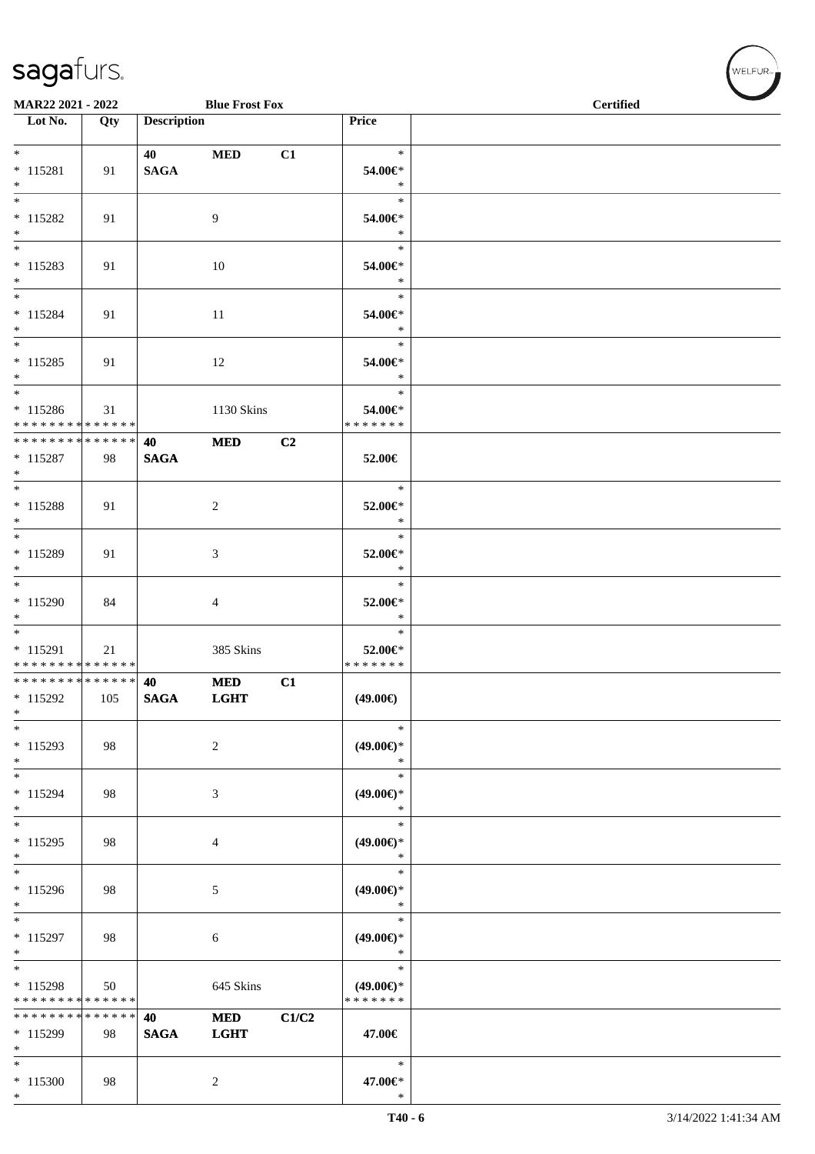| MAR22 2021 - 2022                                          |     |                    | <b>Blue Frost Fox</b>     |       |                                                | <b>Certified</b> |  |  |
|------------------------------------------------------------|-----|--------------------|---------------------------|-------|------------------------------------------------|------------------|--|--|
| Lot No.                                                    | Qty | <b>Description</b> |                           |       | Price                                          |                  |  |  |
| $*$<br>$* 115281$<br>$*$                                   | 91  | 40<br><b>SAGA</b>  | $\bf MED$                 | C1    | $\ast$<br>54.00€*<br>$\ast$                    |                  |  |  |
| $\overline{\phantom{0}}$<br>$* 115282$<br>$*$              | 91  |                    | 9                         |       | $\ast$<br>54.00€*<br>$\ast$                    |                  |  |  |
| $* 115283$<br>$*$                                          | 91  |                    | $10\,$                    |       | $\ast$<br>54.00€*<br>$\ast$                    |                  |  |  |
| $*$<br>$* 115284$<br>$*$                                   | 91  |                    | $11\,$                    |       | $\ast$<br>54.00€*<br>$\ast$                    |                  |  |  |
| $*$<br>$* 115285$<br>$*$                                   | 91  |                    | 12                        |       | $\ast$<br>54.00€*<br>$\ast$                    |                  |  |  |
| $*$<br>$* 115286$<br>* * * * * * * * * * * * * *           | 31  |                    | 1130 Skins                |       | $\ast$<br>54.00€*<br>* * * * * * *             |                  |  |  |
| ******** <mark>******</mark><br>$* 115287$<br>$*$          | 98  | 40<br><b>SAGA</b>  | $\bf MED$                 | C2    | 52.00€                                         |                  |  |  |
| $* 115288$<br>$*$                                          | 91  |                    | $\overline{2}$            |       | $\ast$<br>52.00€*<br>$\ast$                    |                  |  |  |
| * 115289<br>$*$<br>$\overline{\ast}$                       | 91  |                    | 3                         |       | $\ast$<br>52.00€*<br>$\ast$                    |                  |  |  |
| $* 115290$<br>$*$<br>$*$                                   | 84  |                    | $\overline{4}$            |       | $\ast$<br>52.00€*<br>$\ast$                    |                  |  |  |
| $* 115291$<br>* * * * * * * * * * * * * *                  | 21  |                    | 385 Skins                 |       | $\ast$<br>52.00€*<br>* * * * * * *             |                  |  |  |
| ******** <mark>******</mark><br>$*115292$<br>$\ast$        | 105 | 40<br><b>SAGA</b>  | <b>MED</b><br><b>LGHT</b> | C1    | $(49.00\epsilon)$                              |                  |  |  |
| $\ast$<br>$* 115293$<br>$\ast$<br>$\overline{\phantom{0}}$ | 98  |                    | $\overline{2}$            |       | $\ast$<br>$(49.00\epsilon)$ *<br>$\ast$        |                  |  |  |
| $* 115294$<br>$*$<br>$\ast$                                | 98  |                    | 3                         |       | $\ast$<br>$(49.00\epsilon)$ *<br>$\ast$        |                  |  |  |
| $* 115295$<br>$*$<br>$\overline{\phantom{0}}$              | 98  |                    | 4                         |       | $\ast$<br>$(49.00\epsilon)$ *<br>$\ast$        |                  |  |  |
| $* 115296$<br>$\ast$<br>$\overline{\ast}$                  | 98  |                    | 5                         |       | $\ast$<br>$(49.00\epsilon)$ *<br>$\ast$        |                  |  |  |
| * 115297<br>$*$                                            | 98  |                    | 6                         |       | $\ast$<br>$(49.00\epsilon)$ *<br>$\ast$        |                  |  |  |
| $*$<br>* 115298<br>* * * * * * * * * * * * * *             | 50  |                    | 645 Skins                 |       | $\ast$<br>$(49.00\epsilon)$ *<br>* * * * * * * |                  |  |  |
| * * * * * * * * * * * * * *<br>$*115299$<br>$\ast$         | 98  | 40<br><b>SAGA</b>  | <b>MED</b><br><b>LGHT</b> | C1/C2 | 47.00€                                         |                  |  |  |
| $*$<br>$* 115300$<br>$*$                                   | 98  |                    | $\overline{c}$            |       | $\ast$<br>47.00€*<br>$\ast$                    |                  |  |  |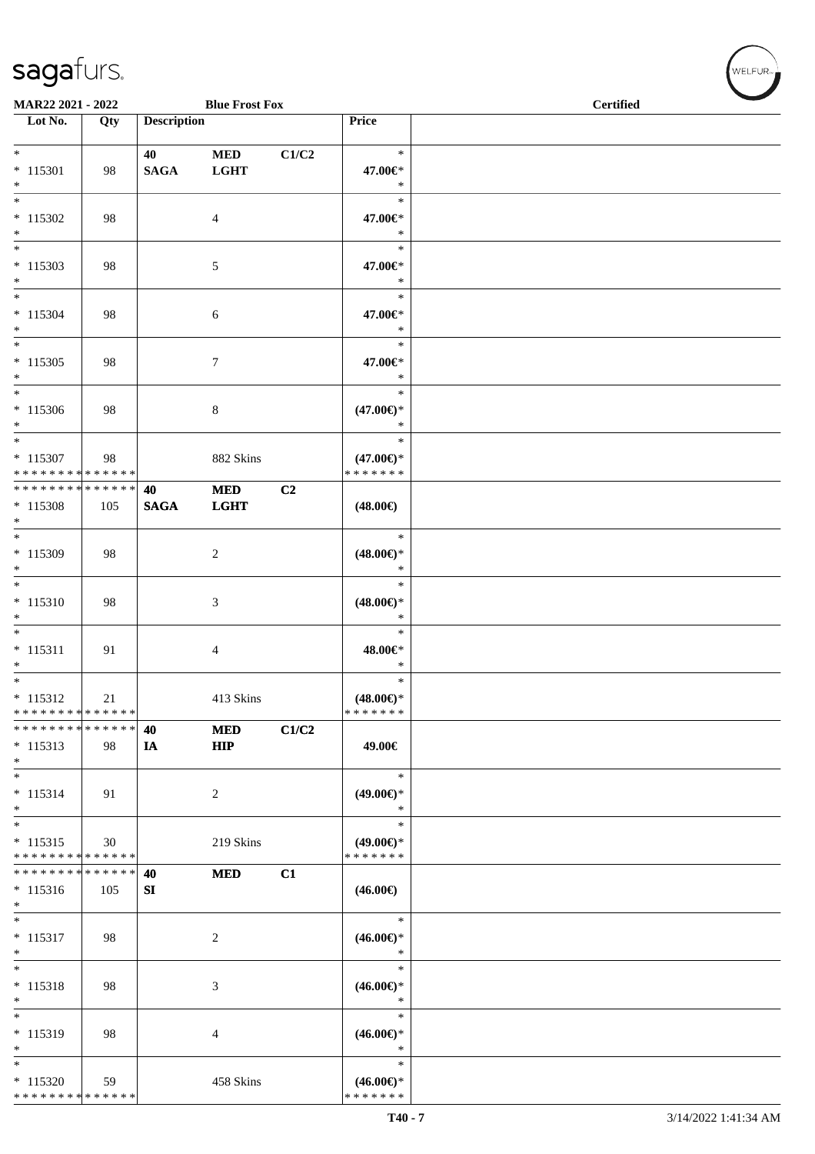| MAR22 2021 - 2022                                   |     |                    | <b>Blue Frost Fox</b>    |       |                                                | <b>Certified</b> |
|-----------------------------------------------------|-----|--------------------|--------------------------|-------|------------------------------------------------|------------------|
| $\overline{\phantom{1}}$ Lot No.                    | Qty | <b>Description</b> |                          |       | Price                                          |                  |
| $*$<br>$* 115301$<br>$\ast$                         | 98  | 40<br><b>SAGA</b>  | $\bf MED$<br><b>LGHT</b> | C1/C2 | $\ast$<br>47.00€*<br>$\ast$                    |                  |
| $\ast$<br>$*115302$<br>$\ast$                       | 98  |                    | $\overline{4}$           |       | $\ast$<br>47.00€*<br>$\ast$                    |                  |
| $\ast$<br>$*115303$<br>$*$                          | 98  |                    | 5                        |       | $\ast$<br>47.00€*<br>$\ast$                    |                  |
| $\ast$<br>$* 115304$<br>$*$<br>$\ast$               | 98  |                    | 6                        |       | $\ast$<br>47.00€*<br>$\ast$                    |                  |
| $* 115305$<br>$*$                                   | 98  |                    | $\tau$                   |       | $\ast$<br>47.00€*<br>$\ast$                    |                  |
| $\ast$<br>$* 115306$<br>$*$                         | 98  |                    | $\,8\,$                  |       | $\ast$<br>$(47.00\epsilon)$ *<br>$\ast$        |                  |
| $\ast$<br>$* 115307$<br>* * * * * * * * * * * * * * | 98  |                    | 882 Skins                |       | $\ast$<br>$(47.00\epsilon)$ *<br>* * * * * * * |                  |
| * * * * * * * * * * * * * *<br>$* 115308$<br>$*$    | 105 | 40<br><b>SAGA</b>  | $\bf MED$<br><b>LGHT</b> | C2    | $(48.00\epsilon)$                              |                  |
| $\overline{\phantom{0}}$<br>* 115309<br>$\ast$      | 98  |                    | 2                        |       | $\ast$<br>$(48.00\epsilon)$ *<br>$\ast$        |                  |
| $*$<br>$* 115310$<br>$\ast$                         | 98  |                    | $\mathfrak{Z}$           |       | $\ast$<br>$(48.00\epsilon)$ *<br>$\ast$        |                  |
| $\ast$<br>$* 115311$<br>$\ast$                      | 91  |                    | $\overline{4}$           |       | $\ast$<br>48.00€*<br>$\ast$                    |                  |
| $*$<br>$* 115312$<br>* * * * * * * * * * * * * *    | 21  |                    | 413 Skins                |       | $\ast$<br>$(48.00\epsilon)$ *<br>* * * * * * * |                  |
| * * * * * * * * * * * * * *<br>$* 115313$<br>$\ast$ | 98  | 40<br>IA           | <b>MED</b><br>HIP        | C1/C2 | 49.00€                                         |                  |
| $\ast$<br>$* 115314$<br>$\ast$                      | 91  |                    | 2                        |       | $\ast$<br>$(49.00\epsilon)$ *<br>$\ast$        |                  |
| $\ast$<br>$* 115315$<br>* * * * * * * * * * * * * * | 30  |                    | 219 Skins                |       | $\ast$<br>$(49.00\epsilon)$ *<br>* * * * * * * |                  |
| * * * * * * * * * * * * * *<br>$* 115316$<br>$*$    | 105 | 40<br>${\bf SI}$   | <b>MED</b>               | C1    | $(46.00\epsilon)$                              |                  |
| $\ast$<br>$* 115317$<br>$\ast$                      | 98  |                    | $\overline{c}$           |       | $\ast$<br>$(46.00\epsilon)$ *<br>$\ast$        |                  |
| $\ast$<br>$* 115318$<br>$\ast$                      | 98  |                    | 3                        |       | $\ast$<br>$(46.00\epsilon)$ *<br>$\ast$        |                  |
| $\ast$<br>* 115319<br>$\ast$                        | 98  |                    | 4                        |       | $\ast$<br>$(46.00\epsilon)$ *<br>$\ast$        |                  |
| $\ast$<br>$*115320$<br>* * * * * * * * * * * * * *  | 59  |                    | 458 Skins                |       | $\ast$<br>$(46.00ε)$ *<br>* * * * * * *        |                  |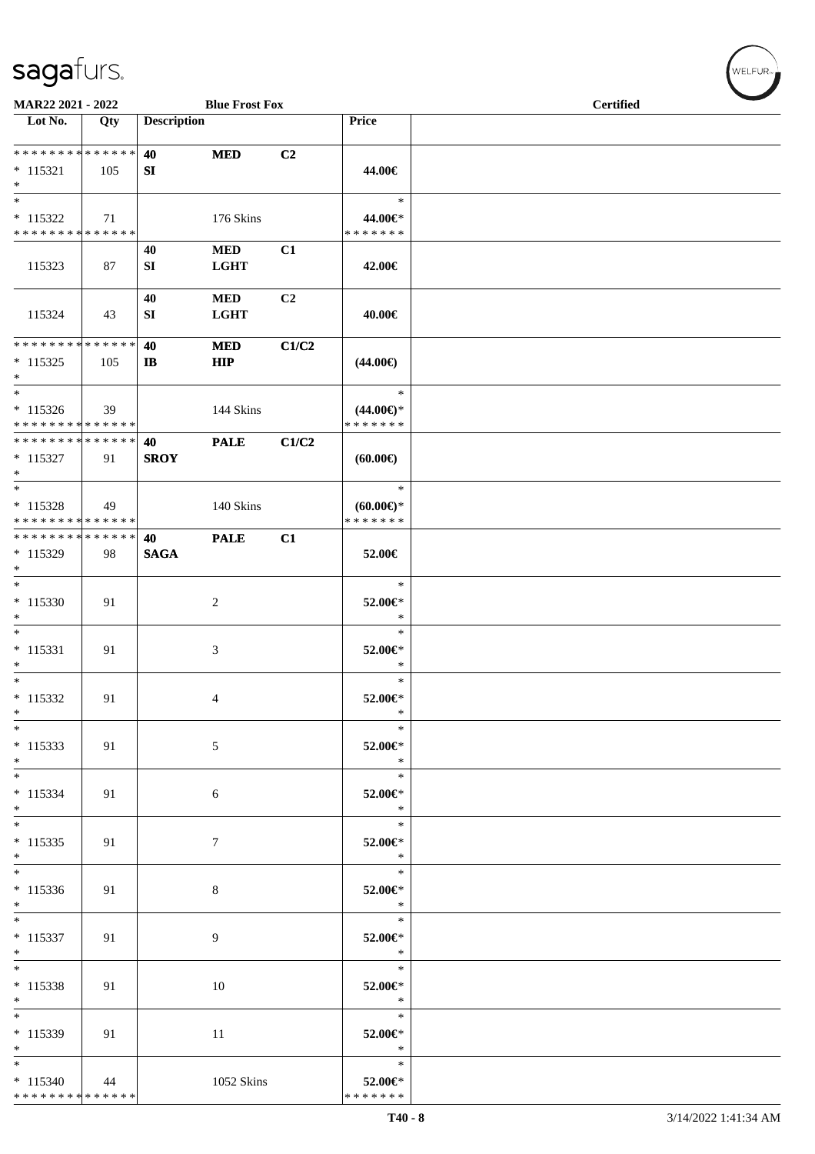| MAR22 2021 - 2022                                                     |     |                    | <b>Blue Frost Fox</b>    |       |                                                   | <b>Certified</b> |  |
|-----------------------------------------------------------------------|-----|--------------------|--------------------------|-------|---------------------------------------------------|------------------|--|
| $\overline{\phantom{1}}$ Lot No.                                      | Qty | <b>Description</b> |                          |       | Price                                             |                  |  |
| **************<br>$* 115321$<br>$\ast$                                | 105 | 40<br>SI           | <b>MED</b>               | C2    | 44.00€                                            |                  |  |
| $\ast$<br>$* 115322$<br>* * * * * * * * * * * * * *                   | 71  |                    | 176 Skins                |       | $\ast$<br>44.00€*<br>* * * * * * *                |                  |  |
| 115323                                                                | 87  | 40<br>SI           | $\bf MED$<br><b>LGHT</b> | C1    | 42.00€                                            |                  |  |
| 115324                                                                | 43  | 40<br>SI           | $\bf MED$<br><b>LGHT</b> | C2    | 40.00€                                            |                  |  |
| * * * * * * * * * * * * * *<br>$* 115325$<br>$\ast$                   | 105 | 40<br>$\mathbf{I}$ | <b>MED</b><br><b>HIP</b> | C1/C2 | $(44.00\epsilon)$                                 |                  |  |
| $\overline{\phantom{a}^*}$<br>$* 115326$<br>**************            | 39  |                    | 144 Skins                |       | $\ast$<br>$(44.00\epsilon)$ *<br>* * * * * * *    |                  |  |
| **************<br>$* 115327$<br>$\ast$                                | 91  | 40<br><b>SROY</b>  | <b>PALE</b>              | C1/C2 | (60.00)                                           |                  |  |
| $\overline{\phantom{0}}$<br>$* 115328$<br>* * * * * * * * * * * * * * | 49  |                    | 140 Skins                |       | $\ast$<br>$(60.00\varepsilon)$ *<br>* * * * * * * |                  |  |
| **************<br>$* 115329$<br>$\ast$                                | 98  | 40<br><b>SAGA</b>  | <b>PALE</b>              | C1    | 52.00€                                            |                  |  |
| $\ast$<br>$*115330$<br>$\ast$                                         | 91  |                    | $\boldsymbol{2}$         |       | $\ast$<br>52.00€*<br>$\ast$                       |                  |  |
| $\ast$<br>$* 115331$<br>$\ast$                                        | 91  |                    | 3                        |       | $\ast$<br>52.00€*<br>$\ast$                       |                  |  |
| $\overline{\phantom{0}}$<br>$* 115332$<br>$\ast$                      | 91  |                    | 4                        |       | $\ast$<br>52.00€*<br>∗                            |                  |  |
| $\ast$<br>$* 115333$<br>$*$                                           | 91  |                    | 5                        |       | $\ast$<br>52.00€*<br>$\ast$                       |                  |  |
| $*$<br>$* 115334$<br>$*$                                              | 91  |                    | 6                        |       | $\ast$<br>52.00€*<br>$\ast$                       |                  |  |
| $\overline{\phantom{1}}$<br>$* 115335$<br>$*$                         | 91  |                    | $\boldsymbol{7}$         |       | $\ast$<br>52.00€*<br>$\ast$                       |                  |  |
| $\overline{\ast}$<br>$* 115336$<br>$*$                                | 91  |                    | 8                        |       | $\ast$<br>52.00€*<br>$\ast$                       |                  |  |
| $*$<br>$* 115337$<br>$*$                                              | 91  |                    | 9                        |       | $\ast$<br>52.00€*<br>$\ast$                       |                  |  |
| $*$<br>$* 115338$<br>$*$                                              | 91  |                    | 10                       |       | $\ast$<br>52.00€*<br>$\ast$                       |                  |  |
| $\overline{\phantom{0}}$<br>$* 115339$<br>$*$                         | 91  |                    | 11                       |       | $\ast$<br>52.00€*<br>$\ast$                       |                  |  |
| $*$<br>$*115340$<br>* * * * * * * * * * * * * *                       | 44  |                    | 1052 Skins               |       | $\ast$<br>52.00€*<br>* * * * * * *                |                  |  |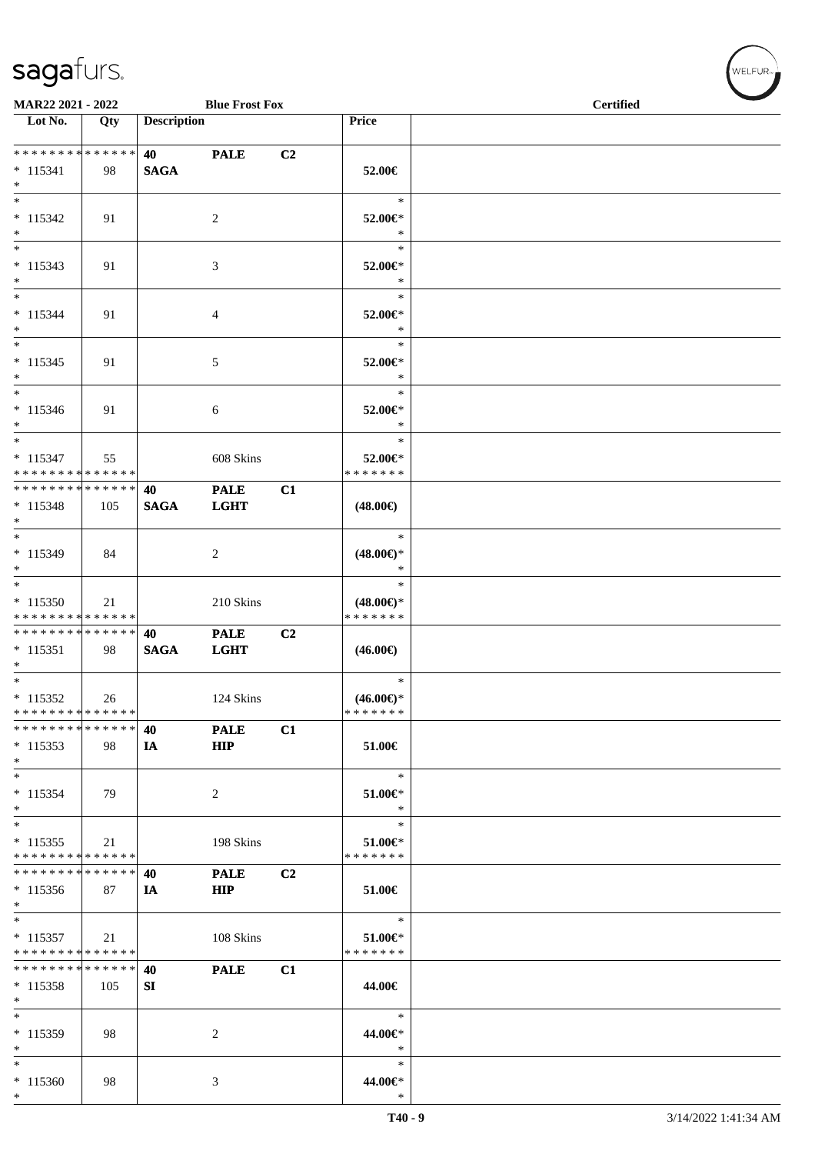| MAR22 2021 - 2022<br><b>Blue Frost Fox</b>                                                |     |                                                  |                            |    |                                          | <b>Certified</b> |  |  |
|-------------------------------------------------------------------------------------------|-----|--------------------------------------------------|----------------------------|----|------------------------------------------|------------------|--|--|
| $\overline{\phantom{1}}$ Lot No.                                                          | Qty | <b>Description</b>                               |                            |    | Price                                    |                  |  |  |
| * * * * * * * * <mark>* * * * * * *</mark><br>$* 115341$<br>$*$                           | 98  | <b>40</b> and the set of $\theta$<br><b>SAGA</b> | <b>PALE</b>                | C2 | 52.00€                                   |                  |  |  |
| $*$<br>$* 115342$<br>$*$                                                                  | 91  |                                                  | 2                          |    | $\ast$<br>52.00€*<br>$\ast$              |                  |  |  |
| $*$<br>$* 115343$<br>$\ast$                                                               | 91  |                                                  | 3                          |    | $\ast$<br>52.00€*<br>$\ast$              |                  |  |  |
| $*$<br>$* 115344$<br>$*$                                                                  | 91  |                                                  | 4                          |    | $\ast$<br>52.00€*<br>$\ast$              |                  |  |  |
| $* 115345$<br>$*$                                                                         | 91  |                                                  | $\sqrt{5}$                 |    | $\ast$<br>52.00€*<br>$\ast$              |                  |  |  |
| $*$<br>$* 115346$<br>$*$<br>$*$                                                           | 91  |                                                  | 6                          |    | $\ast$<br>52.00€*<br>$\ast$<br>$\ast$    |                  |  |  |
| $* 115347$<br>* * * * * * * * <mark>* * * * * * *</mark><br>* * * * * * * * * * * * * * * | 55  |                                                  | 608 Skins                  |    | 52.00€*<br>* * * * * * *                 |                  |  |  |
| $* 115348$<br>$*$<br>$*$                                                                  | 105 | 40<br><b>SAGA</b>                                | <b>PALE</b><br><b>LGHT</b> | C1 | $(48.00\epsilon)$<br>$\ast$              |                  |  |  |
| $* 115349$<br>$*$<br>$*$                                                                  | 84  |                                                  | 2                          |    | $(48.00\epsilon)$ *<br>$\ast$<br>$\ast$  |                  |  |  |
| $*115350$<br>* * * * * * * * * * * * * *                                                  | 21  |                                                  | 210 Skins                  |    | $(48.00\epsilon)$ *<br>* * * * * * *     |                  |  |  |
| * * * * * * * * * * * * * * *<br>$* 115351$<br>$*$                                        | 98  | 40<br><b>SAGA</b>                                | <b>PALE</b><br><b>LGHT</b> | C2 | $(46.00\epsilon)$                        |                  |  |  |
| $*$<br>$* 115352$<br>* * * * * * * * * * * * * * *<br>* * * * * * * * * * * * * * *       | 26  |                                                  | 124 Skins                  |    | $\ast$<br>$(46.00\epsilon)$ *<br>******* |                  |  |  |
| $*115353$<br>$*$                                                                          | 98  | 40<br>IA                                         | <b>PALE</b><br>HIP         | C1 | 51.00€                                   |                  |  |  |
| $*$<br>$* 115354$<br>$*$                                                                  | 79  |                                                  | 2                          |    | $\ast$<br>51.00€*<br>$\ast$              |                  |  |  |
| $*$<br>$* 115355$<br>* * * * * * * * * * * * * *<br>* * * * * * * * * * * * * * *         | 21  |                                                  | 198 Skins                  |    | $\ast$<br>51.00€*<br>* * * * * * *       |                  |  |  |
| $*115356$<br>$*$                                                                          | 87  | 40<br>IA                                         | <b>PALE</b><br><b>HIP</b>  | C2 | 51.00€                                   |                  |  |  |
| $*$<br>$* 115357$<br>* * * * * * * * * * * * * *<br>* * * * * * * * * * * * * * *         | 21  |                                                  | 108 Skins                  |    | $\ast$<br>51.00€*<br>* * * * * * *       |                  |  |  |
| $* 115358$<br>$*$<br>$*$                                                                  | 105 | 40<br>SI                                         | <b>PALE</b>                | C1 | 44.00€<br>$\ast$                         |                  |  |  |
| $*115359$<br>$*$<br>$*$                                                                   | 98  |                                                  | 2                          |    | 44.00€*<br>$\ast$<br>$\ast$              |                  |  |  |
| $*115360$<br>$*$                                                                          | 98  |                                                  | 3                          |    | 44.00€*<br>$\ast$                        |                  |  |  |

 $w$ ELFUR<sub><sup>n</sub></sub></sub></sup>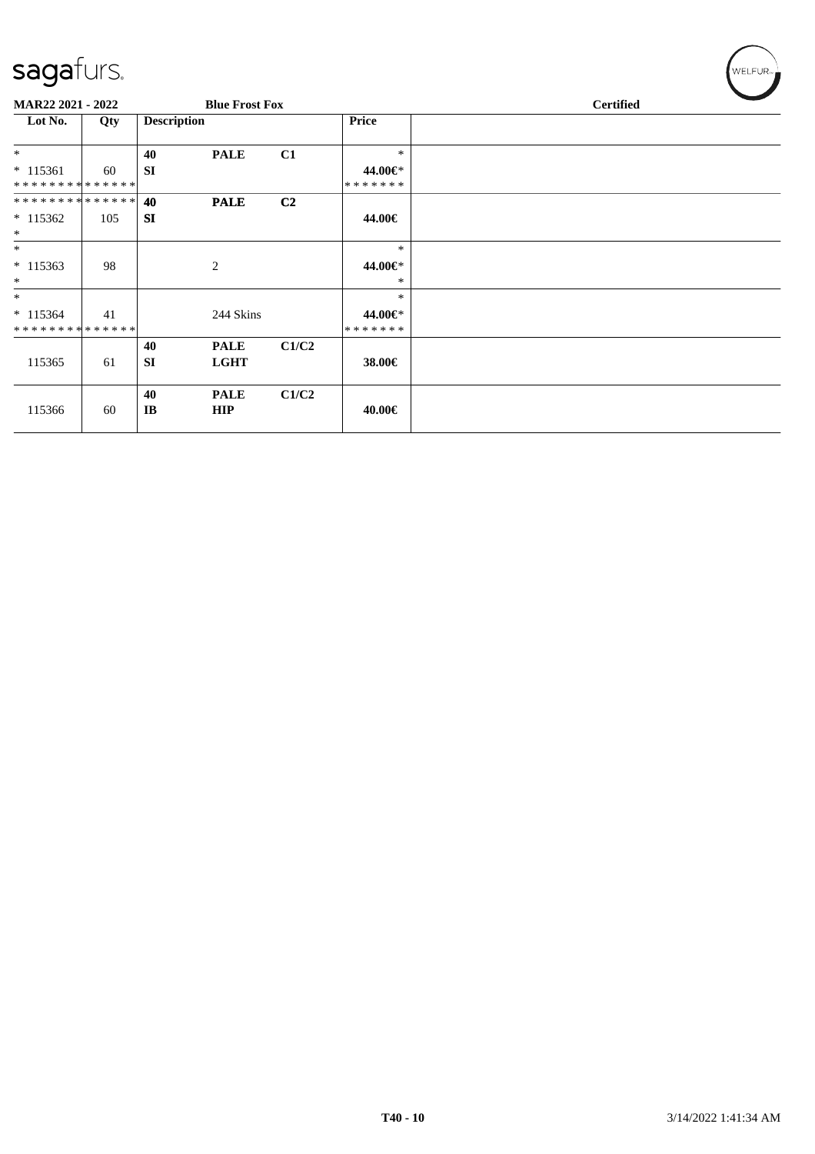| ~                                |     |                    |                            |                |                    |                  |  |  |
|----------------------------------|-----|--------------------|----------------------------|----------------|--------------------|------------------|--|--|
| <b>MAR22 2021 - 2022</b>         |     |                    | <b>Blue Frost Fox</b>      |                |                    | <b>Certified</b> |  |  |
| Lot No.                          | Qty | <b>Description</b> |                            |                | <b>Price</b>       |                  |  |  |
| $*$                              |     | 40                 | <b>PALE</b>                | C1             | $\ast$             |                  |  |  |
| $*115361$                        | 60  | <b>SI</b>          |                            |                | 44.00€*            |                  |  |  |
| **************<br>************** |     | 40                 | <b>PALE</b>                | C <sub>2</sub> | *******            |                  |  |  |
| $*115362$                        | 105 | <b>SI</b>          |                            |                | 44.00€             |                  |  |  |
| $\ast$<br>$*$                    |     |                    |                            |                | $\ast$             |                  |  |  |
| $* 115363$<br>$\ast$             | 98  |                    | 2                          |                | 44.00€*<br>*       |                  |  |  |
| $*$                              |     |                    |                            |                | $\ast$             |                  |  |  |
| $* 115364$<br>**************     | 41  |                    | 244 Skins                  |                | 44.00€*<br>******* |                  |  |  |
| 115365                           | 61  | 40<br><b>SI</b>    | <b>PALE</b><br><b>LGHT</b> | C1/C2          | 38.00€             |                  |  |  |
| 115366                           | 60  | 40<br>IB           | <b>PALE</b><br><b>HIP</b>  | C1/C2          | 40.00€             |                  |  |  |

 $w$ ELFUR<sub>m</sub>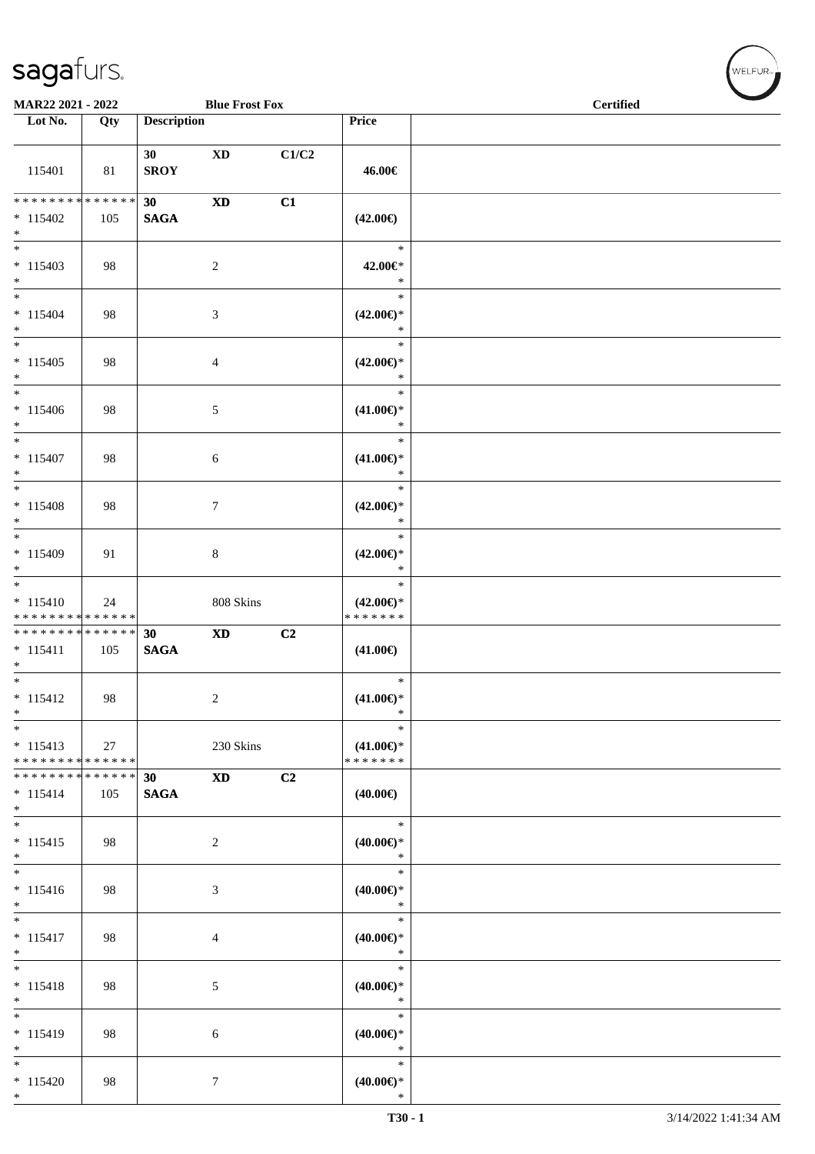\*

| MAR22 2021 - 2022                                     |     |                       | <b>Blue Frost Fox</b>      |                |                                                | <b>Certified</b> |
|-------------------------------------------------------|-----|-----------------------|----------------------------|----------------|------------------------------------------------|------------------|
| Lot No.                                               | Qty | <b>Description</b>    |                            |                | Price                                          |                  |
| 115401                                                | 81  | 30<br><b>SROY</b>     | <b>XD</b>                  | C1/C2          | 46.00€                                         |                  |
| * * * * * * * * * * * * * * *<br>$* 115402$<br>$*$    | 105 | 30<br>$\mathbf{SAGA}$ | $\mathbf{X}\mathbf{D}$     | C1             | $(42.00\epsilon)$                              |                  |
| $* 115403$<br>$*$                                     | 98  |                       | $\sqrt{2}$                 |                | $\ast$<br>42.00€*<br>$\ast$                    |                  |
| $*$<br>$* 115404$<br>$*$                              | 98  |                       | $\mathfrak{Z}$             |                | $\ast$<br>$(42.00\epsilon)$ *<br>$\ast$        |                  |
| $*$<br>$* 115405$<br>$*$                              | 98  |                       | 4                          |                | $\ast$<br>$(42.00\epsilon)$ *<br>$\ast$        |                  |
| $*$<br>$* 115406$<br>$*$                              | 98  |                       | 5                          |                | $\ast$<br>$(41.00\epsilon)$ *<br>$\ast$        |                  |
| $\overline{\ast}$<br>$* 115407$<br>$*$                | 98  |                       | $\sqrt{6}$                 |                | $\ast$<br>$(41.00\epsilon)$ *<br>$\ast$        |                  |
| $\overline{\phantom{0}}$<br>$* 115408$<br>$*$         | 98  |                       | $\tau$                     |                | $\ast$<br>$(42.00\epsilon)$ *<br>$\ast$        |                  |
| $*$<br>$* 115409$<br>$*$                              | 91  |                       | $\,8\,$                    |                | $\ast$<br>$(42.00\epsilon)$ *<br>$\ast$        |                  |
| $*$<br>$* 115410$<br>* * * * * * * * * * * * * *      | 24  |                       | 808 Skins                  |                | $\ast$<br>$(42.00\epsilon)$ *<br>* * * * * * * |                  |
| * * * * * * * * * * * * * *<br>$* 115411$<br>$*$      | 105 | 30<br><b>SAGA</b>     | $\boldsymbol{\mathrm{XD}}$ | C2             | $(41.00\epsilon)$                              |                  |
| $*$<br>$* 115412$<br>$\ast$                           | 98  |                       | 2                          |                | $\ast$<br>$(41.00\epsilon)$ *<br>$\ast$        |                  |
| $* 115413$<br>******** <mark>******</mark>            | 27  |                       | 230 Skins                  |                | $\ast$<br>$(41.00\epsilon)$ *<br>* * * * * * * |                  |
| * * * * * * * * * * * * * * *<br>$* 115414$<br>$\ast$ | 105 | 30<br><b>SAGA</b>     | <b>XD</b>                  | C <sub>2</sub> | $(40.00\epsilon)$                              |                  |
| $*$<br>$* 115415$<br>$*$                              | 98  |                       | 2                          |                | $\ast$<br>$(40.00\epsilon)$ *<br>$\ast$        |                  |
| $* 115416$<br>$*$                                     | 98  |                       | 3                          |                | $\ast$<br>$(40.00\epsilon)$ *<br>$\ast$        |                  |
| $\overline{\phantom{0}}$<br>$* 115417$<br>$*$         | 98  |                       | 4                          |                | $\ast$<br>$(40.00\epsilon)$ *<br>$\ast$        |                  |
| $\ast$<br>$* 115418$<br>$*$                           | 98  |                       | 5                          |                | $\ast$<br>$(40.00\epsilon)$ *<br>$\ast$        |                  |
| $*$<br>$* 115419$<br>$*$                              | 98  |                       | 6                          |                | $\ast$<br>$(40.00\epsilon)$ *<br>$\ast$        |                  |
| $*$<br>$* 115420$                                     | 98  |                       | $\tau$                     |                | $\ast$<br>$(40.00\epsilon)$ *                  |                  |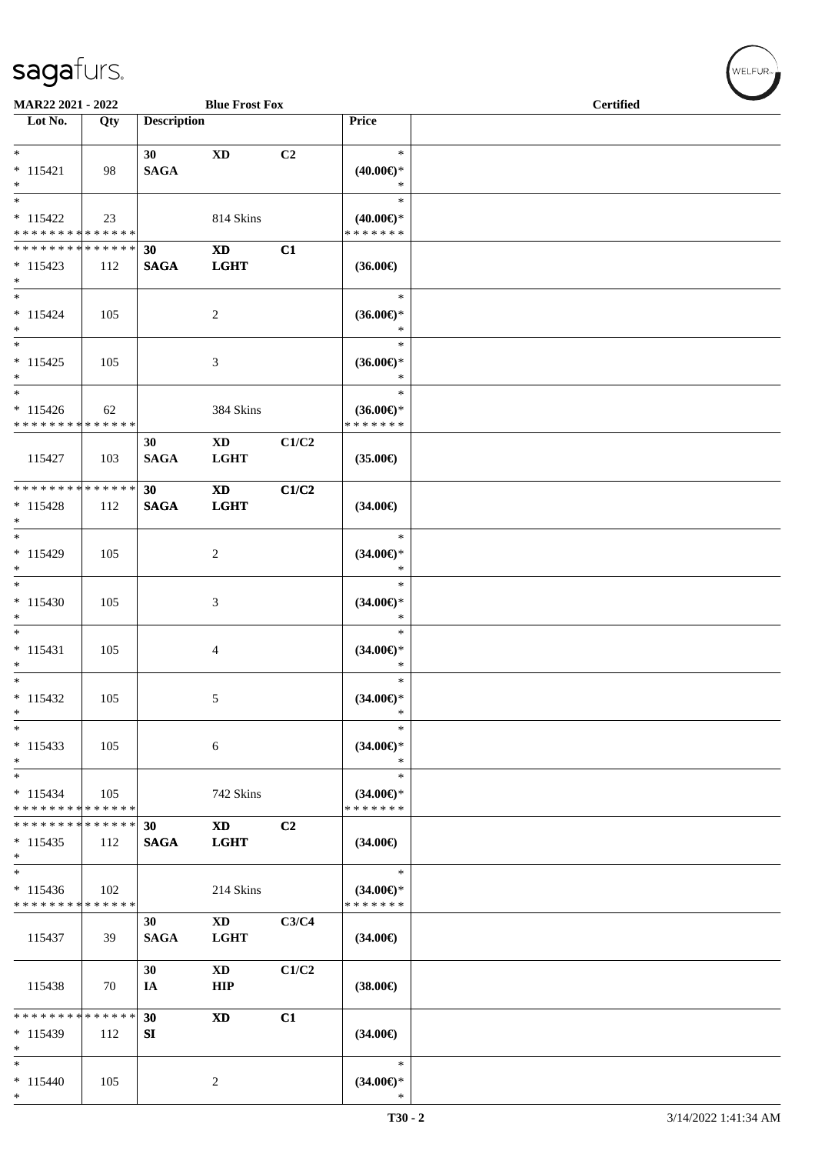| MAR22 2021 - 2022                                                                       |                    |                    | <b>Blue Frost Fox</b>                 |       |                                                   | <b>Certified</b> |  |  |  |
|-----------------------------------------------------------------------------------------|--------------------|--------------------|---------------------------------------|-------|---------------------------------------------------|------------------|--|--|--|
| Lot No.                                                                                 | Qty                | <b>Description</b> |                                       |       | <b>Price</b>                                      |                  |  |  |  |
| $*$<br>$* 115421$<br>$*$                                                                | 98                 | 30<br><b>SAGA</b>  | <b>XD</b>                             | C2    | $\ast$<br>$(40.00\epsilon)$ *<br>$\ast$           |                  |  |  |  |
| $* 115422$<br>* * * * * * * * * * * * * *                                               | 23                 |                    | 814 Skins                             |       | $\ast$<br>$(40.00\epsilon)$ *<br>* * * * * * *    |                  |  |  |  |
| * * * * * * * * <mark>* * * * * * *</mark><br>$* 115423$<br>$*$                         | 112                | 30<br><b>SAGA</b>  | $\mathbf{X}\mathbf{D}$<br><b>LGHT</b> | C1    | $(36.00\epsilon)$                                 |                  |  |  |  |
| $*$<br>$* 115424$<br>$*$                                                                | 105                |                    | 2                                     |       | $\ast$<br>$(36.00\epsilon)$ *<br>$\ast$           |                  |  |  |  |
| $*$<br>$* 115425$<br>$*$<br>$\overline{\phantom{0}}$                                    | 105                |                    | 3                                     |       | $\ast$<br>$(36.00\epsilon)$ *<br>$\ast$<br>$\ast$ |                  |  |  |  |
| $* 115426$<br>* * * * * * * * * * * * * *                                               | 62                 |                    | 384 Skins                             |       | $(36.00\epsilon)$ *<br>* * * * * * *              |                  |  |  |  |
| 115427                                                                                  | 103                | 30<br><b>SAGA</b>  | $\mathbf{X}\mathbf{D}$<br><b>LGHT</b> | C1/C2 | $(35.00\epsilon)$                                 |                  |  |  |  |
| * * * * * * * * <mark>* * * * * * *</mark><br>$* 115428$<br>$*$                         | 112                | 30<br><b>SAGA</b>  | <b>XD</b><br><b>LGHT</b>              | C1/C2 | $(34.00\epsilon)$                                 |                  |  |  |  |
| $* 115429$<br>$*$<br>$*$                                                                | 105                |                    | 2                                     |       | $\ast$<br>$(34.00\epsilon)$ *<br>$\ast$           |                  |  |  |  |
| $* 115430$<br>$*$                                                                       | 105                |                    | 3                                     |       | $\ast$<br>$(34.00\epsilon)$ *<br>$\ast$           |                  |  |  |  |
| $*$<br>$* 115431$<br>$*$<br>$*$                                                         | 105                |                    | 4                                     |       | $\ast$<br>$(34.00\epsilon)$ *<br>$\ast$<br>$\ast$ |                  |  |  |  |
| $* 115432$<br>$\ast$<br>$_{*}$                                                          | 105                |                    | 5                                     |       | $(34.00\epsilon)$ *<br>$\ast$<br>$\ast$           |                  |  |  |  |
| $* 115433$<br>$*$<br>$\overline{\phantom{0}}$                                           | 105                |                    | $\sqrt{6}$                            |       | $(34.00\epsilon)$ *<br>$\ast$<br>$\ast$           |                  |  |  |  |
| $* 115434$<br>* * * * * * * * <mark>* * * * * * *</mark><br>* * * * * * * * * * * * * * | 105                |                    | 742 Skins                             |       | $(34.00\epsilon)$ *<br>* * * * * * *              |                  |  |  |  |
| $*115435$<br>$*$<br>$*$                                                                 | 112                | 30<br><b>SAGA</b>  | <b>XD</b><br><b>LGHT</b>              | C2    | $(34.00\epsilon)$                                 |                  |  |  |  |
| $* 115436$<br>* * * * * * * *                                                           | 102<br>* * * * * * |                    | 214 Skins                             |       | $\ast$<br>$(34.00\epsilon)$ *<br>* * * * * * *    |                  |  |  |  |
| 115437                                                                                  | 39                 | 30<br><b>SAGA</b>  | <b>XD</b><br><b>LGHT</b>              | C3/C4 | $(34.00\epsilon)$                                 |                  |  |  |  |
| 115438                                                                                  | 70                 | 30<br>IA           | $\mathbf{X}\mathbf{D}$<br><b>HIP</b>  | C1/C2 | $(38.00\epsilon)$                                 |                  |  |  |  |
| * * * * * * * * <mark>* * * * * * *</mark><br>$*115439$<br>$\ast$                       | 112                | 30<br>SI           | $\mathbf{X}\mathbf{D}$                | C1    | $(34.00\epsilon)$                                 |                  |  |  |  |
| $\ast$<br>$* 115440$<br>$*$                                                             | 105                |                    | $\overline{c}$                        |       | $\ast$<br>$(34.00ε)$ *<br>$\ast$                  |                  |  |  |  |

 $(w$ ELFUR<sub><sup>n</sub></sub></sub></sup>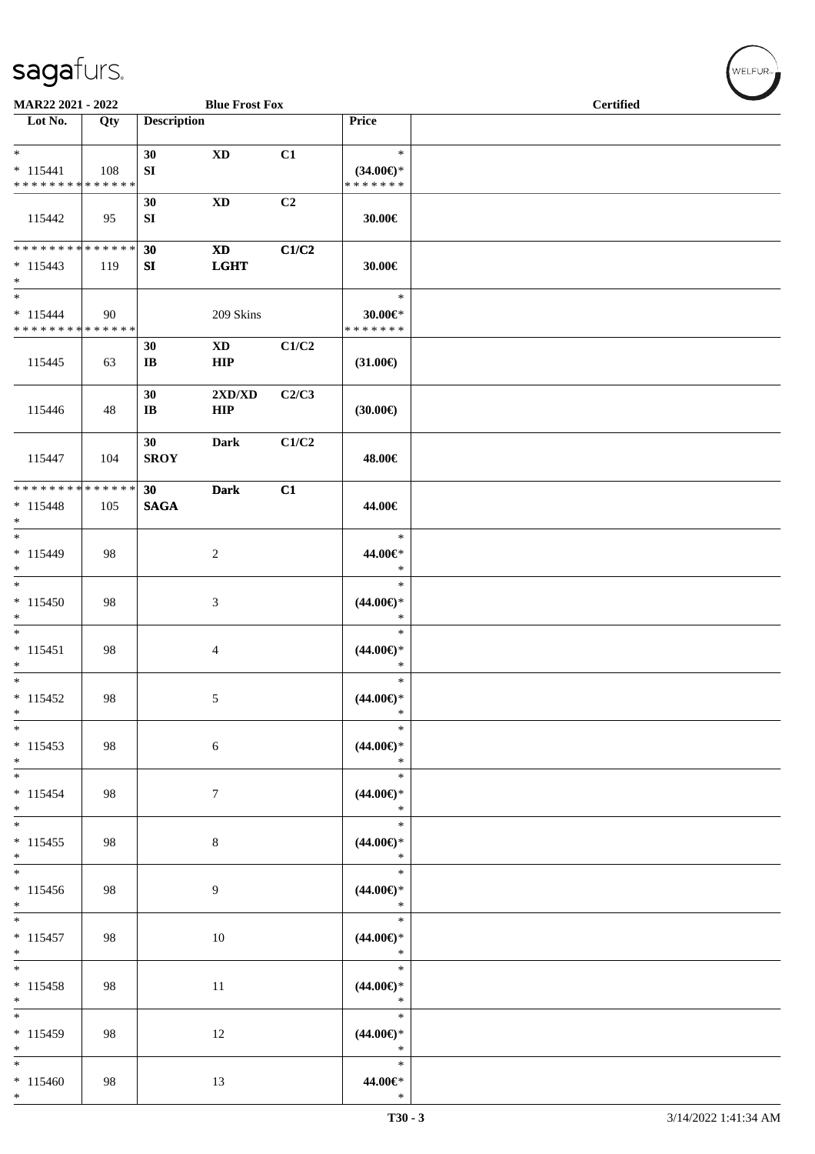| MAR22 2021 - 2022                                   |     |                              | <b>Blue Frost Fox</b>                     |       |                                                | <b>Certified</b> |  |  |
|-----------------------------------------------------|-----|------------------------------|-------------------------------------------|-------|------------------------------------------------|------------------|--|--|
| $\overline{\phantom{1}}$ Lot No.                    | Qty | <b>Description</b>           |                                           |       | Price                                          |                  |  |  |
| $\ast$<br>$* 115441$<br>* * * * * * * * * * * * * * | 108 | 30<br>${\bf S}{\bf I}$       | $\mathbf{X}\mathbf{D}$                    | C1    | $\ast$<br>$(34.00\epsilon)$ *<br>* * * * * * * |                  |  |  |
| 115442                                              | 95  | 30<br>SI                     | $\mathbf{X}\mathbf{D}$                    | C2    | 30.00€                                         |                  |  |  |
| * * * * * * * * * * * * * *<br>$* 115443$<br>$*$    | 119 | 30<br>SI                     | $\boldsymbol{\mathrm{XD}}$<br><b>LGHT</b> | C1/C2 | 30.00€                                         |                  |  |  |
| $*$<br>$* 115444$<br>* * * * * * * * * * * * * *    | 90  |                              | 209 Skins                                 |       | $\ast$<br>$30.00 \in$ *<br>* * * * * * *       |                  |  |  |
| 115445                                              | 63  | 30<br>$\mathbf{I}\mathbf{B}$ | $\mathbf{X}\mathbf{D}$<br><b>HIP</b>      | C1/C2 | $(31.00\in)$                                   |                  |  |  |
| 115446                                              | 48  | 30<br>$\mathbf{I}\mathbf{B}$ | 2XD/XD<br><b>HIP</b>                      | C2/C3 | (30.00)                                        |                  |  |  |
| 115447                                              | 104 | 30<br><b>SROY</b>            | <b>Dark</b>                               | C1/C2 | 48.00€                                         |                  |  |  |
| * * * * * * * * * * * * * *<br>$* 115448$<br>$\ast$ | 105 | 30<br><b>SAGA</b>            | <b>Dark</b>                               | C1    | 44.00€                                         |                  |  |  |
| $\overline{\ast}$<br>$* 115449$<br>$\ast$           | 98  |                              | $\sqrt{2}$                                |       | $\ast$<br>44.00€*<br>$\ast$                    |                  |  |  |
| $_{\ast}^{-}$<br>$* 115450$<br>$\ast$               | 98  |                              | $\mathfrak{Z}$                            |       | $\ast$<br>$(44.00ε)$ *<br>$\ast$               |                  |  |  |
| $\ast$<br>$* 115451$<br>$\ast$                      | 98  |                              | $\overline{4}$                            |       | $\ast$<br>$(44.00ε)$ *<br>$\ast$               |                  |  |  |
| $\overline{\phantom{a}^*}$<br>$* 115452$<br>$\ast$  | 98  |                              | 5                                         |       | $\ast$<br>$(44.00ε)$ *<br>$\ast$               |                  |  |  |
| $\ast$<br>$* 115453$<br>$*$                         | 98  |                              | $6\,$                                     |       | $\ast$<br>$(44.00ε)$ *<br>$\ast$               |                  |  |  |
| $\overline{\phantom{0}}$<br>$* 115454$<br>$*$       | 98  |                              | $\tau$                                    |       | $\ast$<br>$(44.00ε)$ *<br>$\ast$               |                  |  |  |
| $\overline{\phantom{a}^*}$<br>$* 115455$<br>$\ast$  | 98  |                              | $\,8\,$                                   |       | $\ast$<br>$(44.00ε)$ *<br>$\ast$               |                  |  |  |
| $\overline{\phantom{a}^*}$<br>$* 115456$<br>$*$     | 98  |                              | 9                                         |       | $\ast$<br>$(44.00\in)^\ast$<br>$\ast$          |                  |  |  |
| $\overline{\phantom{0}}$<br>$* 115457$<br>$*$       | 98  |                              | 10                                        |       | $\ast$<br>$(44.00ε)$ *<br>$\ast$               |                  |  |  |
| $\ast$<br>$* 115458$<br>$\ast$                      | 98  |                              | 11                                        |       | $\ast$<br>$(44.00ε)$ *<br>$\ast$               |                  |  |  |
| $\overline{\phantom{0}}$<br>$* 115459$<br>$\ast$    | 98  |                              | 12                                        |       | $\ast$<br>$(44.00ε)$ *<br>$\ast$               |                  |  |  |
| $\ast$<br>$* 115460$<br>$*$                         | 98  |                              | 13                                        |       | $\ast$<br>44.00€*<br>$\ast$                    |                  |  |  |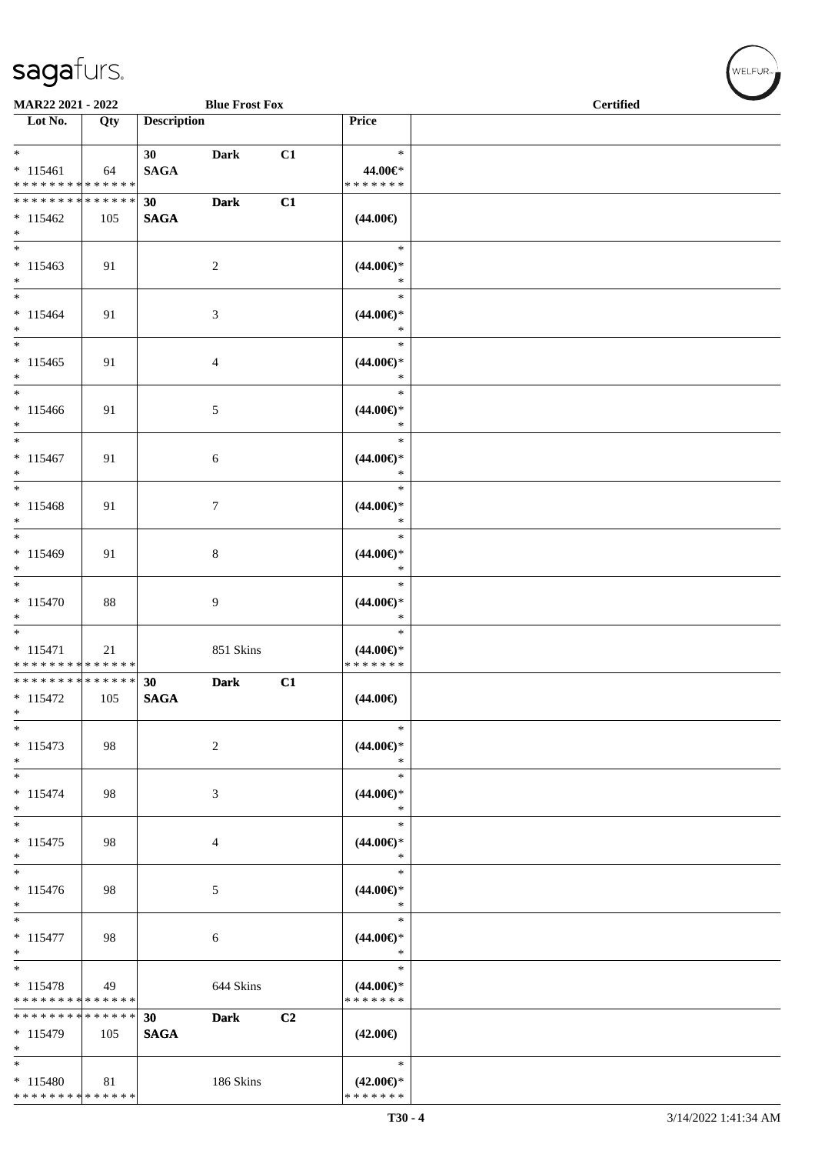\* \* \* \* \* \* \* \* \* \* \* \* \* \*

| MAR22 2021 - 2022                                                                        |     |                    | <b>Blue Frost Fox</b> |    |                               | <b>Certified</b> |
|------------------------------------------------------------------------------------------|-----|--------------------|-----------------------|----|-------------------------------|------------------|
| Lot No.                                                                                  | Qty | <b>Description</b> |                       |    | Price                         |                  |
| $*$                                                                                      |     | <b>30</b>          | <b>Dark</b>           | C1 | $\ast$                        |                  |
| $* 115461$                                                                               | 64  | <b>SAGA</b>        |                       |    | 44.00€*                       |                  |
| * * * * * * * * <mark>* * * * * * *</mark>                                               |     |                    |                       |    | * * * * * * *                 |                  |
| ******** <mark>******</mark>                                                             |     | 30                 | <b>Dark</b>           | C1 |                               |                  |
| $* 115462$<br>$*$ $-$                                                                    | 105 | <b>SAGA</b>        |                       |    | $(44.00\epsilon)$             |                  |
| $*$ $*$                                                                                  |     |                    |                       |    | $\ast$                        |                  |
| $* 115463$                                                                               | 91  |                    | $\overline{c}$        |    | $(44.00\epsilon)$ *           |                  |
| $*$                                                                                      |     |                    |                       |    | $\ast$                        |                  |
| $*$                                                                                      |     |                    |                       |    | $\ast$                        |                  |
| $* 115464$                                                                               | 91  |                    | 3                     |    | $(44.00\epsilon)$ *           |                  |
| $*$<br>$\overline{\ast}$                                                                 |     |                    |                       |    | $\ast$<br>$\ast$              |                  |
| $* 115465$                                                                               |     |                    |                       |    | $(44.00\epsilon)$ *           |                  |
| $*$                                                                                      | 91  |                    | 4                     |    | $\ast$                        |                  |
| $*$                                                                                      |     |                    |                       |    | $\ast$                        |                  |
| $* 115466$                                                                               | 91  |                    | 5                     |    | $(44.00\epsilon)$ *           |                  |
| $*$                                                                                      |     |                    |                       |    | $\ast$                        |                  |
|                                                                                          |     |                    |                       |    | $\ast$                        |                  |
| $* 115467$<br>$*$                                                                        | 91  |                    | 6                     |    | $(44.00\epsilon)$ *<br>$\ast$ |                  |
|                                                                                          |     |                    |                       |    | $\ast$                        |                  |
| $* 115468$                                                                               | 91  |                    | 7                     |    | $(44.00\epsilon)$ *           |                  |
| $*$                                                                                      |     |                    |                       |    | $\ast$                        |                  |
| $*$                                                                                      |     |                    |                       |    | $\ast$                        |                  |
| $* 115469$                                                                               | 91  |                    | 8                     |    | $(44.00\epsilon)$ *           |                  |
| $*$<br>$*$                                                                               |     |                    |                       |    | $\ast$<br>$\ast$              |                  |
| $* 115470$                                                                               | 88  |                    | 9                     |    | $(44.00\epsilon)$ *           |                  |
| $*$                                                                                      |     |                    |                       |    | $\ast$                        |                  |
| $*$                                                                                      |     |                    |                       |    | $\ast$                        |                  |
| $* 115471$                                                                               | 21  |                    | 851 Skins             |    | $(44.00\epsilon)$ *           |                  |
| * * * * * * * * <mark>* * * * * * *</mark><br>* * * * * * * * <mark>* * * * * * *</mark> |     | 30                 | <b>Dark</b>           |    | * * * * * * *                 |                  |
| $* 115472$                                                                               | 105 | <b>SAGA</b>        |                       | C1 | $(44.00\epsilon)$             |                  |
| *                                                                                        |     |                    |                       |    |                               |                  |
| $*$                                                                                      |     |                    |                       |    | $\ast$                        |                  |
| $* 115473$                                                                               | 98  |                    | 2                     |    | $(44.00\epsilon)$ *           |                  |
| $*$<br>$\frac{1}{1}$                                                                     |     |                    |                       |    | $\ast$<br>$\ast$              |                  |
| $* 115474$                                                                               | 98  |                    | 3                     |    | $(44.00ε)$ *                  |                  |
| $*$                                                                                      |     |                    |                       |    | $\ast$                        |                  |
| $*$                                                                                      |     |                    |                       |    | $\ast$                        |                  |
| $* 115475$                                                                               | 98  |                    | 4                     |    | $(44.00ε)$ *                  |                  |
| $*$                                                                                      |     |                    |                       |    | $\ast$                        |                  |
| $*$<br>$* 115476$                                                                        | 98  |                    |                       |    | $\ast$<br>$(44.00\epsilon)$ * |                  |
| $*$                                                                                      |     |                    | 5                     |    | $\ast$                        |                  |
| $*$                                                                                      |     |                    |                       |    | $\ast$                        |                  |
| $* 115477$                                                                               | 98  |                    | 6                     |    | $(44.00\epsilon)$ *           |                  |
| $*$                                                                                      |     |                    |                       |    | $\ast$                        |                  |
| $*$<br>$* 115478$                                                                        | 49  |                    |                       |    | $\ast$<br>$(44.00\epsilon)$ * |                  |
| * * * * * * * * * * * * * *                                                              |     |                    | 644 Skins             |    | * * * * * * *                 |                  |
| * * * * * * * * * * * * * * *                                                            |     | 30                 | <b>Dark</b>           | C2 |                               |                  |
| $* 115479$                                                                               | 105 | <b>SAGA</b>        |                       |    | $(42.00\epsilon)$             |                  |
| $*$                                                                                      |     |                    |                       |    |                               |                  |
| $*$                                                                                      |     |                    |                       |    | $\ast$                        |                  |
| $* 115480$                                                                               | 81  |                    | 186 Skins             |    | $(42.00\epsilon)$ *           |                  |

\* \* \* \* \* \* \*

WELFUR-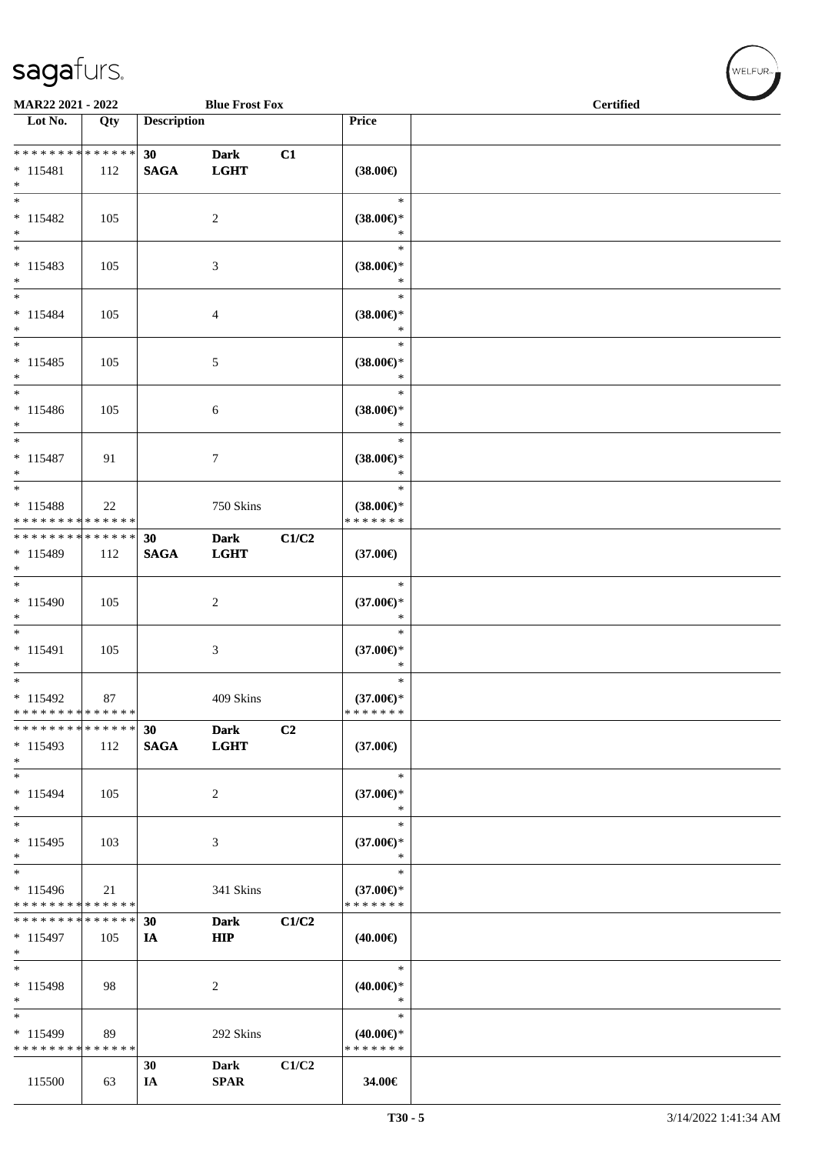| MAR22 2021 - 2022                                 |                   |                    | <b>Blue Frost Fox</b>      |       |                                                | <b>Certified</b> |  |  |
|---------------------------------------------------|-------------------|--------------------|----------------------------|-------|------------------------------------------------|------------------|--|--|
| Lot No.                                           | Qty               | <b>Description</b> |                            |       | Price                                          |                  |  |  |
| ******** <mark>******</mark><br>$* 115481$<br>$*$ | 112               | 30<br><b>SAGA</b>  | <b>Dark</b><br><b>LGHT</b> | C1    | $(38.00\epsilon)$                              |                  |  |  |
| $*$<br>$* 115482$<br>$*$                          | 105               |                    | $\overline{2}$             |       | $\ast$<br>$(38.00\epsilon)$ *<br>$\ast$        |                  |  |  |
| $* 115483$<br>$*$                                 | 105               |                    | 3                          |       | $\ast$<br>$(38.00\epsilon)$ *<br>$\ast$        |                  |  |  |
| $*$<br>$* 115484$<br>$*$                          | 105               |                    | 4                          |       | $\ast$<br>$(38.00\epsilon)$ *<br>$\ast$        |                  |  |  |
| $*$<br>$* 115485$<br>$*$                          | 105               |                    | 5                          |       | $\ast$<br>$(38.00\in)^\ast$<br>$\ast$          |                  |  |  |
| $*$<br>$* 115486$<br>$*$                          | 105               |                    | 6                          |       | $\ast$<br>$(38.00\epsilon)$ *<br>$\ast$        |                  |  |  |
| $* 115487$<br>$*$                                 | 91                |                    | $\tau$                     |       | $\ast$<br>$(38.00\epsilon)$ *<br>$\ast$        |                  |  |  |
| $*$<br>* 115488<br>* * * * * * * * * * * * * *    | 22                |                    | 750 Skins                  |       | $\ast$<br>$(38.00\epsilon)$ *<br>* * * * * * * |                  |  |  |
| * * * * * * * * * * * * * *<br>* 115489<br>$*$    | 112               | 30<br><b>SAGA</b>  | <b>Dark</b><br><b>LGHT</b> | C1/C2 | $(37.00\epsilon)$                              |                  |  |  |
| $*$<br>$* 115490$<br>$*$                          | 105               |                    | $\overline{c}$             |       | $\ast$<br>$(37.00\epsilon)$ *<br>$\ast$        |                  |  |  |
| $*$<br>$* 115491$<br>$*$                          | 105               |                    | $\mathfrak{Z}$             |       | $\ast$<br>$(37.00\epsilon)$ *<br>$\ast$        |                  |  |  |
| $*$<br>$* 115492$<br>* * * * * * * * * * * * * *  | 87                |                    | 409 Skins                  |       | $\ast$<br>$(37.00\epsilon)$ *<br>* * * * * * * |                  |  |  |
| * * * * * * * * * * * * * *<br>$*115493$<br>$*$   | 112               | 30<br><b>SAGA</b>  | <b>Dark</b><br><b>LGHT</b> | C2    | $(37.00\epsilon)$                              |                  |  |  |
| $*$<br>* 115494<br>$*$                            | 105               |                    | 2                          |       | $\ast$<br>$(37.00\epsilon)$ *<br>$\ast$        |                  |  |  |
| $*$<br>$* 115495$<br>$*$                          | 103               |                    | 3                          |       | $\ast$<br>$(37.00\epsilon)$ *<br>$\ast$        |                  |  |  |
| $\overline{\ast}$<br>* 115496<br>* * * * * * * *  | 21<br>* * * * * * |                    | 341 Skins                  |       | $\ast$<br>$(37.00\epsilon)$ *<br>* * * * * * * |                  |  |  |
| * * * * * * * *<br>$* 115497$<br>$*$              | ******<br>105     | 30<br>IA           | Dark<br><b>HIP</b>         | C1/C2 | $(40.00\epsilon)$                              |                  |  |  |
| $\ast$<br>$* 115498$<br>$*$                       | 98                |                    | 2                          |       | $\ast$<br>$(40.00\epsilon)$ *<br>$\ast$        |                  |  |  |
| $\ast$<br>* 115499<br>* * * * * * * * * * * * * * | 89                |                    | 292 Skins                  |       | $\ast$<br>$(40.00\epsilon)$ *<br>* * * * * * * |                  |  |  |
| 115500                                            | 63                | 30<br>IA           | Dark<br><b>SPAR</b>        | C1/C2 | 34.00€                                         |                  |  |  |

 $(w$ ELFUR<sub><sup>n</sub></sub></sub></sup>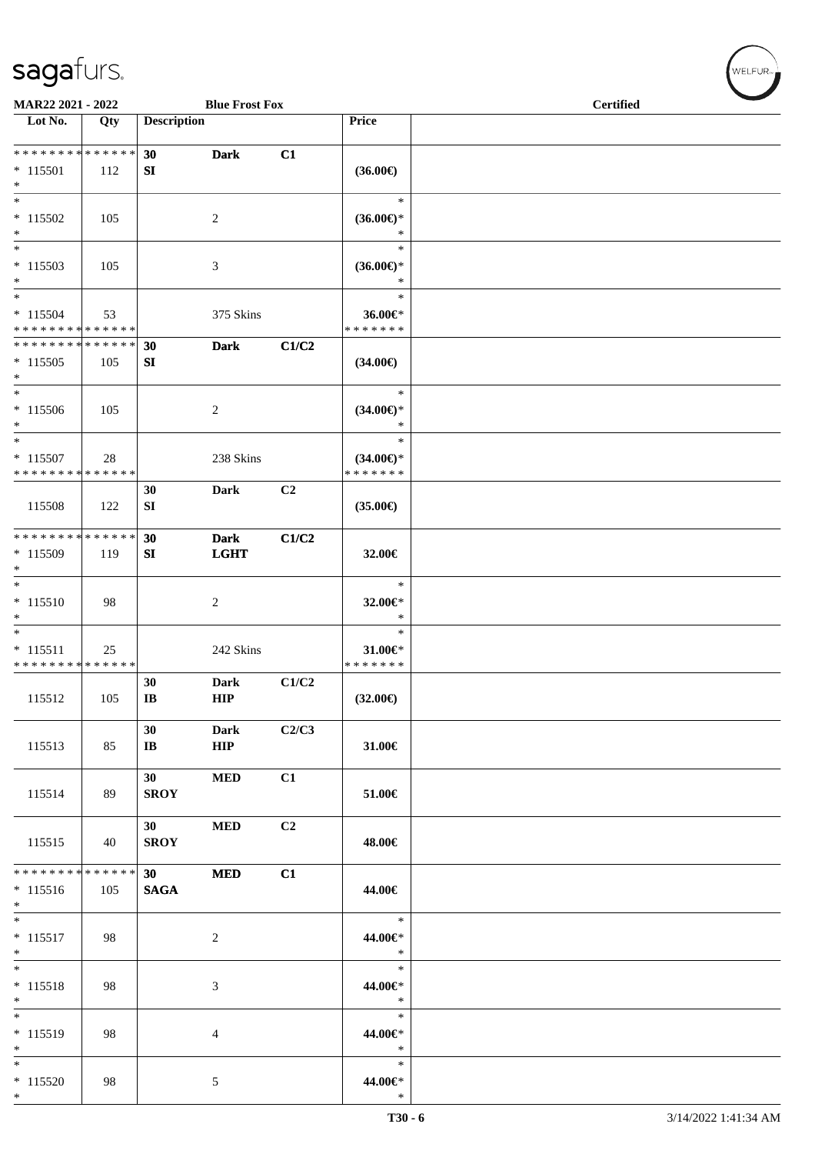| MAR22 2021 - 2022                                                      |                    |                                | <b>Blue Frost Fox</b>      |       |                                                   | <b>Certified</b> |  |  |
|------------------------------------------------------------------------|--------------------|--------------------------------|----------------------------|-------|---------------------------------------------------|------------------|--|--|
| Lot No.                                                                | Qty                | <b>Description</b>             |                            |       | Price                                             |                  |  |  |
| * * * * * * * * * * * * * *<br>$* 115501$                              | 112                | 30<br>SI                       | <b>Dark</b>                | C1    | $(36.00\epsilon)$                                 |                  |  |  |
| $*$<br>$*$<br>$* 115502$                                               | 105                |                                | 2                          |       | $\ast$<br>$(36.00\epsilon)$ *                     |                  |  |  |
| $\ast$<br>$*$<br>$*115503$<br>$*$                                      | 105                |                                | 3                          |       | $\ast$<br>$\ast$<br>$(36.00\epsilon)$ *<br>$\ast$ |                  |  |  |
| $*$<br>$* 115504$<br>* * * * * * * * <mark>* * * * * * *</mark>        | 53                 |                                | 375 Skins                  |       | $\ast$<br>36.00€*<br>* * * * * * *                |                  |  |  |
| * * * * * * * * * * * * * *<br>$*115505$<br>$*$                        | 105                | 30<br>SI                       | <b>Dark</b>                | C1/C2 | $(34.00\epsilon)$                                 |                  |  |  |
| $\overline{\phantom{0}}$<br>$* 115506$<br>$*$                          | 105                |                                | $\overline{c}$             |       | $\ast$<br>$(34.00\epsilon)$ *<br>$\ast$           |                  |  |  |
| $\ast$<br>$* 115507$<br>* * * * * * * * * * * * * *                    | 28                 |                                | 238 Skins                  |       | $\ast$<br>$(34.00\epsilon)$ *<br>* * * * * * *    |                  |  |  |
| 115508                                                                 | 122                | 30<br>SI                       | Dark                       | C2    | $(35.00\epsilon)$                                 |                  |  |  |
| * * * * * * * *<br>* 115509<br>$*$                                     | * * * * * *<br>119 | 30<br>SI                       | <b>Dark</b><br><b>LGHT</b> | C1/C2 | 32.00€                                            |                  |  |  |
| $*$<br>$* 115510$<br>$\ast$                                            | 98                 |                                | 2                          |       | $\ast$<br>32.00€*<br>$\ast$                       |                  |  |  |
| $*$<br>$* 115511$<br>* * * * * * * * * * * * * *                       | 25                 |                                | 242 Skins                  |       | $\ast$<br>31.00€*<br>* * * * * * *                |                  |  |  |
| 115512                                                                 | 105                | 30<br>$\mathbf{I}\mathbf{B}$   | <b>Dark</b><br>HIP         | C1/C2 | $(32.00\epsilon)$                                 |                  |  |  |
| 115513                                                                 | 85                 | 30<br>$\mathbf{I}\mathbf{B}$   | <b>Dark</b><br>HIP         | C2/C3 | 31.00€                                            |                  |  |  |
| 115514                                                                 | 89                 | 30 <sup>1</sup><br><b>SROY</b> | <b>MED</b>                 | C1    | 51.00€                                            |                  |  |  |
| 115515                                                                 | 40                 | 30<br><b>SROY</b>              | <b>MED</b>                 | C2    | 48.00€                                            |                  |  |  |
| * * * * * * * * <mark>* * * * * * *</mark><br>$* 115516$<br>$*$<br>$*$ | 105                | 30<br><b>SAGA</b>              | <b>MED</b>                 | C1    | 44.00€<br>$\ast$                                  |                  |  |  |
| $* 115517$<br>$*$<br>$\overline{\phantom{0}}$                          | 98                 |                                | 2                          |       | 44.00€*<br>$\ast$<br>$\ast$                       |                  |  |  |
| $* 115518$<br>$*$<br>$\overline{\ }$                                   | 98                 |                                | $\mathfrak{Z}$             |       | 44.00€*<br>$\ast$<br>$\ast$                       |                  |  |  |
| $* 115519$<br>$*$<br>$*$                                               | 98                 |                                | $\overline{4}$             |       | 44.00€*<br>$\ast$<br>$\ast$                       |                  |  |  |
| $* 115520$<br>$*$                                                      | 98                 |                                | $\mathfrak{S}$             |       | 44.00€*<br>$\ast$                                 |                  |  |  |

 $(w$ ELFUR-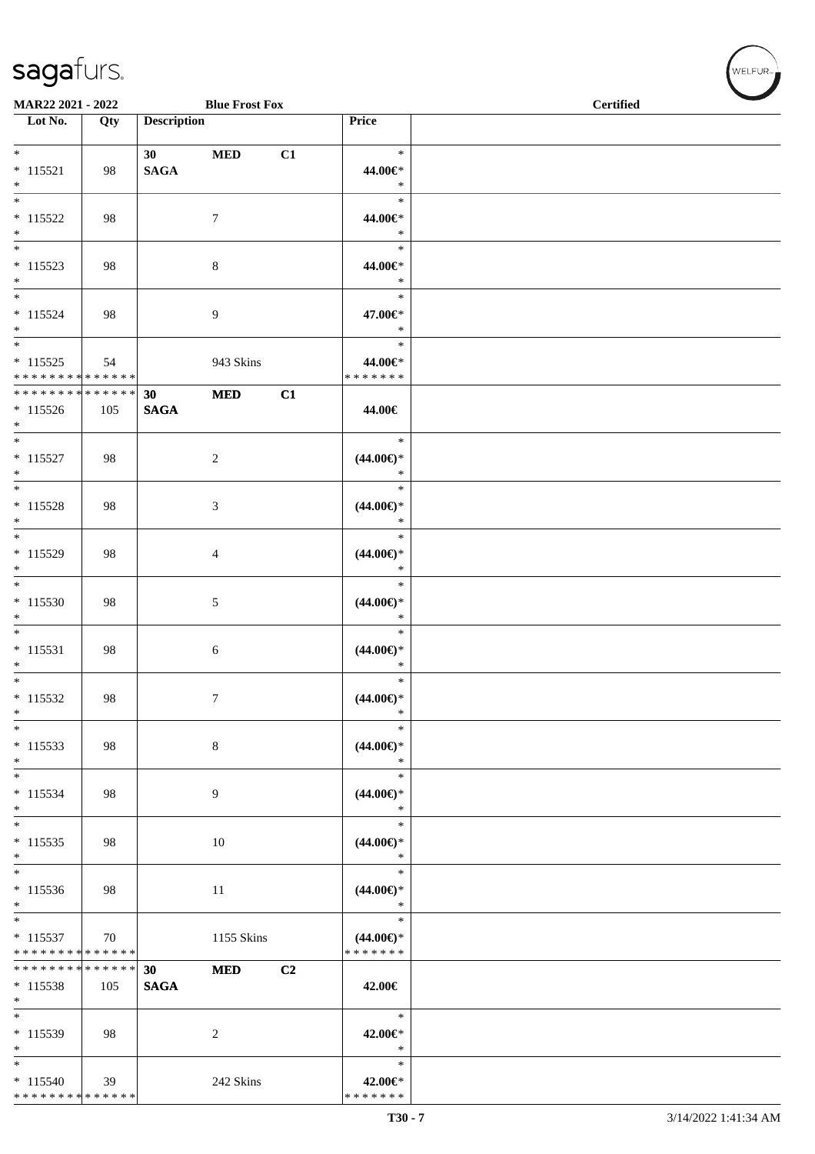| <b>Blue Frost Fox</b><br>MAR22 2021 - 2022                     |     |                                |                  |    | <b>Certified</b>                               |  |
|----------------------------------------------------------------|-----|--------------------------------|------------------|----|------------------------------------------------|--|
| $\overline{\phantom{1}}$ Lot No.                               | Qty | <b>Description</b>             |                  |    | Price                                          |  |
| $*$<br>$* 115521$<br>$\ast$                                    | 98  | 30<br><b>SAGA</b>              | $\bf MED$        | C1 | $\ast$<br>44.00€*<br>$\ast$                    |  |
| $_{\ast}^{-}$<br>$* 115522$<br>$*$<br>$\overline{\phantom{0}}$ | 98  |                                | $\boldsymbol{7}$ |    | $\ast$<br>44.00€*<br>$\ast$                    |  |
| $* 115523$<br>$*$                                              | 98  |                                | $\,8\,$          |    | $\ast$<br>44.00€*<br>$\ast$                    |  |
| $\ast$<br>$* 115524$<br>$*$<br>$\overline{\phantom{0}}$        | 98  |                                | $\overline{9}$   |    | $\ast$<br>47.00€*<br>$\ast$                    |  |
| $* 115525$<br>* * * * * * * * * * * * * *                      | 54  |                                | 943 Skins        |    | $\ast$<br>44.00€*<br>* * * * * * *             |  |
| * * * * * * * * * * * * * *<br>$* 115526$<br>$*$               | 105 | 30 <sup>°</sup><br><b>SAGA</b> | $\bf MED$        | C1 | 44.00€                                         |  |
| $\overline{\phantom{0}}$<br>$* 115527$<br>$\ast$               | 98  |                                | $\overline{2}$   |    | $\ast$<br>$(44.00\epsilon)$ *<br>$\ast$        |  |
| $\overline{\phantom{0}}$<br>$* 115528$<br>$\ast$               | 98  |                                | $\mathfrak{Z}$   |    | $\ast$<br>$(44.00ε)$ *<br>$\ast$               |  |
| $\overline{\phantom{0}}$<br>$* 115529$<br>$\ast$               | 98  |                                | $\overline{4}$   |    | $\ast$<br>$(44.00ε)$ *<br>$\ast$               |  |
| $\overline{\phantom{0}}$<br>$* 115530$<br>$\ast$               | 98  |                                | $\sqrt{5}$       |    | $\ast$<br>$(44.00ε)$ *<br>$\ast$               |  |
| $\overline{\phantom{0}}$<br>$* 115531$<br>$*$                  | 98  |                                | 6                |    | $\ast$<br>$(44.00ε)$ *<br>$\ast$               |  |
| $\overline{\ast}$<br>$* 115532$<br>$\ast$                      | 98  |                                | $\tau$           |    | $\ast$<br>$(44.00ε)$ *<br>$\ast$               |  |
| $\ast$<br>$* 115533$<br>$\ast$<br>$\overline{\phantom{a}^*}$   | 98  |                                | $8\,$            |    | $\ast$<br>$(44.00\epsilon)$ *<br>$\ast$        |  |
| $* 115534$<br>$\ast$<br>$\overline{\phantom{0}}$               | 98  |                                | 9                |    | $\ast$<br>$(44.00\epsilon)$ *<br>$\ast$        |  |
| $* 115535$<br>$\ast$<br>$\overline{\phantom{a}^*}$             | 98  |                                | 10               |    | $\ast$<br>$(44.00ε)$ *<br>$\ast$               |  |
| $* 115536$<br>$*$                                              | 98  |                                | 11               |    | $\ast$<br>$(44.00\epsilon)$ *<br>$\ast$        |  |
| $\overline{\ast}$<br>$* 115537$<br>* * * * * * * * * * * * * * | 70  |                                | 1155 Skins       |    | $\ast$<br>$(44.00\epsilon)$ *<br>* * * * * * * |  |
| ******** <mark>******</mark><br>$*115538$<br>$*$               | 105 | 30 <sup>°</sup><br><b>SAGA</b> | <b>MED</b>       | C2 | 42.00€                                         |  |
| $\ast$<br>$*115539$<br>$\ast$                                  | 98  |                                | $\overline{2}$   |    | $\ast$<br>42.00€*<br>$\ast$                    |  |
| $\ast$<br>$* 115540$<br>* * * * * * * * * * * * * *            | 39  |                                | 242 Skins        |    | $\ast$<br>42.00€*<br>* * * * * * *             |  |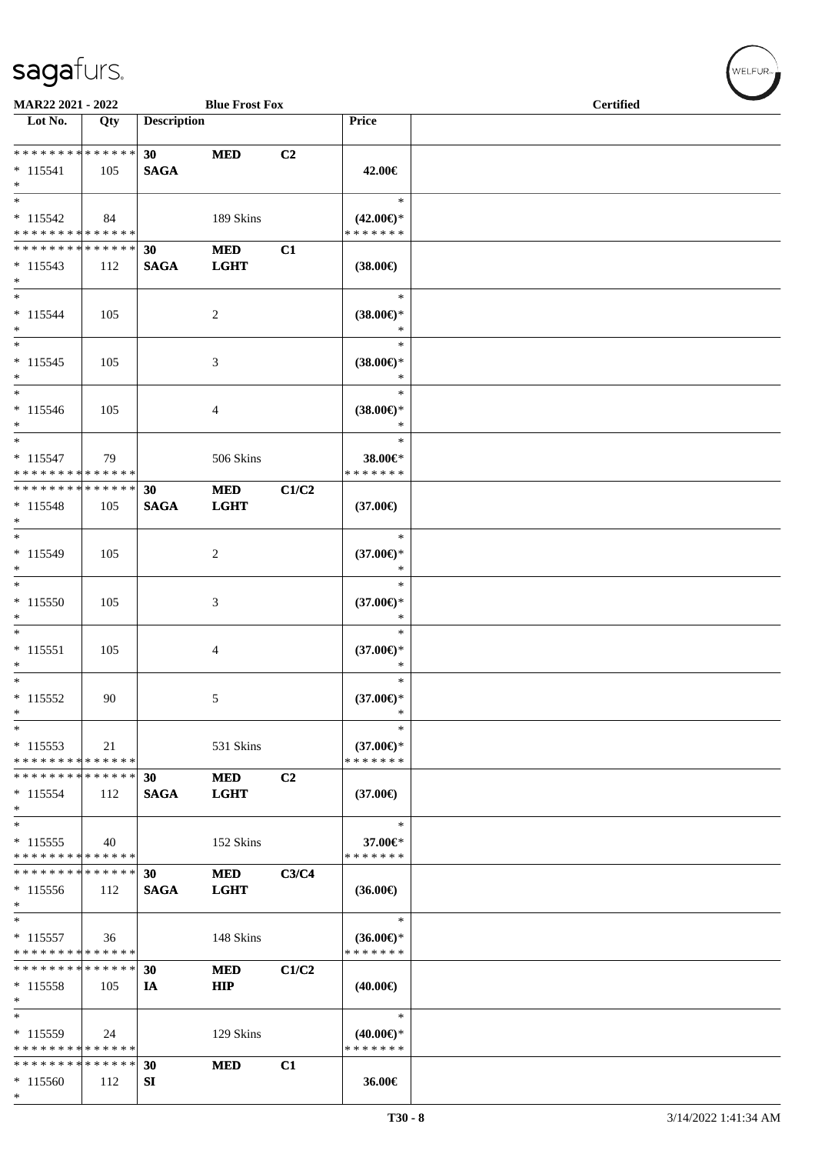\*

| MAR22 2021 - 2022<br><b>Blue Frost Fox</b>          |                    |                                |                           | <b>Certified</b> |                                                |  |  |
|-----------------------------------------------------|--------------------|--------------------------------|---------------------------|------------------|------------------------------------------------|--|--|
| $\overline{\phantom{1}}$ Lot No.                    | $\overline{Q}$ ty  | <b>Description</b>             |                           |                  | Price                                          |  |  |
| * * * * * * * * * * * * * *<br>$* 115541$<br>$*$    | 105                | 30 <sup>°</sup><br><b>SAGA</b> | <b>MED</b>                | C2               | 42.00€                                         |  |  |
| $*$<br>$* 115542$<br>* * * * * * * * * * * * * *    | 84                 |                                | 189 Skins                 |                  | $\ast$<br>$(42.00\epsilon)$ *<br>* * * * * * * |  |  |
| * * * * * * * *<br>$*115543$<br>$*$                 | * * * * * *<br>112 | 30<br><b>SAGA</b>              | <b>MED</b><br><b>LGHT</b> | C1               | $(38.00\epsilon)$                              |  |  |
| $*$<br>$* 115544$<br>$*$                            | 105                |                                | 2                         |                  | $\ast$<br>$(38.00\epsilon)$ *<br>$\ast$        |  |  |
| $\ast$<br>$* 115545$<br>$*$                         | 105                |                                | 3                         |                  | $\ast$<br>$(38.00\epsilon)$ *<br>$\ast$        |  |  |
| $*$<br>$* 115546$<br>$*$                            | 105                |                                | 4                         |                  | $\ast$<br>$(38.00\epsilon)$ *<br>$\ast$        |  |  |
| $*$<br>$* 115547$<br>* * * * * * * * * * * * * *    | 79                 |                                | 506 Skins                 |                  | $\ast$<br>38.00€*<br>* * * * * * *             |  |  |
| * * * * * * * * * * * * * *<br>$* 115548$<br>$*$    | 105                | 30<br><b>SAGA</b>              | <b>MED</b><br><b>LGHT</b> | C1/C2            | $(37.00\epsilon)$                              |  |  |
| $*$<br>* 115549<br>$*$                              | 105                |                                | 2                         |                  | $\ast$<br>$(37.00\epsilon)$ *<br>$\ast$        |  |  |
| $* 115550$<br>$\ast$                                | 105                |                                | 3                         |                  | $\ast$<br>$(37.00\epsilon)$ *<br>$\ast$        |  |  |
| $*$<br>$* 115551$<br>$*$                            | 105                |                                | $\overline{4}$            |                  | $\ast$<br>$(37.00\epsilon)$ *<br>$\ast$        |  |  |
| $*$<br>$* 115552$<br>$\ast$                         | 90                 |                                | 5                         |                  | $\ast$<br>$(37.00\epsilon)$ *<br>$\ast$        |  |  |
| $*$<br>$*115553$<br>* * * * * * * * * * * * * *     | 21                 |                                | 531 Skins                 |                  | $\ast$<br>$(37.00\epsilon)$ *<br>* * * * * * * |  |  |
| * * * * * * * * * * * * * *<br>$* 115554$<br>$*$    | 112                | 30<br><b>SAGA</b>              | <b>MED</b><br><b>LGHT</b> | C2               | $(37.00\epsilon)$                              |  |  |
| $*$<br>$*115555$<br>* * * * * * * * * * * * * *     | 40                 |                                | 152 Skins                 |                  | $\ast$<br>37.00€*<br>* * * * * * *             |  |  |
| * * * * * * * * * * * * * *<br>$*115556$<br>$\ast$  | 112                | 30<br><b>SAGA</b>              | <b>MED</b><br><b>LGHT</b> | C3/C4            | $(36.00\epsilon)$                              |  |  |
| $\ast$<br>$* 115557$<br>* * * * * * * * * * * * * * | 36                 |                                | 148 Skins                 |                  | $\ast$<br>$(36.00\epsilon)$ *<br>* * * * * * * |  |  |
| * * * * * * * * * * * * * *<br>$* 115558$<br>$\ast$ | 105                | 30<br>IA                       | <b>MED</b><br><b>HIP</b>  | C1/C2            | $(40.00\epsilon)$                              |  |  |
| $*$<br>$*115559$<br>* * * * * * * * * * * * * *     | 24                 |                                | 129 Skins                 |                  | $\ast$<br>$(40.00\epsilon)$ *<br>* * * * * * * |  |  |
| * * * * * * * * * * * * * *                         |                    | 30                             | <b>MED</b>                | C1               |                                                |  |  |
| * 115560                                            | 112                | SI                             |                           |                  | 36.00€                                         |  |  |

 $(w$ ELFUR<sub><sup>n</sub></sub></sub></sup>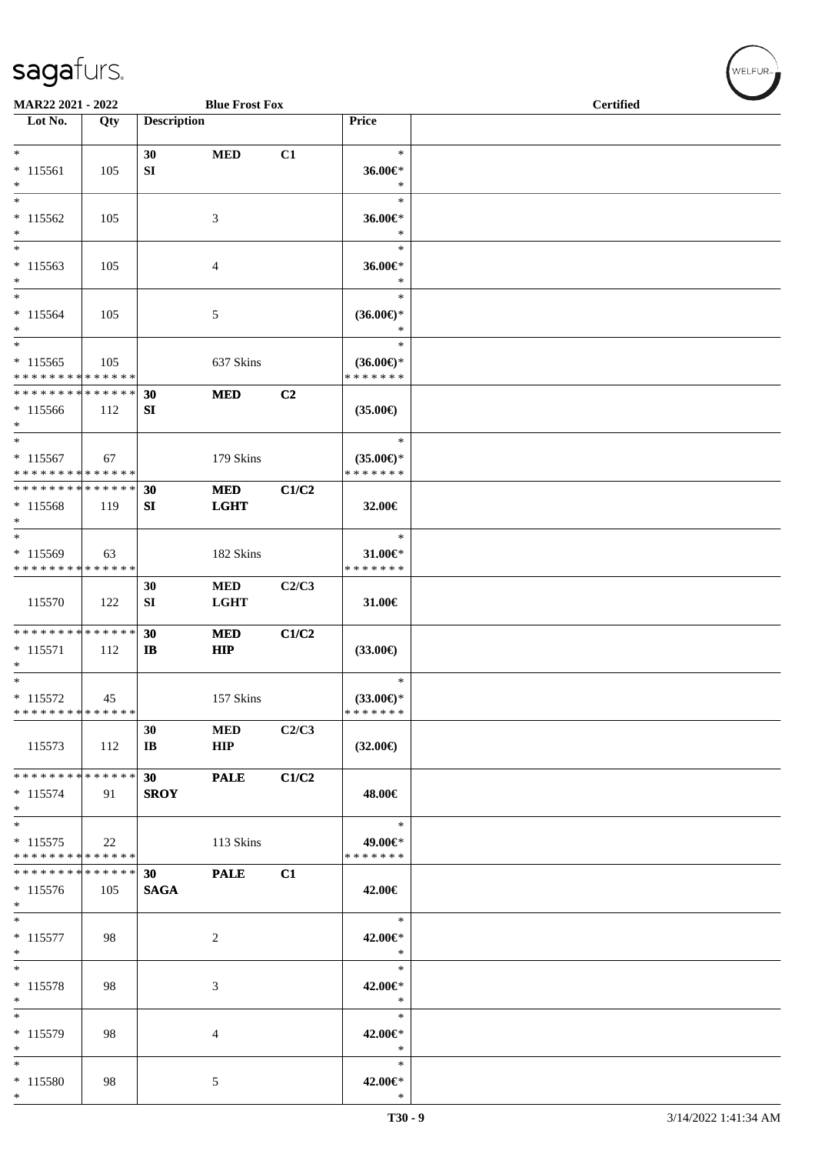| <b>Blue Frost Fox</b><br><b>MAR22 2021 - 2022</b>  |     |                             |                           | <b>Certified</b> |                                                |  |  |
|----------------------------------------------------|-----|-----------------------------|---------------------------|------------------|------------------------------------------------|--|--|
| Lot No.                                            | Qty | <b>Description</b>          |                           |                  | Price                                          |  |  |
| $*$<br>$* 115561$<br>$*$                           | 105 | 30<br>SI                    | <b>MED</b>                | C1               | $\ast$<br>36.00€*<br>$\ast$                    |  |  |
| $*$<br>$* 115562$<br>$*$                           | 105 |                             | 3                         |                  | $\ast$<br>36.00€*<br>$\ast$                    |  |  |
| $*$<br>$* 115563$<br>$*$                           | 105 |                             | 4                         |                  | $\ast$<br>36.00€*<br>$\ast$                    |  |  |
| $*$<br>$* 115564$<br>$*$<br>$\overline{\ }$        | 105 |                             | 5                         |                  | $\ast$<br>$(36.00\epsilon)$ *<br>$\ast$        |  |  |
| $* 115565$<br>* * * * * * * * * * * * * *          | 105 |                             | 637 Skins                 |                  | $\ast$<br>$(36.00\epsilon)$ *<br>* * * * * * * |  |  |
| * * * * * * * * * * * * * * *<br>$*115566$<br>$*$  | 112 | 30<br>SI                    | <b>MED</b>                | C2               | $(35.00\epsilon)$                              |  |  |
| $*$<br>$* 115567$<br>* * * * * * * * * * * * * *   | 67  |                             | 179 Skins                 |                  | $\ast$<br>$(35.00\epsilon)$ *<br>* * * * * * * |  |  |
| * * * * * * * * * * * * * * *<br>$* 115568$<br>$*$ | 119 | 30<br>SI                    | <b>MED</b><br><b>LGHT</b> | C1/C2            | 32.00 $\in$                                    |  |  |
| $*$<br>* 115569<br>* * * * * * * * * * * * * * *   | 63  |                             | 182 Skins                 |                  | $\ast$<br>31.00€*<br>* * * * * * *             |  |  |
| 115570                                             | 122 | 30<br>SI                    | MED<br><b>LGHT</b>        | C2/C3            | 31.00€                                         |  |  |
| * * * * * * * * * * * * * * *<br>$* 115571$<br>$*$ | 112 | 30<br>$\bf{IB}$             | <b>MED</b><br><b>HIP</b>  | C1/C2            | $(33.00\epsilon)$                              |  |  |
| $*$<br>$* 115572$<br>* * * * * * * * * * * * * * * | 45  |                             | 157 Skins                 |                  | $\ast$<br>$(33.00\epsilon)$ *<br>*******       |  |  |
| 115573                                             | 112 | 30<br>$\mathbf{I}$ <b>B</b> | <b>MED</b><br><b>HIP</b>  | C2/C3            | $(32.00\epsilon)$                              |  |  |
| * * * * * * * * * * * * * * *<br>$* 115574$<br>$*$ | 91  | 30<br><b>SROY</b>           | <b>PALE</b>               | C1/C2            | 48.00€                                         |  |  |
| $*$<br>$* 115575$<br>* * * * * * * * * * * * * * * | 22  |                             | 113 Skins                 |                  | $*$<br>49.00€*<br>* * * * * * *                |  |  |
| * * * * * * * * * * * * * * *<br>$*115576$<br>$*$  | 105 | 30<br><b>SAGA</b>           | <b>PALE</b>               | C1               | 42.00€                                         |  |  |
| $*$<br>$* 115577$<br>$*$                           | 98  |                             | 2                         |                  | $\ast$<br>42.00€*<br>$\ast$                    |  |  |
| $*$<br>$* 115578$<br>$*$                           | 98  |                             | 3                         |                  | $\ast$<br>42.00€*<br>$\ast$                    |  |  |
| $*$<br>* 115579<br>$*$                             | 98  |                             | 4                         |                  | $\ast$<br>42.00€*<br>$\ast$                    |  |  |
| $*$<br>$*115580$<br>$*$                            | 98  |                             | 5                         |                  | $\ast$<br>42.00€*<br>$\ast$                    |  |  |

WELFUR<sub><sup>N</sup></sub>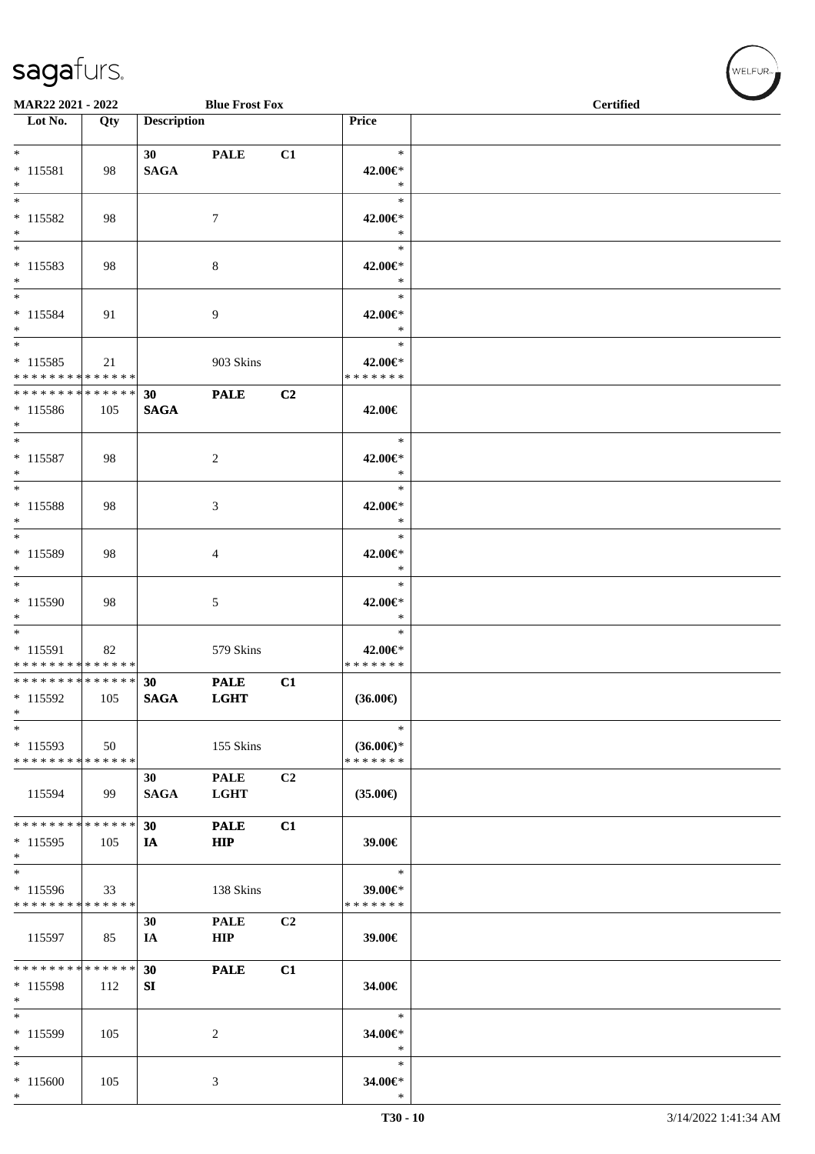| MAR22 2021 - 2022                                               |     |                                | <b>Blue Frost Fox</b>      |                |                                      | <b>Certified</b> |
|-----------------------------------------------------------------|-----|--------------------------------|----------------------------|----------------|--------------------------------------|------------------|
| $\overline{\phantom{1}}$ Lot No.                                | Qty | <b>Description</b>             |                            |                | Price                                |                  |
| $*$<br>$* 115581$<br>$*$                                        | 98  | 30 <sup>1</sup><br><b>SAGA</b> | <b>PALE</b>                | C1             | $\ast$<br>42.00€*<br>$\ast$          |                  |
| $*$<br>$* 115582$<br>$*$                                        | 98  |                                | $\tau$                     |                | $\ast$<br>42.00€*<br>$\ast$          |                  |
| $\overline{\phantom{0}}$<br>$* 115583$<br>$*$                   | 98  |                                | 8                          |                | $\ast$<br>42.00€*<br>$\ast$          |                  |
| $*$<br>* 115584<br>$*$                                          | 91  |                                | 9                          |                | $\ast$<br>42.00€*<br>$\ast$          |                  |
| $*$<br>$* 115585$<br>* * * * * * * * * * * * * *                | 21  |                                | 903 Skins                  |                | $\ast$<br>42.00€*<br>* * * * * * *   |                  |
| * * * * * * * * <mark>* * * * * * *</mark><br>$* 115586$<br>$*$ | 105 | 30<br><b>SAGA</b>              | <b>PALE</b>                | C2             | 42.00€                               |                  |
| $*$<br>$* 115587$<br>$*$                                        | 98  |                                | 2                          |                | $\ast$<br>42.00€*<br>$\ast$          |                  |
| $*$<br>* 115588<br>$*$                                          | 98  |                                | 3                          |                | $\ast$<br>42.00€*<br>$\ast$          |                  |
| $* 115589$<br>$*$                                               | 98  |                                | 4                          |                | $\ast$<br>42.00€*<br>$\ast$          |                  |
| * 115590<br>$*$                                                 | 98  |                                | $\mathfrak{S}$             |                | $\ast$<br>42.00€*<br>$\ast$          |                  |
| $*$<br>$* 115591$<br>* * * * * * * * * * * * * *                | 82  |                                | 579 Skins                  |                | $\ast$<br>42.00€*<br>* * * * * * *   |                  |
| * * * * * * * * * * * * * * *<br>* 115592<br>$*$<br>$\ast$      | 105 | 30<br><b>SAGA</b>              | <b>PALE</b><br><b>LGHT</b> | C1             | $(36.00\epsilon)$<br>$\ast$          |                  |
| $* 115593$<br>* * * * * * * * * * * * * *                       | 50  |                                | 155 Skins                  |                | $(36.00\epsilon)$ *<br>* * * * * * * |                  |
| 115594                                                          | 99  | 30<br><b>SAGA</b>              | <b>PALE</b><br><b>LGHT</b> | C2             | $(35.00\epsilon)$                    |                  |
| * * * * * * * * * * * * * * *<br>* 115595<br>$*$                | 105 | 30<br>IA                       | <b>PALE</b><br><b>HIP</b>  | C1             | 39.00€                               |                  |
| $\overline{\ast}$<br>* 115596<br>* * * * * * * * * * * * * *    | 33  |                                | 138 Skins                  |                | $\ast$<br>39.00€*<br>* * * * * * *   |                  |
| 115597                                                          | 85  | 30<br>IA                       | <b>PALE</b><br><b>HIP</b>  | C <sub>2</sub> | 39.00€                               |                  |
| * * * * * * * * * * * * * *<br>$*115598$<br>$*$                 | 112 | 30<br>SI                       | <b>PALE</b>                | C1             | 34.00€                               |                  |
| $\ast$<br>$*115599$<br>$*$                                      | 105 |                                | $\overline{c}$             |                | $\ast$<br>34.00€*<br>$\ast$          |                  |
| $*$<br>$*115600$<br>$*$                                         | 105 |                                | 3                          |                | $\ast$<br>34.00€*<br>$\ast$          |                  |

WELFUR<sub><sup>N</sup></sub>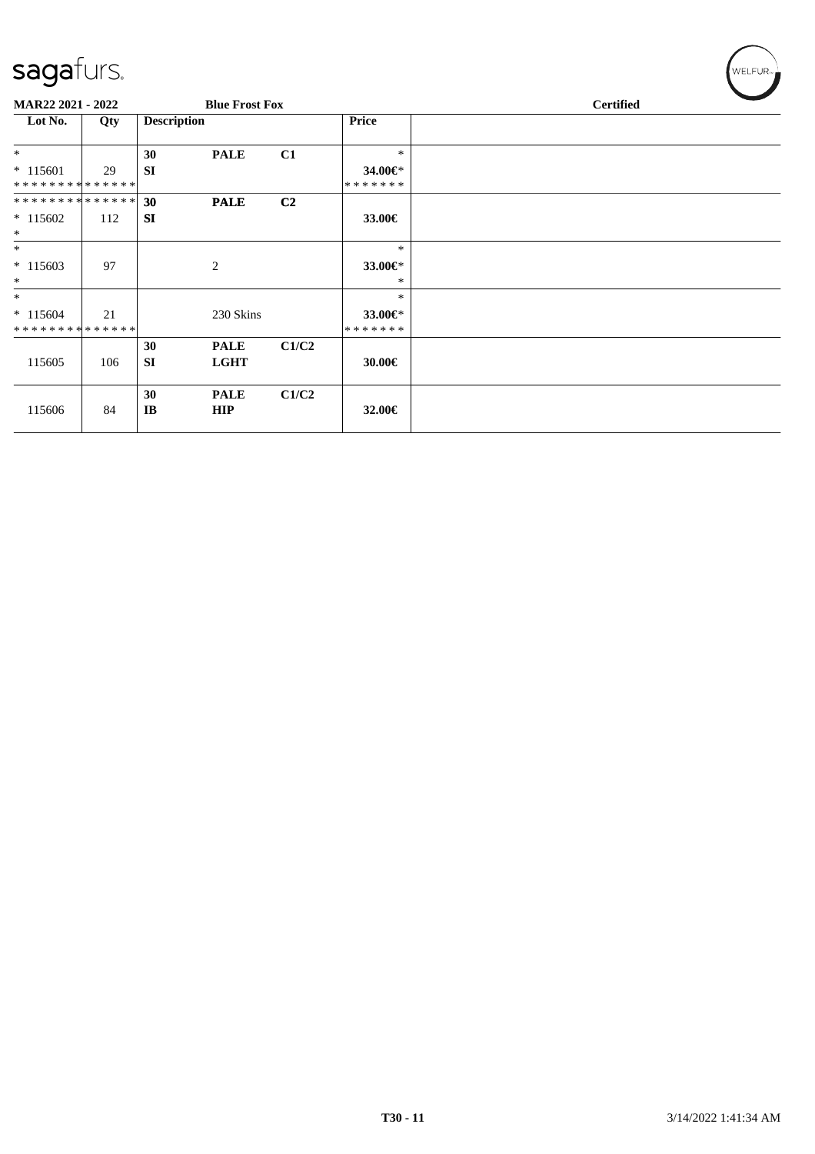| $\tilde{\phantom{a}}$       |     |                    |                       |                |               |                  |  |  |
|-----------------------------|-----|--------------------|-----------------------|----------------|---------------|------------------|--|--|
| <b>MAR22 2021 - 2022</b>    |     |                    | <b>Blue Frost Fox</b> |                |               | <b>Certified</b> |  |  |
| Lot No.                     | Qty | <b>Description</b> |                       |                | <b>Price</b>  |                  |  |  |
| $*$                         |     | 30                 | <b>PALE</b>           | C1             | $\ast$        |                  |  |  |
| $* 115601$                  | 29  | <b>SI</b>          |                       |                | 34.00€*       |                  |  |  |
| **************              |     |                    |                       |                | * * * * * * * |                  |  |  |
| **************              |     | 30                 | <b>PALE</b>           | C <sub>2</sub> |               |                  |  |  |
| $*115602$                   | 112 | <b>SI</b>          |                       |                | 33.00€        |                  |  |  |
| $\ast$                      |     |                    |                       |                |               |                  |  |  |
| $\ast$                      |     |                    |                       |                | $\ast$        |                  |  |  |
| $*115603$                   | 97  |                    | 2                     |                | 33.00€*       |                  |  |  |
| $\ast$                      |     |                    |                       |                | ∗             |                  |  |  |
| $\ast$                      |     |                    |                       |                | $\ast$        |                  |  |  |
| $*115604$                   | 21  |                    | 230 Skins             |                | 33.00€*       |                  |  |  |
| * * * * * * * * * * * * * * |     |                    |                       |                | * * * * * * * |                  |  |  |
|                             |     | 30                 | <b>PALE</b>           | C1/C2          |               |                  |  |  |
| 115605                      | 106 | <b>SI</b>          | <b>LGHT</b>           |                | 30.00€        |                  |  |  |
|                             |     |                    |                       |                |               |                  |  |  |
|                             |     | 30                 | <b>PALE</b>           | C1/C2          |               |                  |  |  |
| 115606                      | 84  | IB                 | <b>HIP</b>            |                | 32.00 $\in$   |                  |  |  |
|                             |     |                    |                       |                |               |                  |  |  |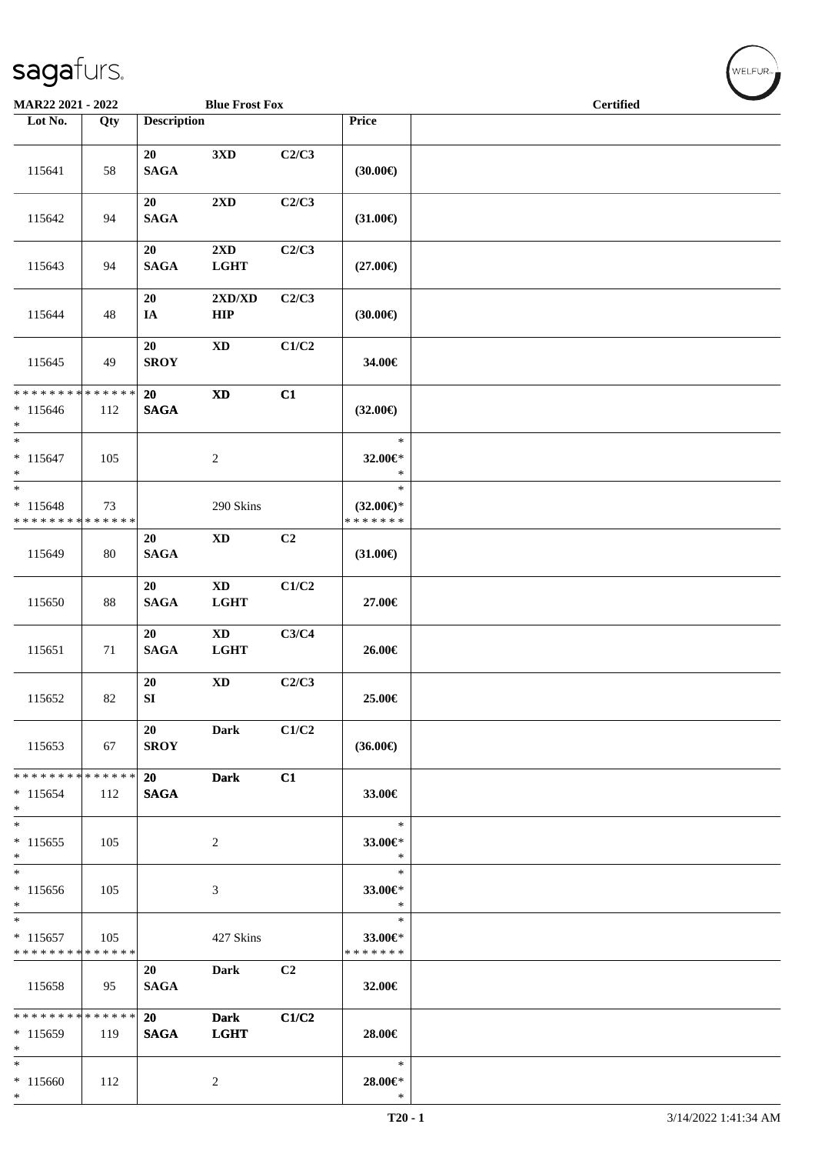| MAR22 2021 - 2022                                                                    |     |                          | <b>Blue Frost Fox</b>                 |                |                                                | <b>Certified</b> | and the second state of the second state of the second state of the second state of the second state of the second state of the second state of the second state of the second state of the second state of the second state o |
|--------------------------------------------------------------------------------------|-----|--------------------------|---------------------------------------|----------------|------------------------------------------------|------------------|--------------------------------------------------------------------------------------------------------------------------------------------------------------------------------------------------------------------------------|
| Lot No.                                                                              | Qty | <b>Description</b>       |                                       |                | Price                                          |                  |                                                                                                                                                                                                                                |
| 115641                                                                               | 58  | 20<br><b>SAGA</b>        | 3 <sub>xD</sub>                       | C2/C3          | (30.00)                                        |                  |                                                                                                                                                                                                                                |
| 115642                                                                               | 94  | 20<br><b>SAGA</b>        | 2XD                                   | C2/C3          | $(31.00\epsilon)$                              |                  |                                                                                                                                                                                                                                |
| 115643                                                                               | 94  | 20<br>$\mathbf{SAGA}$    | 2XD<br><b>LGHT</b>                    | C2/C3          | $(27.00\epsilon)$                              |                  |                                                                                                                                                                                                                                |
| 115644                                                                               | 48  | 20<br>IA                 | 2XD/XD<br>HIP                         | C2/C3          | (30.00)                                        |                  |                                                                                                                                                                                                                                |
| 115645                                                                               | 49  | 20<br><b>SROY</b>        | $\mathbf{X}\mathbf{D}$                | C1/C2          | 34.00€                                         |                  |                                                                                                                                                                                                                                |
| * * * * * * * * <mark>* * * * * * *</mark><br>$* 115646$<br>$*$                      | 112 | 20<br><b>SAGA</b>        | <b>XD</b>                             | C1             | $(32.00\epsilon)$                              |                  |                                                                                                                                                                                                                                |
| $*$<br>$* 115647$<br>$*$                                                             | 105 |                          | $\overline{2}$                        |                | $\ast$<br>32.00€*<br>$\ast$                    |                  |                                                                                                                                                                                                                                |
| $\overline{\phantom{0}}$<br>$* 115648$<br>* * * * * * * * <mark>* * * * * * *</mark> | 73  |                          | 290 Skins                             |                | $\ast$<br>$(32.00\epsilon)$ *<br>* * * * * * * |                  |                                                                                                                                                                                                                                |
| 115649                                                                               | 80  | 20<br><b>SAGA</b>        | $\mathbf{X}\mathbf{D}$                | C2             | $(31.00\epsilon)$                              |                  |                                                                                                                                                                                                                                |
| 115650                                                                               | 88  | 20<br><b>SAGA</b>        | $\mathbf{X}\mathbf{D}$<br><b>LGHT</b> | C1/C2          | 27.00€                                         |                  |                                                                                                                                                                                                                                |
| 115651                                                                               | 71  | 20<br><b>SAGA</b>        | <b>XD</b><br><b>LGHT</b>              | C3/C4          | 26.00€                                         |                  |                                                                                                                                                                                                                                |
| 115652                                                                               | 82  | 20<br>${\bf S}{\bf I}$   | $\mathbf{X}\mathbf{D}$                | C2/C3          | 25.00€                                         |                  |                                                                                                                                                                                                                                |
| 115653                                                                               | 67  | 20<br><b>SROY</b>        | Dark                                  | C1/C2          | $(36.00\epsilon)$                              |                  |                                                                                                                                                                                                                                |
| * * * * * * * * * * * * * * *<br>$*115654$<br>$*$                                    | 112 | <b>20</b><br><b>SAGA</b> | <b>Dark</b>                           | C1             | 33.00€                                         |                  |                                                                                                                                                                                                                                |
| $*$<br>$*115655$<br>$*$                                                              | 105 |                          | 2                                     |                | $\ast$<br>33.00€*<br>$\ast$                    |                  |                                                                                                                                                                                                                                |
| $\ast$<br>$*115656$<br>$*$                                                           | 105 |                          | 3                                     |                | $\ast$<br>33.00€*<br>$\ast$                    |                  |                                                                                                                                                                                                                                |
| $*$<br>$*115657$<br>* * * * * * * * <mark>* * * * * *</mark>                         | 105 |                          | 427 Skins                             |                | $\ast$<br>33.00€*<br>* * * * * * *             |                  |                                                                                                                                                                                                                                |
| 115658                                                                               | 95  | 20<br><b>SAGA</b>        | Dark                                  | C <sub>2</sub> | 32.00€                                         |                  |                                                                                                                                                                                                                                |
| * * * * * * * * <mark>* * * * * *</mark><br>$*115659$<br>$\ast$                      | 119 | 20<br><b>SAGA</b>        | <b>Dark</b><br><b>LGHT</b>            | C1/C2          | 28.00€                                         |                  |                                                                                                                                                                                                                                |
| $*$<br>$* 115660$<br>$\ast$                                                          | 112 |                          | $\overline{c}$                        |                | $\ast$<br>$28.00 \in$ *<br>$\ast$              |                  |                                                                                                                                                                                                                                |

 $(w$ ELFUR<sub><sup>n</sub></sub></sub></sup>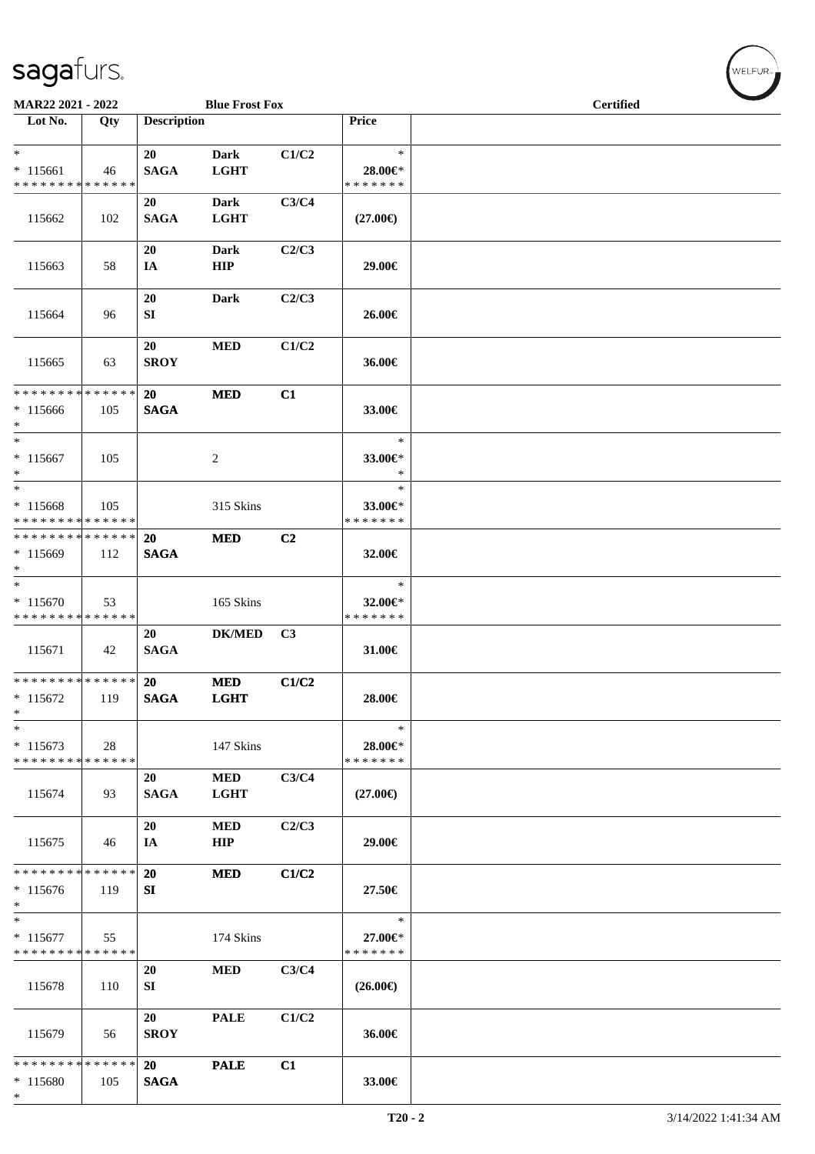| MAR22 2021 - 2022                                                   |     |                    | <b>Blue Frost Fox</b>      |                |                                    | <b>Certified</b> | $\sim$ |
|---------------------------------------------------------------------|-----|--------------------|----------------------------|----------------|------------------------------------|------------------|--------|
| $\overline{\phantom{1}}$ Lot No.                                    | Qty | <b>Description</b> |                            |                | Price                              |                  |        |
| $*$<br>$* 115661$<br>* * * * * * * * * * * * * *                    | 46  | 20<br><b>SAGA</b>  | <b>Dark</b><br><b>LGHT</b> | C1/C2          | $\ast$<br>28.00€*<br>* * * * * * * |                  |        |
| 115662                                                              | 102 | 20<br><b>SAGA</b>  | <b>Dark</b><br><b>LGHT</b> | C3/C4          | $(27.00\epsilon)$                  |                  |        |
| 115663                                                              | 58  | 20<br>IA           | Dark<br>HIP                | C2/C3          | 29.00€                             |                  |        |
| 115664                                                              | 96  | 20<br>SI           | <b>Dark</b>                | C2/C3          | 26.00€                             |                  |        |
| 115665                                                              | 63  | 20<br><b>SROY</b>  | <b>MED</b>                 | C1/C2          | 36.00€                             |                  |        |
| * * * * * * * * * * * * * * *<br>$*115666$<br>$*$                   | 105 | 20<br><b>SAGA</b>  | <b>MED</b>                 | C1             | 33.00€                             |                  |        |
| $*$<br>$* 115667$<br>$\ast$                                         | 105 |                    | 2                          |                | $\ast$<br>33.00€*<br>$\ast$        |                  |        |
| $\overline{\phantom{0}}$<br>* 115668<br>* * * * * * * * * * * * * * | 105 |                    | 315 Skins                  |                | $\ast$<br>33.00€*<br>* * * * * * * |                  |        |
| * * * * * * * * * * * * * *<br>$*115669$<br>$*$                     | 112 | 20<br><b>SAGA</b>  | <b>MED</b>                 | C <sub>2</sub> | 32.00€                             |                  |        |
| $*$<br>$* 115670$<br>* * * * * * * * * * * * * *                    | 53  |                    | 165 Skins                  |                | $\ast$<br>32.00€*<br>* * * * * * * |                  |        |
| 115671                                                              | 42  | 20<br><b>SAGA</b>  | <b>DK/MED</b>              | C3             | 31.00€                             |                  |        |
| * * * * * * * * * * * * * *<br>$*115672$<br>$\ast$                  | 119 | 20<br><b>SAGA</b>  | <b>MED</b><br><b>LGHT</b>  | C1/C2          | 28.00€                             |                  |        |
| $\ast$<br>$* 115673$<br>* * * * * * * * * * * * * *                 | 28  |                    | 147 Skins                  |                | $\ast$<br>28.00€*<br>* * * * * * * |                  |        |
| 115674                                                              | 93  | 20<br><b>SAGA</b>  | <b>MED</b><br><b>LGHT</b>  | C3/C4          | $(27.00\epsilon)$                  |                  |        |
| 115675                                                              | 46  | 20<br>IA           | <b>MED</b><br>HIP          | C2/C3          | 29.00€                             |                  |        |
| * * * * * * * * * * * * * *<br>$* 115676$<br>$\ast$                 | 119 | 20<br>SI           | <b>MED</b>                 | C1/C2          | 27.50€                             |                  |        |
| $*$<br>$* 115677$<br>* * * * * * * * * * * * * *                    | 55  |                    | 174 Skins                  |                | $\ast$<br>27.00€*<br>* * * * * * * |                  |        |
| 115678                                                              | 110 | 20<br>SI           | <b>MED</b>                 | C3/C4          | $(26.00\epsilon)$                  |                  |        |
| 115679                                                              | 56  | 20<br><b>SROY</b>  | <b>PALE</b>                | C1/C2          | 36.00€                             |                  |        |
| * * * * * * * * * * * * * *<br>* 115680<br>$\ast$                   | 105 | 20<br><b>SAGA</b>  | <b>PALE</b>                | C1             | 33.00€                             |                  |        |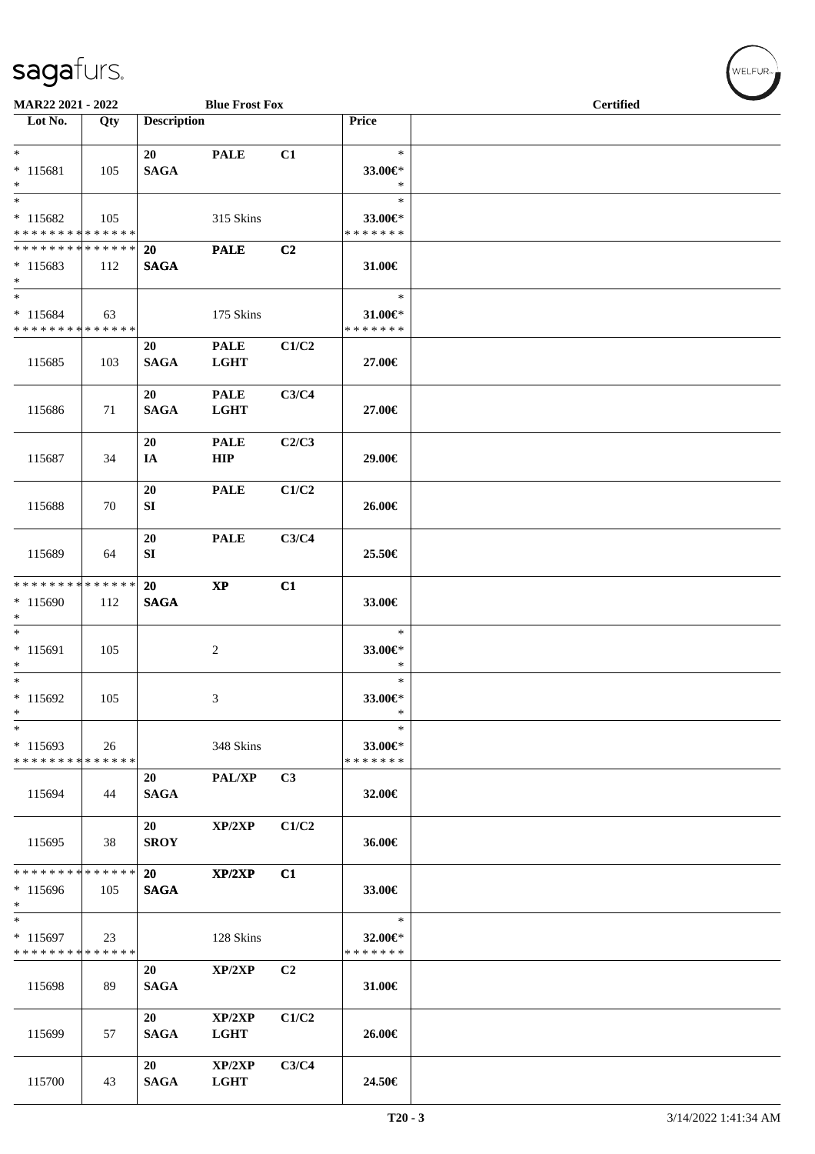| MAR22 2021 - 2022<br><b>Blue Frost Fox</b>                     |     |                    |                            |                | <b>Certified</b>                         |  |  |  |
|----------------------------------------------------------------|-----|--------------------|----------------------------|----------------|------------------------------------------|--|--|--|
| Lot No.                                                        | Qty | <b>Description</b> |                            |                | Price                                    |  |  |  |
| $*$                                                            |     |                    |                            |                | $\ast$                                   |  |  |  |
| $* 115681$<br>$*$                                              | 105 | 20<br><b>SAGA</b>  | <b>PALE</b>                | C1             | 33.00€*<br>$\ast$                        |  |  |  |
| $\overline{\ast}$<br>$* 115682$<br>* * * * * * * * * * * * * * | 105 |                    | 315 Skins                  |                | $\ast$<br>33.00€*<br>* * * * * * *       |  |  |  |
| * * * * * * * * * * * * * * *<br>$* 115683$<br>$*$             | 112 | 20<br><b>SAGA</b>  | <b>PALE</b>                | C2             | 31.00€                                   |  |  |  |
| $*$<br>$* 115684$<br>* * * * * * * * * * * * * *               | 63  |                    | 175 Skins                  |                | $\ast$<br>$31.00 \in$ *<br>* * * * * * * |  |  |  |
| 115685                                                         | 103 | 20<br><b>SAGA</b>  | <b>PALE</b><br><b>LGHT</b> | C1/C2          | 27.00€                                   |  |  |  |
| 115686                                                         | 71  | 20<br><b>SAGA</b>  | <b>PALE</b><br><b>LGHT</b> | C3/C4          | 27.00€                                   |  |  |  |
| 115687                                                         | 34  | 20<br>IA           | <b>PALE</b><br>HIP         | C2/C3          | 29.00€                                   |  |  |  |
| 115688                                                         | 70  | 20<br>SI           | <b>PALE</b>                | C1/C2          | 26.00€                                   |  |  |  |
| 115689                                                         | 64  | 20<br>SI           | <b>PALE</b>                | C3/C4          | 25.50€                                   |  |  |  |
| * * * * * * * * * * * * * * *                                  |     | 20                 | $\mathbf{X}\mathbf{P}$     | C1             |                                          |  |  |  |
| * 115690<br>$\ast$<br>$\overline{\phantom{0}}$                 | 112 | <b>SAGA</b>        |                            |                | 33.00€<br>$\ast$                         |  |  |  |
| * 115691<br>$*$                                                | 105 |                    | 2                          |                | 33.00€*<br>$\ast$                        |  |  |  |
| $*$<br>* 115692<br>$\ast$                                      | 105 |                    | 3                          |                | $\ast$<br>33.00€*<br>$\ast$              |  |  |  |
| $\ast$<br>$* 115693$<br>* * * * * * * * * * * * * *            | 26  |                    | 348 Skins                  |                | $\ast$<br>33.00€*<br>* * * * * * *       |  |  |  |
| 115694                                                         | 44  | 20<br><b>SAGA</b>  | PAL/XP                     | C3             | 32.00€                                   |  |  |  |
| 115695                                                         | 38  | 20<br><b>SROY</b>  | XP/2XP                     | C1/C2          | 36.00€                                   |  |  |  |
| * * * * * * * * * * * * * * *                                  |     | <b>20</b>          | XP/2XP                     | C1             |                                          |  |  |  |
| $*115696$<br>$*$<br>$\overline{\phantom{0}}$                   | 105 | <b>SAGA</b>        |                            |                | 33.00€                                   |  |  |  |
| $* 115697$<br>* * * * * * * * * * * * * *                      | 23  |                    | 128 Skins                  |                | $\ast$<br>32.00€*<br>* * * * * * *       |  |  |  |
| 115698                                                         | 89  | 20<br><b>SAGA</b>  | XP/2XP                     | C <sub>2</sub> | 31.00€                                   |  |  |  |
| 115699                                                         | 57  | 20<br><b>SAGA</b>  | XP/2XP<br><b>LGHT</b>      | C1/C2          | 26.00€                                   |  |  |  |
| 115700                                                         | 43  | 20<br><b>SAGA</b>  | XP/2XP<br>LGHT             | C3/C4          | 24.50€                                   |  |  |  |

 $(\forall ELFUR_{\approx})$